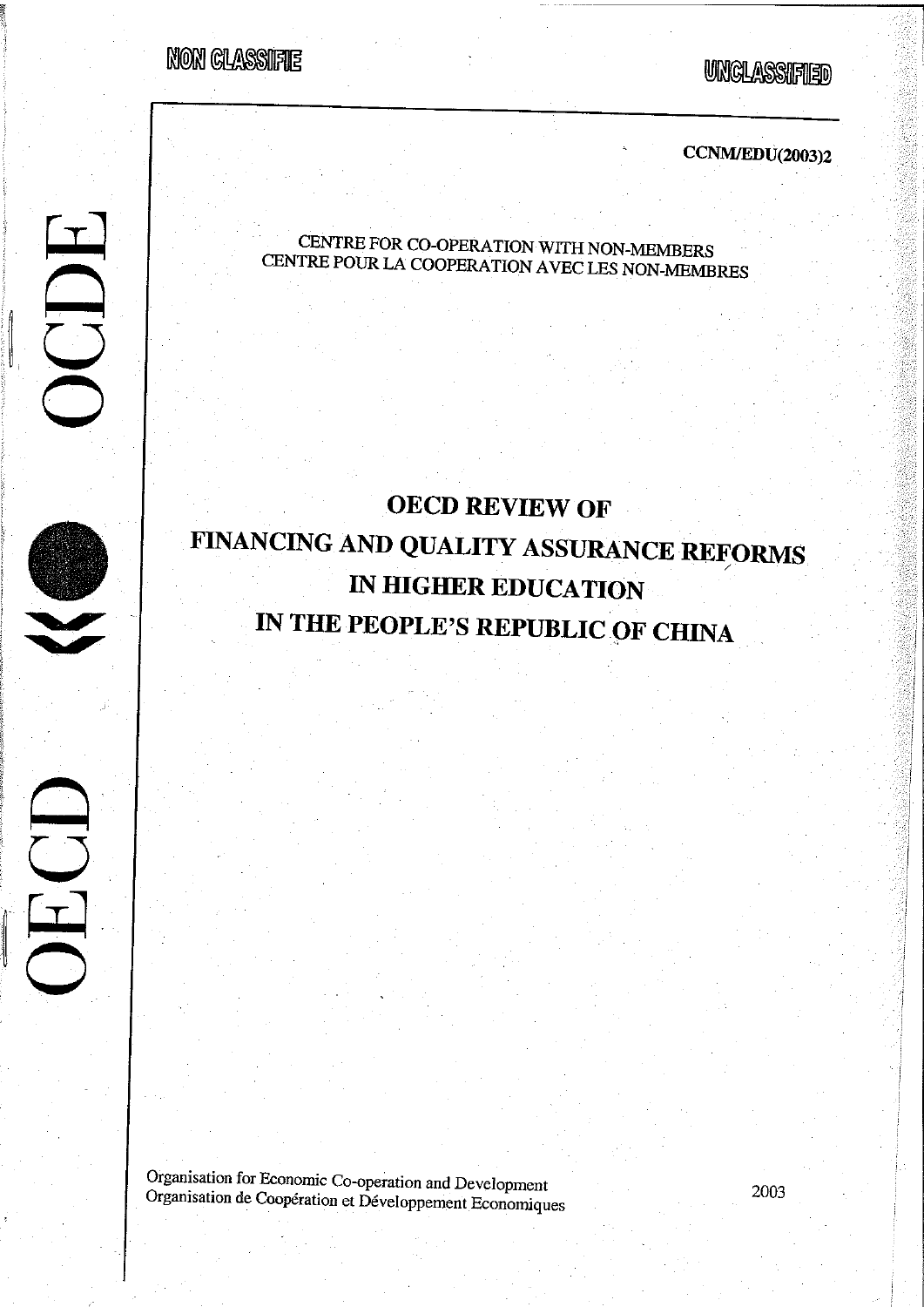NON GLASSIFIE

ODE

ECD

**UNCLASSIFIED** 

**CCNM/EDU(2003)2** 

# CENTRE FOR CO-OPERATION WITH NON-MEMBERS CENTRE POUR LA COOPERATION AVEC LES NON-MEMBRES

# **OECD REVIEW OF** FINANCING AND QUALITY ASSURANCE REFORMS IN HIGHER EDUCATION IN THE PEOPLE'S REPUBLIC OF CHINA

Organisation for Economic Co-operation and Development Organisation de Coopération et Développement Economiques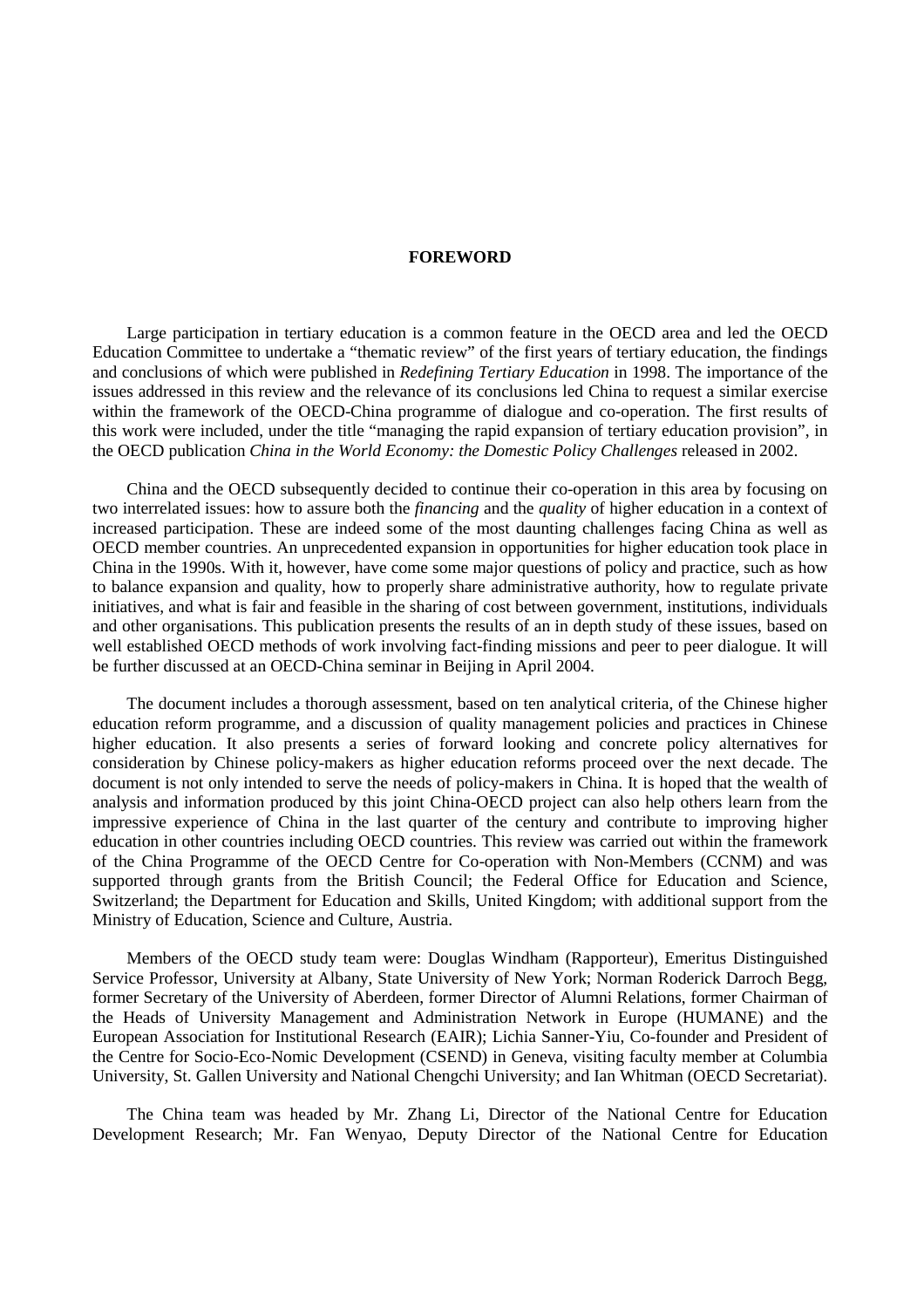#### **FOREWORD**

Large participation in tertiary education is a common feature in the OECD area and led the OECD Education Committee to undertake a "thematic review" of the first years of tertiary education, the findings and conclusions of which were published in *Redefining Tertiary Education* in 1998. The importance of the issues addressed in this review and the relevance of its conclusions led China to request a similar exercise within the framework of the OECD-China programme of dialogue and co-operation. The first results of this work were included, under the title "managing the rapid expansion of tertiary education provision", in the OECD publication *China in the World Economy: the Domestic Policy Challenges* released in 2002.

China and the OECD subsequently decided to continue their co-operation in this area by focusing on two interrelated issues: how to assure both the *financing* and the *quality* of higher education in a context of increased participation. These are indeed some of the most daunting challenges facing China as well as OECD member countries. An unprecedented expansion in opportunities for higher education took place in China in the 1990s. With it, however, have come some major questions of policy and practice, such as how to balance expansion and quality, how to properly share administrative authority, how to regulate private initiatives, and what is fair and feasible in the sharing of cost between government, institutions, individuals and other organisations. This publication presents the results of an in depth study of these issues, based on well established OECD methods of work involving fact-finding missions and peer to peer dialogue. It will be further discussed at an OECD-China seminar in Beijing in April 2004.

The document includes a thorough assessment, based on ten analytical criteria, of the Chinese higher education reform programme, and a discussion of quality management policies and practices in Chinese higher education. It also presents a series of forward looking and concrete policy alternatives for consideration by Chinese policy-makers as higher education reforms proceed over the next decade. The document is not only intended to serve the needs of policy-makers in China. It is hoped that the wealth of analysis and information produced by this joint China-OECD project can also help others learn from the impressive experience of China in the last quarter of the century and contribute to improving higher education in other countries including OECD countries. This review was carried out within the framework of the China Programme of the OECD Centre for Co-operation with Non-Members (CCNM) and was supported through grants from the British Council; the Federal Office for Education and Science, Switzerland; the Department for Education and Skills, United Kingdom; with additional support from the Ministry of Education, Science and Culture, Austria.

Members of the OECD study team were: Douglas Windham (Rapporteur), Emeritus Distinguished Service Professor, University at Albany, State University of New York; Norman Roderick Darroch Begg, former Secretary of the University of Aberdeen, former Director of Alumni Relations, former Chairman of the Heads of University Management and Administration Network in Europe (HUMANE) and the European Association for Institutional Research (EAIR); Lichia Sanner-Yiu, Co-founder and President of the Centre for Socio-Eco-Nomic Development (CSEND) in Geneva, visiting faculty member at Columbia University, St. Gallen University and National Chengchi University; and Ian Whitman (OECD Secretariat).

The China team was headed by Mr. Zhang Li, Director of the National Centre for Education Development Research; Mr. Fan Wenyao, Deputy Director of the National Centre for Education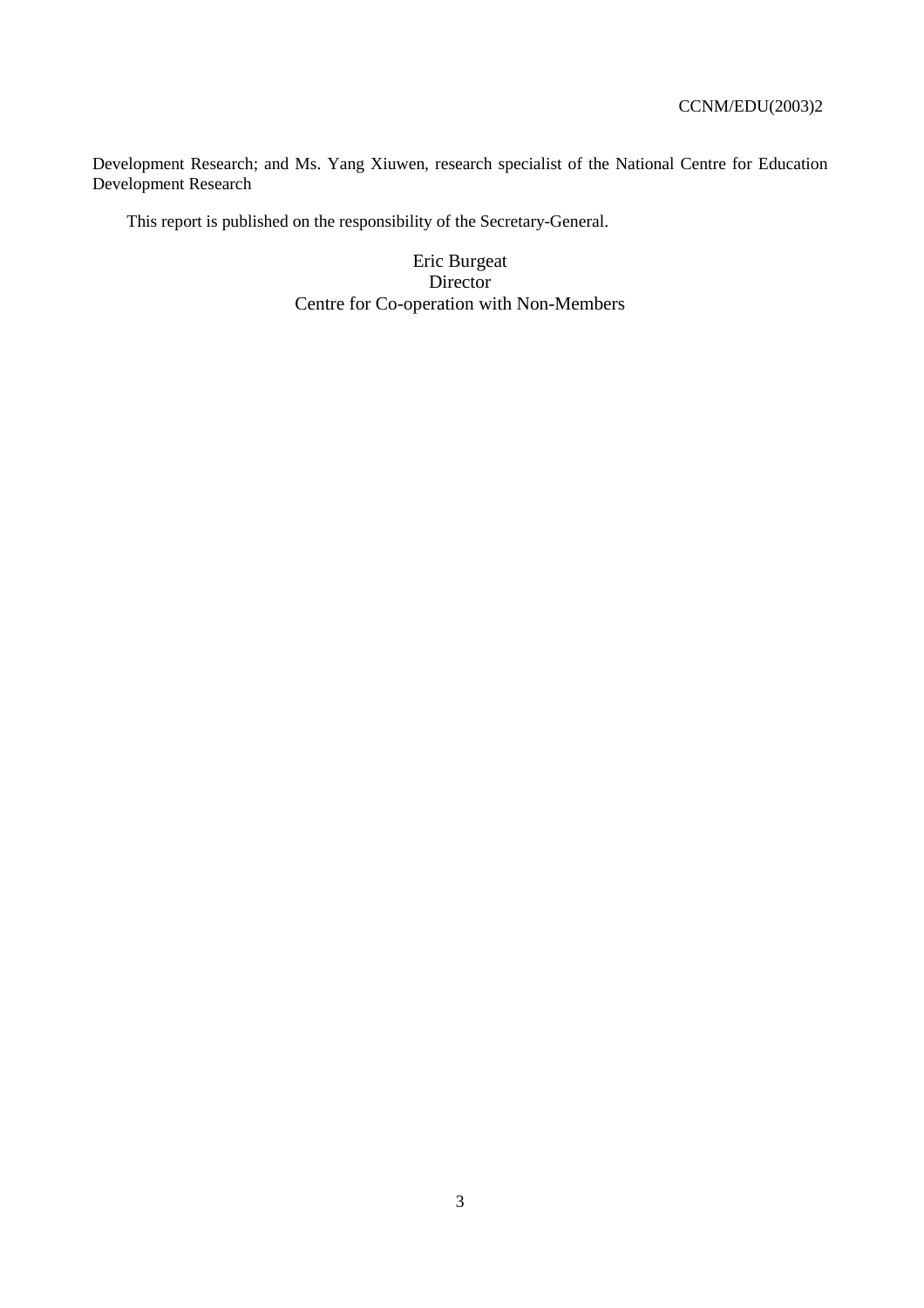Development Research; and Ms. Yang Xiuwen, research specialist of the National Centre for Education Development Research

This report is published on the responsibility of the Secretary-General.

Eric Burgeat **Director** Centre for Co-operation with Non-Members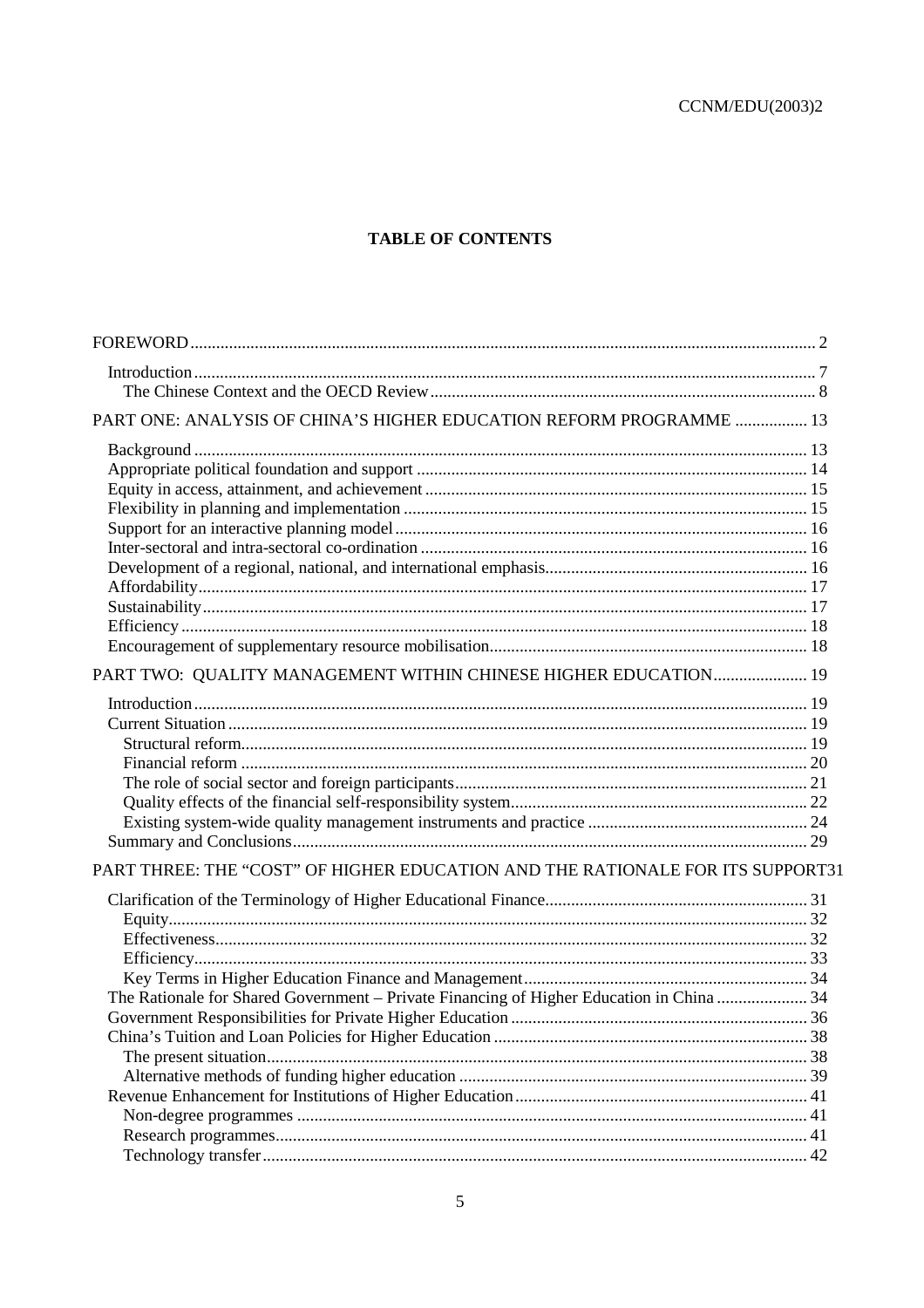# **TABLE OF CONTENTS**

| PART ONE: ANALYSIS OF CHINA'S HIGHER EDUCATION REFORM PROGRAMME  13                      |    |
|------------------------------------------------------------------------------------------|----|
|                                                                                          |    |
|                                                                                          |    |
|                                                                                          |    |
|                                                                                          |    |
|                                                                                          |    |
|                                                                                          |    |
|                                                                                          |    |
|                                                                                          |    |
|                                                                                          |    |
|                                                                                          |    |
|                                                                                          |    |
| PART TWO: QUALITY MANAGEMENT WITHIN CHINESE HIGHER EDUCATION 19                          |    |
|                                                                                          |    |
|                                                                                          |    |
|                                                                                          |    |
|                                                                                          |    |
|                                                                                          |    |
|                                                                                          |    |
|                                                                                          |    |
|                                                                                          |    |
| PART THREE: THE "COST" OF HIGHER EDUCATION AND THE RATIONALE FOR ITS SUPPORT31           |    |
|                                                                                          |    |
|                                                                                          |    |
|                                                                                          |    |
|                                                                                          |    |
|                                                                                          |    |
| The Rationale for Shared Government - Private Financing of Higher Education in China  34 |    |
|                                                                                          |    |
|                                                                                          |    |
|                                                                                          |    |
|                                                                                          |    |
|                                                                                          |    |
|                                                                                          |    |
|                                                                                          | 41 |
|                                                                                          |    |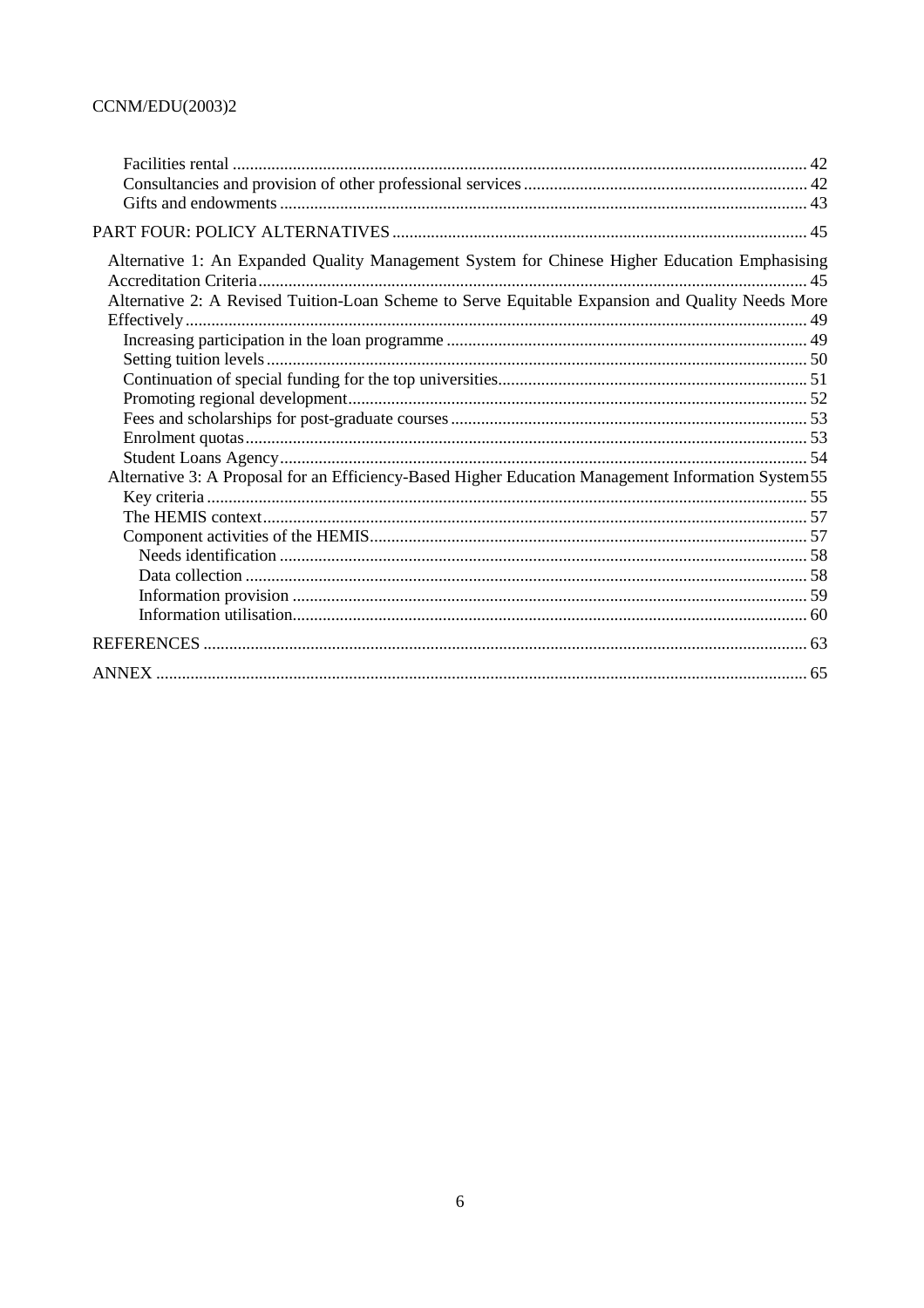| Alternative 1: An Expanded Quality Management System for Chinese Higher Education Emphasising<br>Alternative 2: A Revised Tuition-Loan Scheme to Serve Equitable Expansion and Quality Needs More |  |
|---------------------------------------------------------------------------------------------------------------------------------------------------------------------------------------------------|--|
|                                                                                                                                                                                                   |  |
|                                                                                                                                                                                                   |  |
|                                                                                                                                                                                                   |  |
|                                                                                                                                                                                                   |  |
|                                                                                                                                                                                                   |  |
|                                                                                                                                                                                                   |  |
|                                                                                                                                                                                                   |  |
|                                                                                                                                                                                                   |  |
| Alternative 3: A Proposal for an Efficiency-Based Higher Education Management Information System55                                                                                                |  |
|                                                                                                                                                                                                   |  |
|                                                                                                                                                                                                   |  |
|                                                                                                                                                                                                   |  |
|                                                                                                                                                                                                   |  |
|                                                                                                                                                                                                   |  |
|                                                                                                                                                                                                   |  |
|                                                                                                                                                                                                   |  |
|                                                                                                                                                                                                   |  |
|                                                                                                                                                                                                   |  |
|                                                                                                                                                                                                   |  |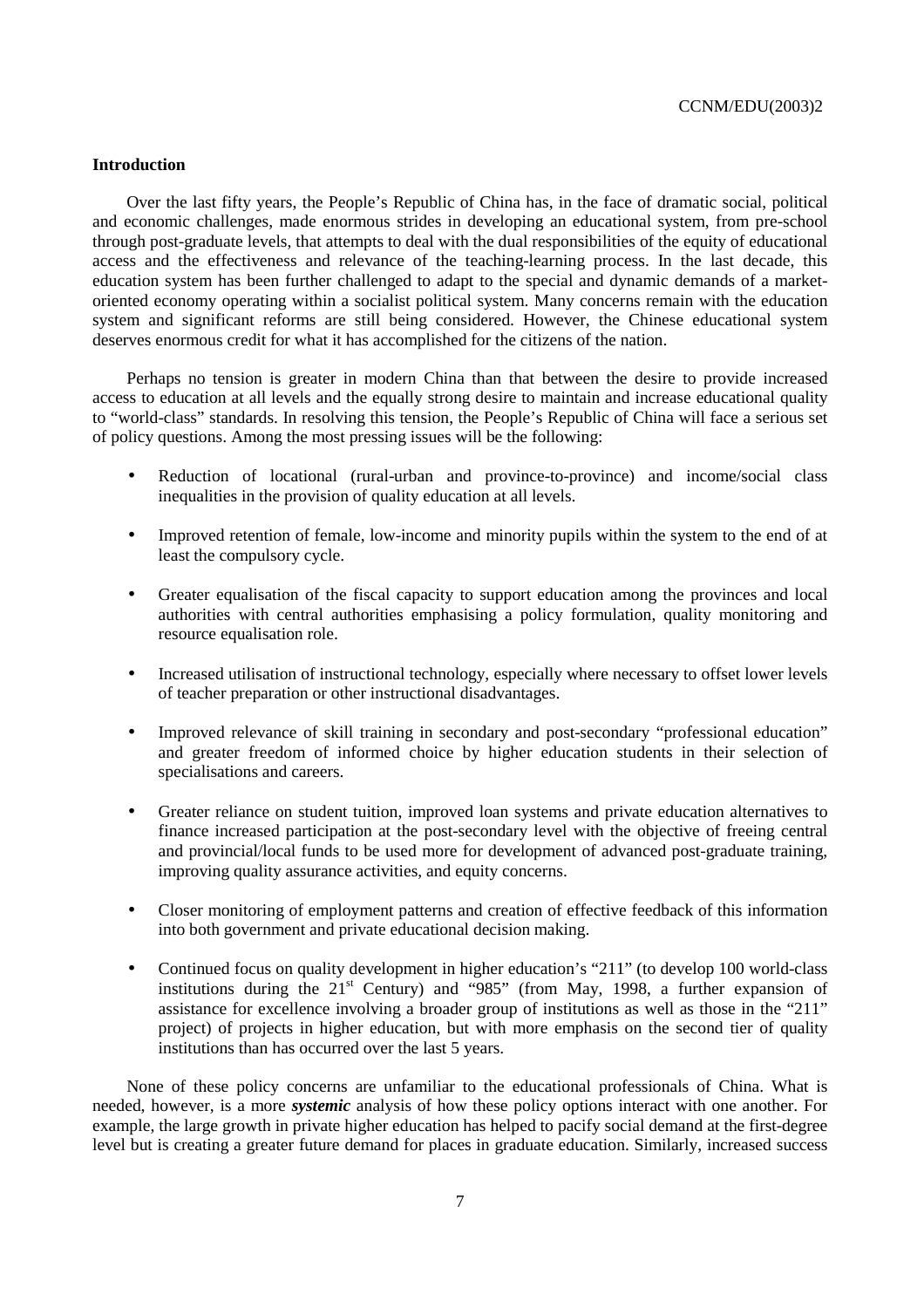# **Introduction**

Over the last fifty years, the People's Republic of China has, in the face of dramatic social, political and economic challenges, made enormous strides in developing an educational system, from pre-school through post-graduate levels, that attempts to deal with the dual responsibilities of the equity of educational access and the effectiveness and relevance of the teaching-learning process. In the last decade, this education system has been further challenged to adapt to the special and dynamic demands of a marketoriented economy operating within a socialist political system. Many concerns remain with the education system and significant reforms are still being considered. However, the Chinese educational system deserves enormous credit for what it has accomplished for the citizens of the nation.

Perhaps no tension is greater in modern China than that between the desire to provide increased access to education at all levels and the equally strong desire to maintain and increase educational quality to "world-class" standards. In resolving this tension, the People's Republic of China will face a serious set of policy questions. Among the most pressing issues will be the following:

- Reduction of locational (rural-urban and province-to-province) and income/social class inequalities in the provision of quality education at all levels.
- Improved retention of female, low-income and minority pupils within the system to the end of at least the compulsory cycle.
- Greater equalisation of the fiscal capacity to support education among the provinces and local authorities with central authorities emphasising a policy formulation, quality monitoring and resource equalisation role.
- Increased utilisation of instructional technology, especially where necessary to offset lower levels of teacher preparation or other instructional disadvantages.
- Improved relevance of skill training in secondary and post-secondary "professional education" and greater freedom of informed choice by higher education students in their selection of specialisations and careers.
- Greater reliance on student tuition, improved loan systems and private education alternatives to finance increased participation at the post-secondary level with the objective of freeing central and provincial/local funds to be used more for development of advanced post-graduate training, improving quality assurance activities, and equity concerns.
- Closer monitoring of employment patterns and creation of effective feedback of this information into both government and private educational decision making.
- Continued focus on quality development in higher education's "211" (to develop 100 world-class institutions during the  $21^{st}$  Century) and "985" (from May, 1998, a further expansion of assistance for excellence involving a broader group of institutions as well as those in the "211" project) of projects in higher education, but with more emphasis on the second tier of quality institutions than has occurred over the last 5 years.

None of these policy concerns are unfamiliar to the educational professionals of China. What is needed, however, is a more *systemic* analysis of how these policy options interact with one another. For example, the large growth in private higher education has helped to pacify social demand at the first-degree level but is creating a greater future demand for places in graduate education. Similarly, increased success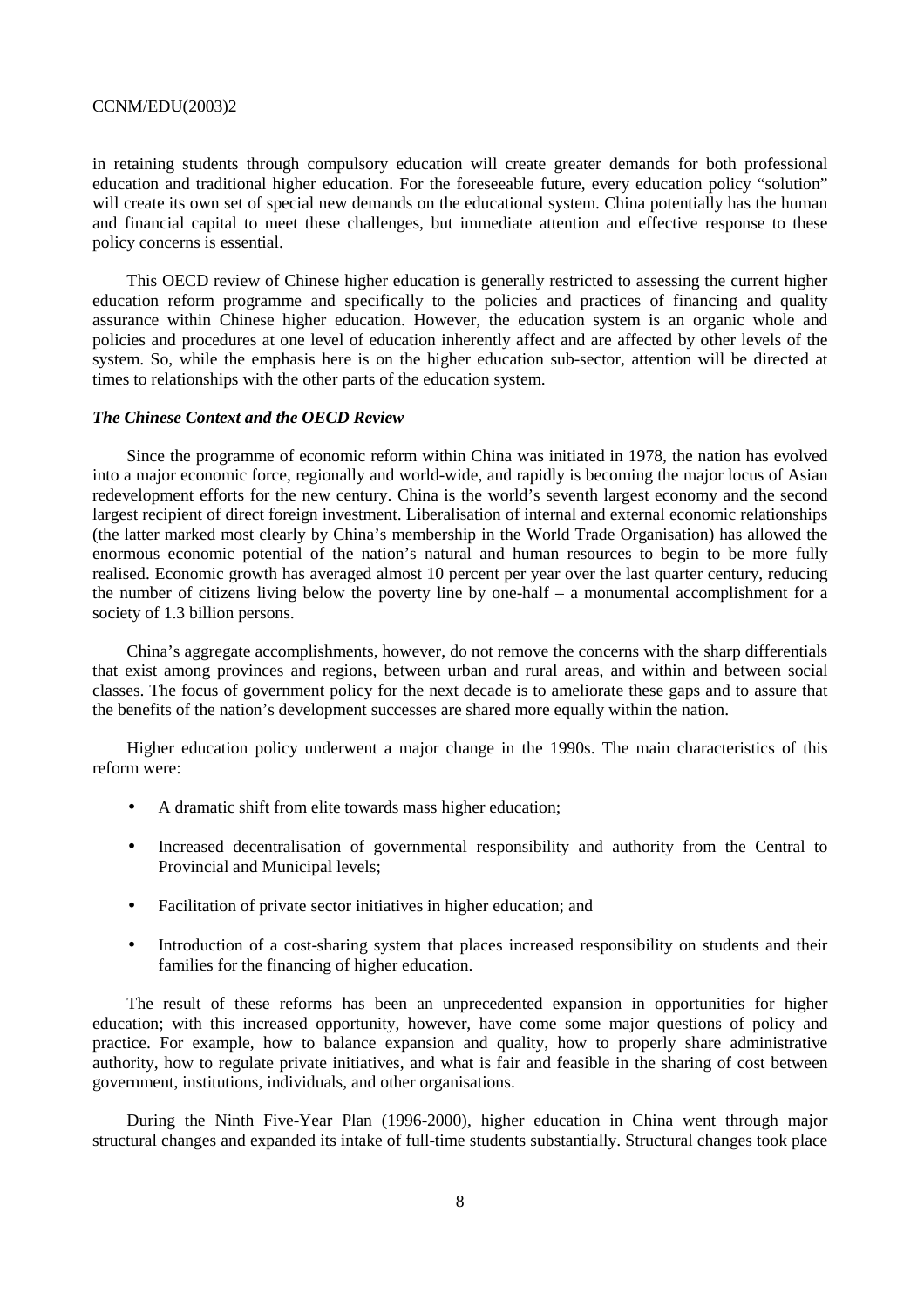in retaining students through compulsory education will create greater demands for both professional education and traditional higher education. For the foreseeable future, every education policy "solution" will create its own set of special new demands on the educational system. China potentially has the human and financial capital to meet these challenges, but immediate attention and effective response to these policy concerns is essential.

This OECD review of Chinese higher education is generally restricted to assessing the current higher education reform programme and specifically to the policies and practices of financing and quality assurance within Chinese higher education. However, the education system is an organic whole and policies and procedures at one level of education inherently affect and are affected by other levels of the system. So, while the emphasis here is on the higher education sub-sector, attention will be directed at times to relationships with the other parts of the education system.

# *The Chinese Context and the OECD Review*

Since the programme of economic reform within China was initiated in 1978, the nation has evolved into a major economic force, regionally and world-wide, and rapidly is becoming the major locus of Asian redevelopment efforts for the new century. China is the world's seventh largest economy and the second largest recipient of direct foreign investment. Liberalisation of internal and external economic relationships (the latter marked most clearly by China's membership in the World Trade Organisation) has allowed the enormous economic potential of the nation's natural and human resources to begin to be more fully realised. Economic growth has averaged almost 10 percent per year over the last quarter century, reducing the number of citizens living below the poverty line by one-half – a monumental accomplishment for a society of 1.3 billion persons.

China's aggregate accomplishments, however, do not remove the concerns with the sharp differentials that exist among provinces and regions, between urban and rural areas, and within and between social classes. The focus of government policy for the next decade is to ameliorate these gaps and to assure that the benefits of the nation's development successes are shared more equally within the nation.

Higher education policy underwent a major change in the 1990s. The main characteristics of this reform were:

- A dramatic shift from elite towards mass higher education;
- Increased decentralisation of governmental responsibility and authority from the Central to Provincial and Municipal levels;
- Facilitation of private sector initiatives in higher education; and
- Introduction of a cost-sharing system that places increased responsibility on students and their families for the financing of higher education.

The result of these reforms has been an unprecedented expansion in opportunities for higher education; with this increased opportunity, however, have come some major questions of policy and practice. For example, how to balance expansion and quality, how to properly share administrative authority, how to regulate private initiatives, and what is fair and feasible in the sharing of cost between government, institutions, individuals, and other organisations.

During the Ninth Five-Year Plan (1996-2000), higher education in China went through major structural changes and expanded its intake of full-time students substantially. Structural changes took place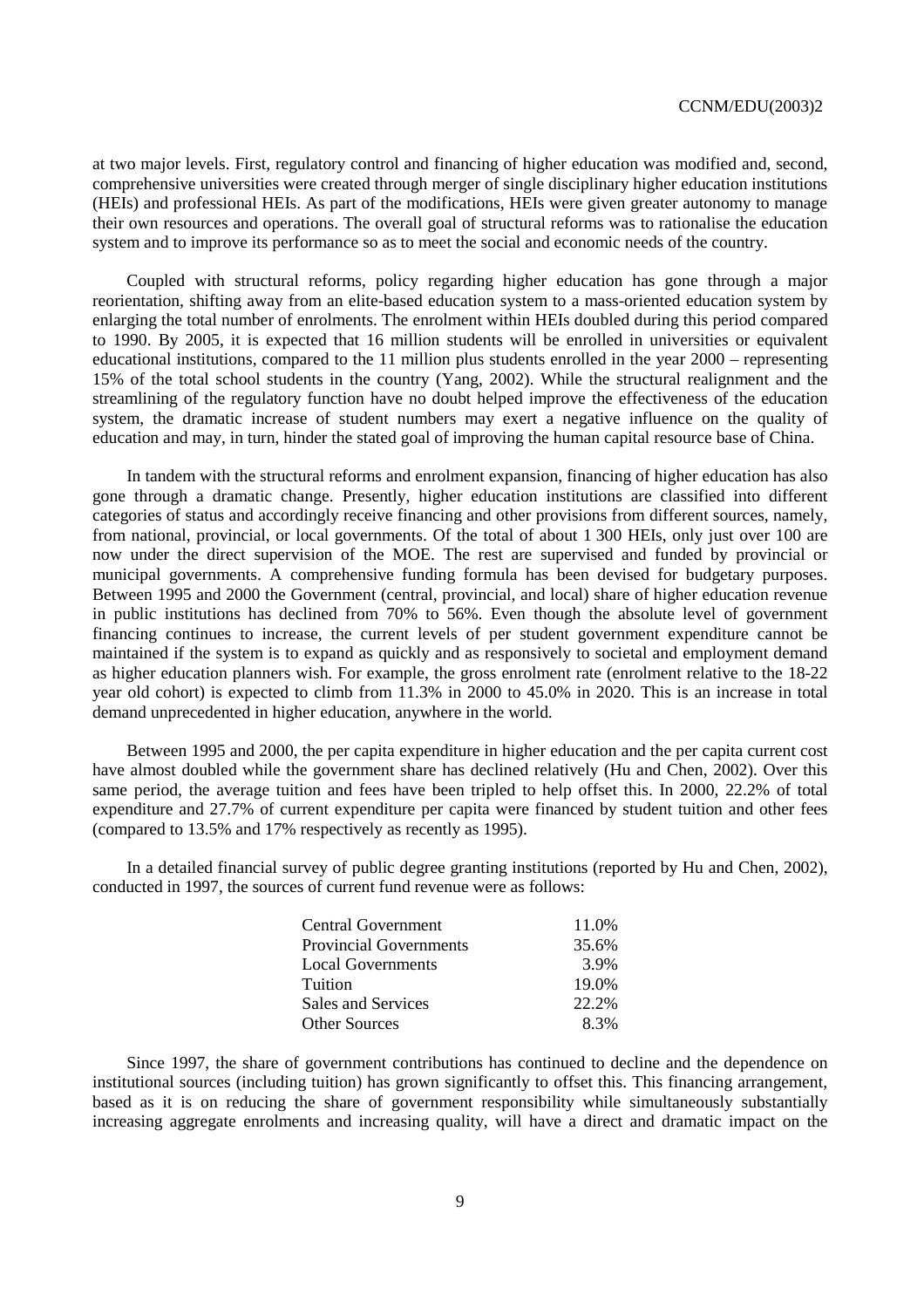at two major levels. First, regulatory control and financing of higher education was modified and, second, comprehensive universities were created through merger of single disciplinary higher education institutions (HEIs) and professional HEIs. As part of the modifications, HEIs were given greater autonomy to manage their own resources and operations. The overall goal of structural reforms was to rationalise the education system and to improve its performance so as to meet the social and economic needs of the country.

Coupled with structural reforms, policy regarding higher education has gone through a major reorientation, shifting away from an elite-based education system to a mass-oriented education system by enlarging the total number of enrolments. The enrolment within HEIs doubled during this period compared to 1990. By 2005, it is expected that 16 million students will be enrolled in universities or equivalent educational institutions, compared to the 11 million plus students enrolled in the year 2000 – representing 15% of the total school students in the country (Yang, 2002). While the structural realignment and the streamlining of the regulatory function have no doubt helped improve the effectiveness of the education system, the dramatic increase of student numbers may exert a negative influence on the quality of education and may, in turn, hinder the stated goal of improving the human capital resource base of China.

In tandem with the structural reforms and enrolment expansion, financing of higher education has also gone through a dramatic change. Presently, higher education institutions are classified into different categories of status and accordingly receive financing and other provisions from different sources, namely, from national, provincial, or local governments. Of the total of about 1 300 HEIs, only just over 100 are now under the direct supervision of the MOE. The rest are supervised and funded by provincial or municipal governments. A comprehensive funding formula has been devised for budgetary purposes. Between 1995 and 2000 the Government (central, provincial, and local) share of higher education revenue in public institutions has declined from 70% to 56%. Even though the absolute level of government financing continues to increase, the current levels of per student government expenditure cannot be maintained if the system is to expand as quickly and as responsively to societal and employment demand as higher education planners wish. For example, the gross enrolment rate (enrolment relative to the 18-22 year old cohort) is expected to climb from 11.3% in 2000 to 45.0% in 2020. This is an increase in total demand unprecedented in higher education, anywhere in the world.

Between 1995 and 2000, the per capita expenditure in higher education and the per capita current cost have almost doubled while the government share has declined relatively (Hu and Chen, 2002). Over this same period, the average tuition and fees have been tripled to help offset this. In 2000, 22.2% of total expenditure and 27.7% of current expenditure per capita were financed by student tuition and other fees (compared to 13.5% and 17% respectively as recently as 1995).

In a detailed financial survey of public degree granting institutions (reported by Hu and Chen, 2002), conducted in 1997, the sources of current fund revenue were as follows:

| Central Government            | 11.0% |
|-------------------------------|-------|
| <b>Provincial Governments</b> | 35.6% |
| <b>Local Governments</b>      | 3.9%  |
| Tuition                       | 19.0% |
| Sales and Services            | 22.2% |
| <b>Other Sources</b>          | 8.3%  |

Since 1997, the share of government contributions has continued to decline and the dependence on institutional sources (including tuition) has grown significantly to offset this. This financing arrangement, based as it is on reducing the share of government responsibility while simultaneously substantially increasing aggregate enrolments and increasing quality, will have a direct and dramatic impact on the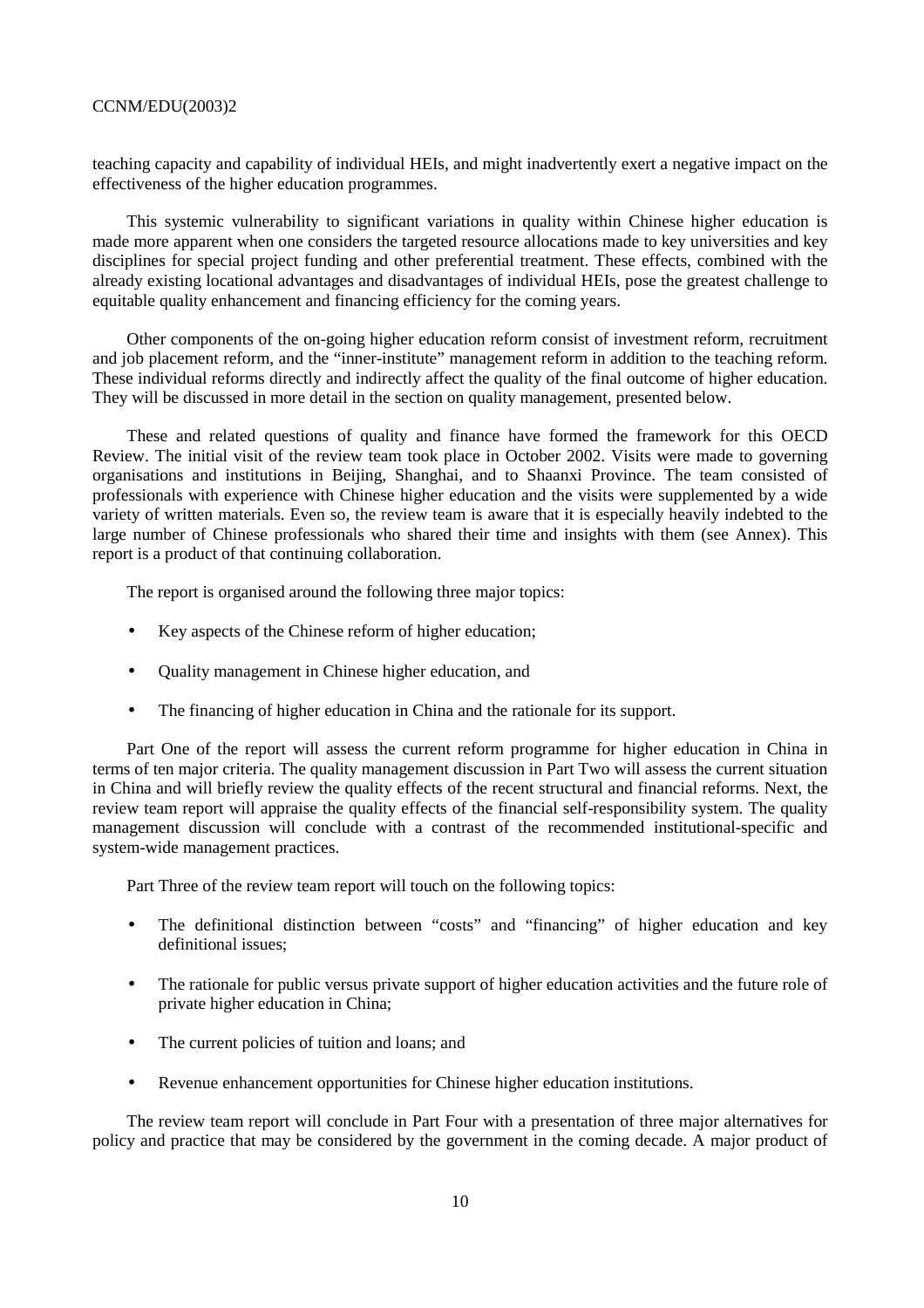teaching capacity and capability of individual HEIs, and might inadvertently exert a negative impact on the effectiveness of the higher education programmes.

This systemic vulnerability to significant variations in quality within Chinese higher education is made more apparent when one considers the targeted resource allocations made to key universities and key disciplines for special project funding and other preferential treatment. These effects, combined with the already existing locational advantages and disadvantages of individual HEIs, pose the greatest challenge to equitable quality enhancement and financing efficiency for the coming years.

Other components of the on-going higher education reform consist of investment reform, recruitment and job placement reform, and the "inner-institute" management reform in addition to the teaching reform. These individual reforms directly and indirectly affect the quality of the final outcome of higher education. They will be discussed in more detail in the section on quality management, presented below.

These and related questions of quality and finance have formed the framework for this OECD Review. The initial visit of the review team took place in October 2002. Visits were made to governing organisations and institutions in Beijing, Shanghai, and to Shaanxi Province. The team consisted of professionals with experience with Chinese higher education and the visits were supplemented by a wide variety of written materials. Even so, the review team is aware that it is especially heavily indebted to the large number of Chinese professionals who shared their time and insights with them (see Annex). This report is a product of that continuing collaboration.

The report is organised around the following three major topics:

- Key aspects of the Chinese reform of higher education;
- Quality management in Chinese higher education, and
- The financing of higher education in China and the rationale for its support.

Part One of the report will assess the current reform programme for higher education in China in terms of ten major criteria. The quality management discussion in Part Two will assess the current situation in China and will briefly review the quality effects of the recent structural and financial reforms. Next, the review team report will appraise the quality effects of the financial self-responsibility system. The quality management discussion will conclude with a contrast of the recommended institutional-specific and system-wide management practices.

Part Three of the review team report will touch on the following topics:

- The definitional distinction between "costs" and "financing" of higher education and key definitional issues;
- The rationale for public versus private support of higher education activities and the future role of private higher education in China;
- The current policies of tuition and loans; and
- Revenue enhancement opportunities for Chinese higher education institutions.

The review team report will conclude in Part Four with a presentation of three major alternatives for policy and practice that may be considered by the government in the coming decade. A major product of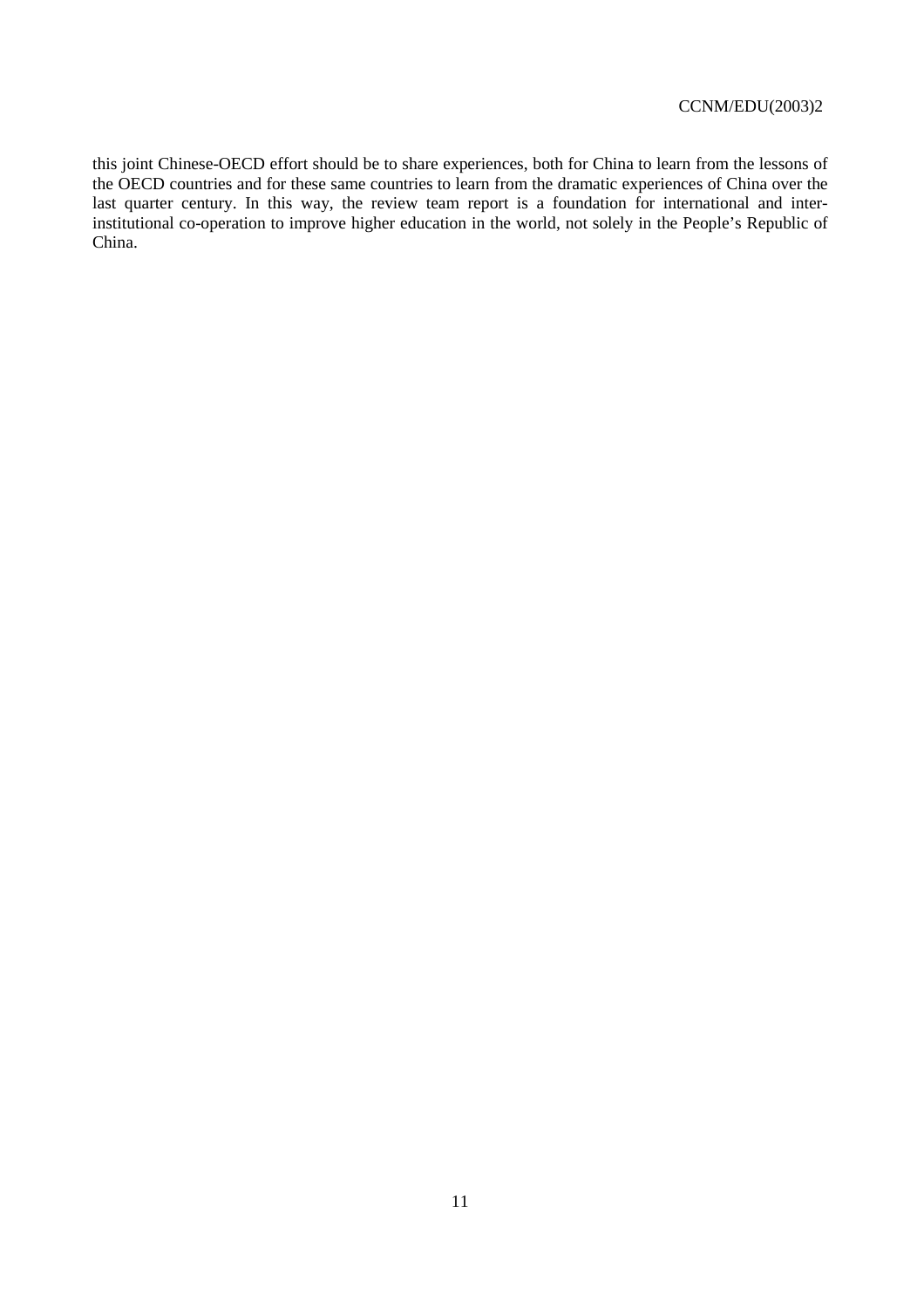this joint Chinese-OECD effort should be to share experiences, both for China to learn from the lessons of the OECD countries and for these same countries to learn from the dramatic experiences of China over the last quarter century. In this way, the review team report is a foundation for international and interinstitutional co-operation to improve higher education in the world, not solely in the People's Republic of China.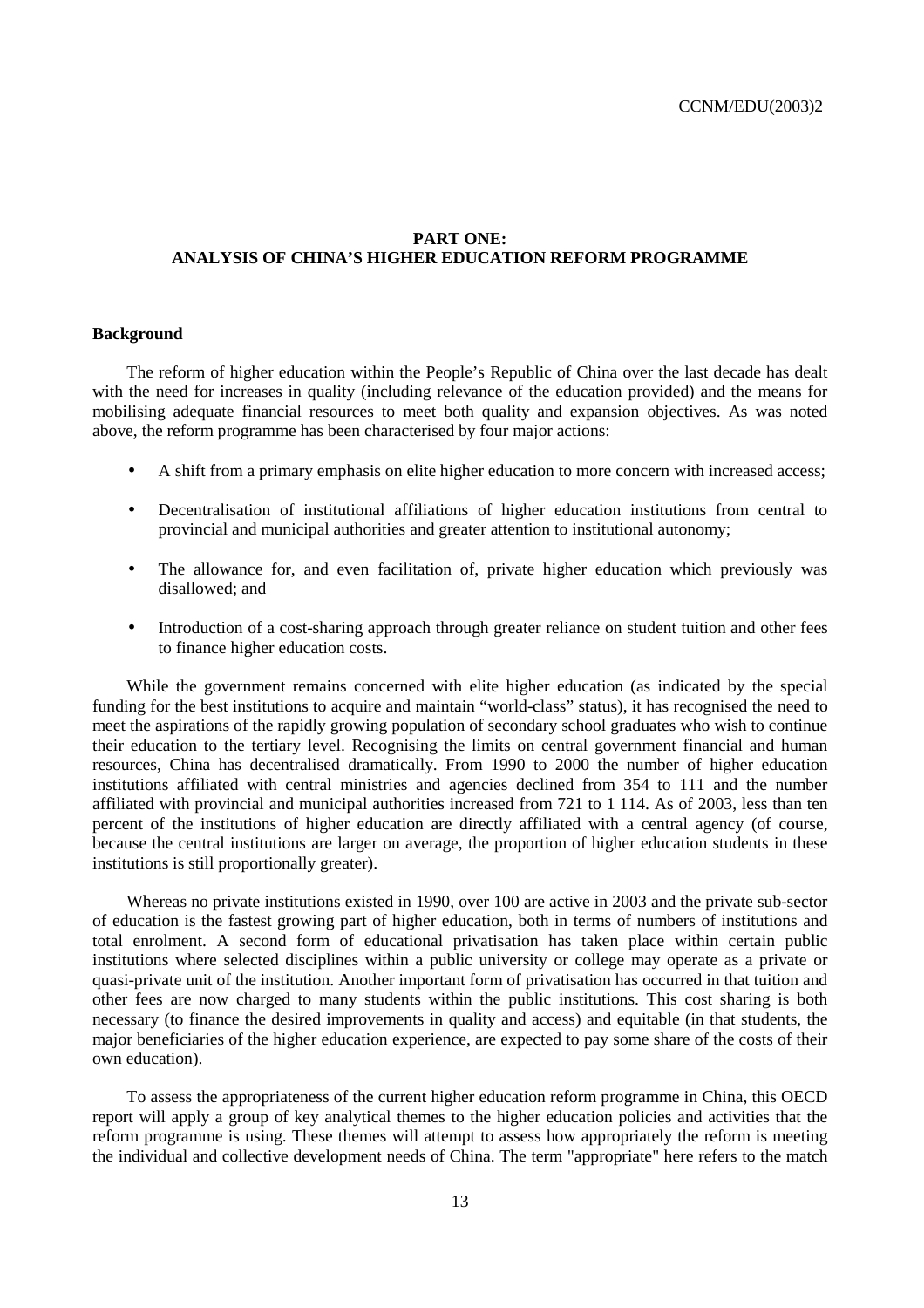# **PART ONE: ANALYSIS OF CHINA'S HIGHER EDUCATION REFORM PROGRAMME**

# **Background**

The reform of higher education within the People's Republic of China over the last decade has dealt with the need for increases in quality (including relevance of the education provided) and the means for mobilising adequate financial resources to meet both quality and expansion objectives. As was noted above, the reform programme has been characterised by four major actions:

- A shift from a primary emphasis on elite higher education to more concern with increased access;
- Decentralisation of institutional affiliations of higher education institutions from central to provincial and municipal authorities and greater attention to institutional autonomy;
- The allowance for, and even facilitation of, private higher education which previously was disallowed; and
- Introduction of a cost-sharing approach through greater reliance on student tuition and other fees to finance higher education costs.

While the government remains concerned with elite higher education (as indicated by the special funding for the best institutions to acquire and maintain "world-class" status), it has recognised the need to meet the aspirations of the rapidly growing population of secondary school graduates who wish to continue their education to the tertiary level. Recognising the limits on central government financial and human resources, China has decentralised dramatically. From 1990 to 2000 the number of higher education institutions affiliated with central ministries and agencies declined from 354 to 111 and the number affiliated with provincial and municipal authorities increased from 721 to 1 114. As of 2003, less than ten percent of the institutions of higher education are directly affiliated with a central agency (of course, because the central institutions are larger on average, the proportion of higher education students in these institutions is still proportionally greater).

Whereas no private institutions existed in 1990, over 100 are active in 2003 and the private sub-sector of education is the fastest growing part of higher education, both in terms of numbers of institutions and total enrolment. A second form of educational privatisation has taken place within certain public institutions where selected disciplines within a public university or college may operate as a private or quasi-private unit of the institution. Another important form of privatisation has occurred in that tuition and other fees are now charged to many students within the public institutions. This cost sharing is both necessary (to finance the desired improvements in quality and access) and equitable (in that students, the major beneficiaries of the higher education experience, are expected to pay some share of the costs of their own education).

To assess the appropriateness of the current higher education reform programme in China, this OECD report will apply a group of key analytical themes to the higher education policies and activities that the reform programme is using. These themes will attempt to assess how appropriately the reform is meeting the individual and collective development needs of China. The term "appropriate" here refers to the match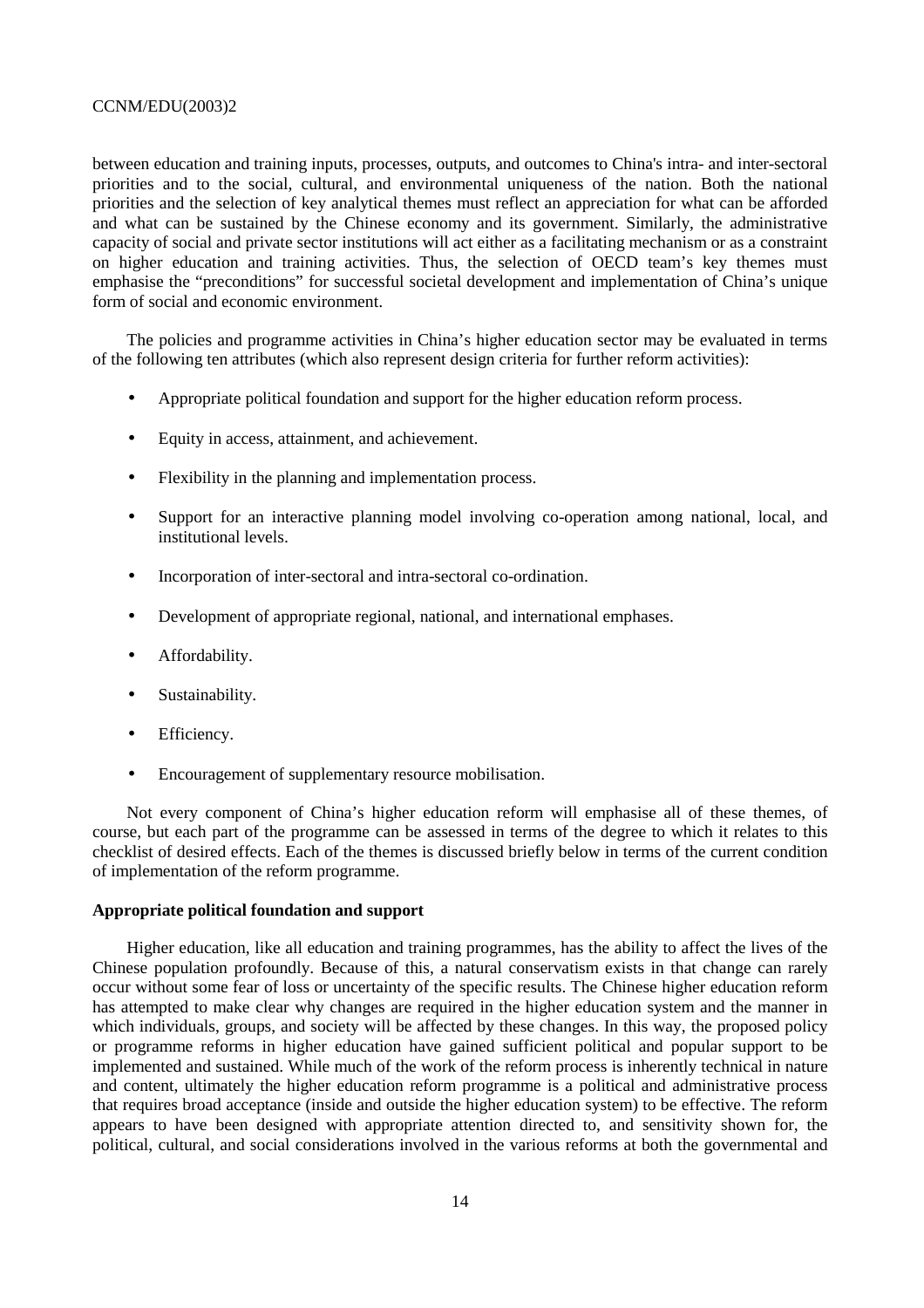between education and training inputs, processes, outputs, and outcomes to China's intra- and inter-sectoral priorities and to the social, cultural, and environmental uniqueness of the nation. Both the national priorities and the selection of key analytical themes must reflect an appreciation for what can be afforded and what can be sustained by the Chinese economy and its government. Similarly, the administrative capacity of social and private sector institutions will act either as a facilitating mechanism or as a constraint on higher education and training activities. Thus, the selection of OECD team's key themes must emphasise the "preconditions" for successful societal development and implementation of China's unique form of social and economic environment.

The policies and programme activities in China's higher education sector may be evaluated in terms of the following ten attributes (which also represent design criteria for further reform activities):

- Appropriate political foundation and support for the higher education reform process.
- Equity in access, attainment, and achievement.
- Flexibility in the planning and implementation process.
- Support for an interactive planning model involving co-operation among national, local, and institutional levels.
- Incorporation of inter-sectoral and intra-sectoral co-ordination.
- Development of appropriate regional, national, and international emphases.
- Affordability.
- Sustainability.
- Efficiency.
- Encouragement of supplementary resource mobilisation.

Not every component of China's higher education reform will emphasise all of these themes, of course, but each part of the programme can be assessed in terms of the degree to which it relates to this checklist of desired effects. Each of the themes is discussed briefly below in terms of the current condition of implementation of the reform programme.

#### **Appropriate political foundation and support**

Higher education, like all education and training programmes, has the ability to affect the lives of the Chinese population profoundly. Because of this, a natural conservatism exists in that change can rarely occur without some fear of loss or uncertainty of the specific results. The Chinese higher education reform has attempted to make clear why changes are required in the higher education system and the manner in which individuals, groups, and society will be affected by these changes. In this way, the proposed policy or programme reforms in higher education have gained sufficient political and popular support to be implemented and sustained. While much of the work of the reform process is inherently technical in nature and content, ultimately the higher education reform programme is a political and administrative process that requires broad acceptance (inside and outside the higher education system) to be effective. The reform appears to have been designed with appropriate attention directed to, and sensitivity shown for, the political, cultural, and social considerations involved in the various reforms at both the governmental and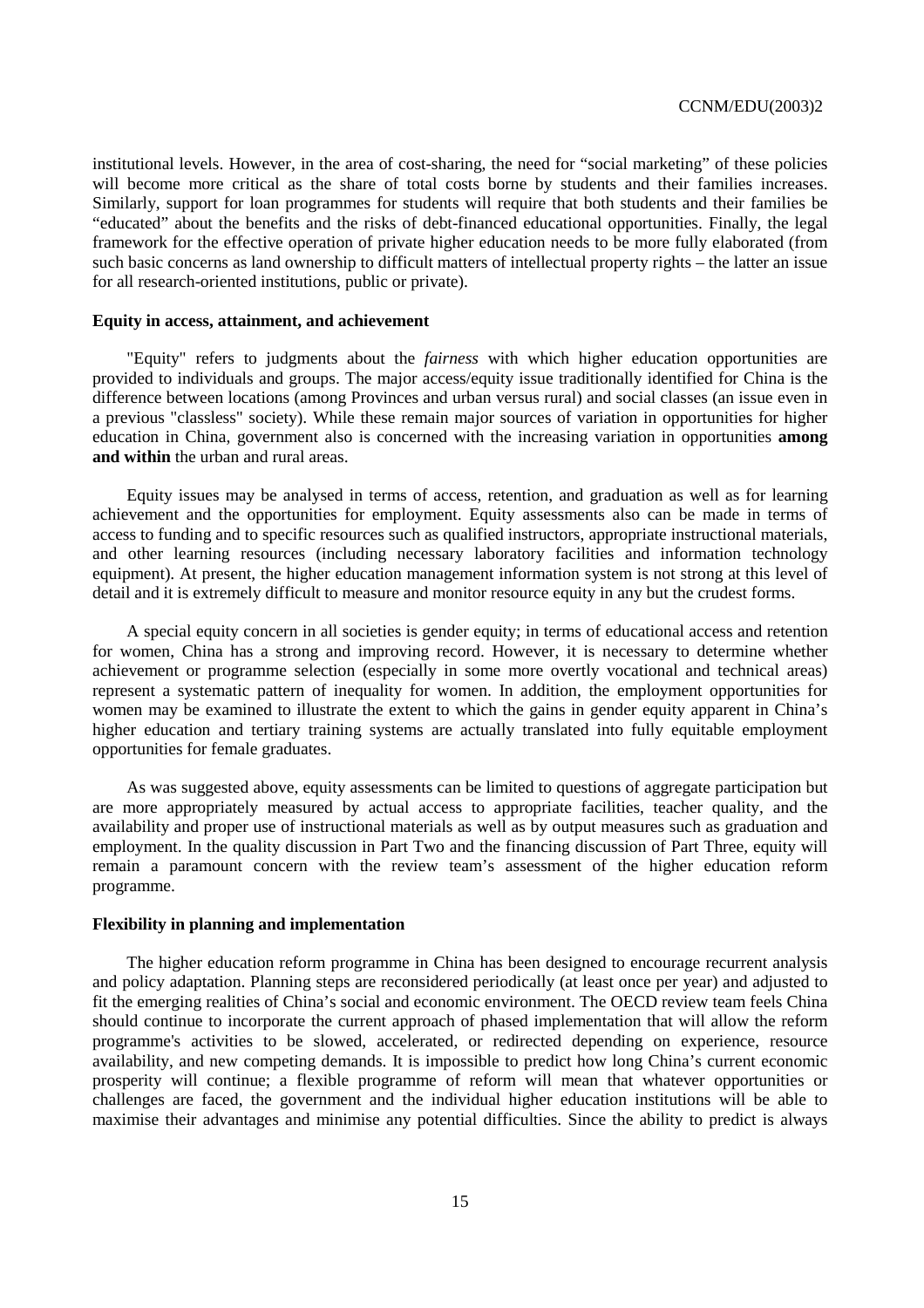institutional levels. However, in the area of cost-sharing, the need for "social marketing" of these policies will become more critical as the share of total costs borne by students and their families increases. Similarly, support for loan programmes for students will require that both students and their families be "educated" about the benefits and the risks of debt-financed educational opportunities. Finally, the legal framework for the effective operation of private higher education needs to be more fully elaborated (from such basic concerns as land ownership to difficult matters of intellectual property rights – the latter an issue for all research-oriented institutions, public or private).

# **Equity in access, attainment, and achievement**

"Equity" refers to judgments about the *fairness* with which higher education opportunities are provided to individuals and groups. The major access/equity issue traditionally identified for China is the difference between locations (among Provinces and urban versus rural) and social classes (an issue even in a previous "classless" society). While these remain major sources of variation in opportunities for higher education in China, government also is concerned with the increasing variation in opportunities **among and within** the urban and rural areas.

Equity issues may be analysed in terms of access, retention, and graduation as well as for learning achievement and the opportunities for employment. Equity assessments also can be made in terms of access to funding and to specific resources such as qualified instructors, appropriate instructional materials, and other learning resources (including necessary laboratory facilities and information technology equipment). At present, the higher education management information system is not strong at this level of detail and it is extremely difficult to measure and monitor resource equity in any but the crudest forms.

A special equity concern in all societies is gender equity; in terms of educational access and retention for women, China has a strong and improving record. However, it is necessary to determine whether achievement or programme selection (especially in some more overtly vocational and technical areas) represent a systematic pattern of inequality for women. In addition, the employment opportunities for women may be examined to illustrate the extent to which the gains in gender equity apparent in China's higher education and tertiary training systems are actually translated into fully equitable employment opportunities for female graduates.

As was suggested above, equity assessments can be limited to questions of aggregate participation but are more appropriately measured by actual access to appropriate facilities, teacher quality, and the availability and proper use of instructional materials as well as by output measures such as graduation and employment. In the quality discussion in Part Two and the financing discussion of Part Three, equity will remain a paramount concern with the review team's assessment of the higher education reform programme.

# **Flexibility in planning and implementation**

The higher education reform programme in China has been designed to encourage recurrent analysis and policy adaptation. Planning steps are reconsidered periodically (at least once per year) and adjusted to fit the emerging realities of China's social and economic environment. The OECD review team feels China should continue to incorporate the current approach of phased implementation that will allow the reform programme's activities to be slowed, accelerated, or redirected depending on experience, resource availability, and new competing demands. It is impossible to predict how long China's current economic prosperity will continue; a flexible programme of reform will mean that whatever opportunities or challenges are faced, the government and the individual higher education institutions will be able to maximise their advantages and minimise any potential difficulties. Since the ability to predict is always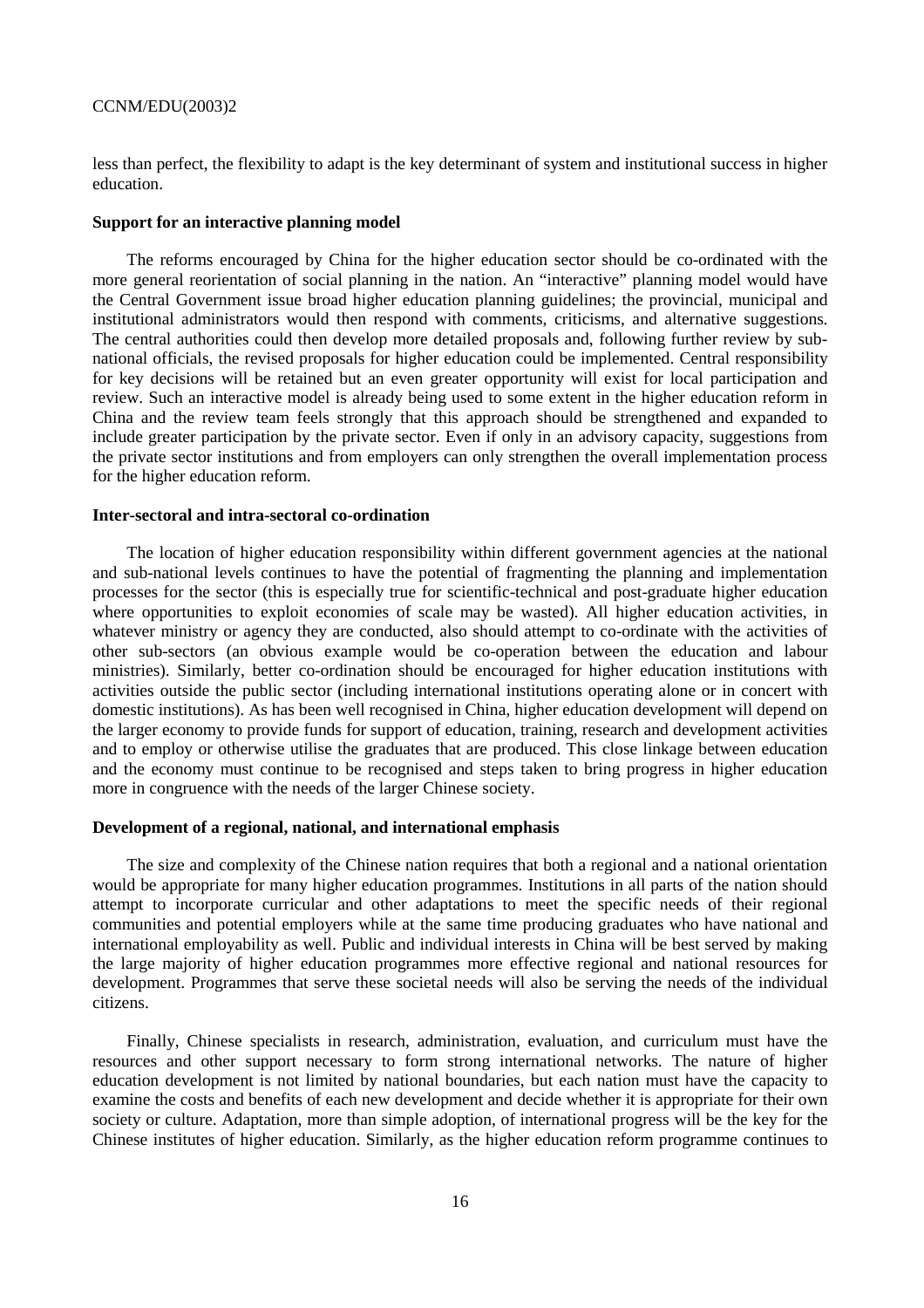less than perfect, the flexibility to adapt is the key determinant of system and institutional success in higher education.

#### **Support for an interactive planning model**

The reforms encouraged by China for the higher education sector should be co-ordinated with the more general reorientation of social planning in the nation. An "interactive" planning model would have the Central Government issue broad higher education planning guidelines; the provincial, municipal and institutional administrators would then respond with comments, criticisms, and alternative suggestions. The central authorities could then develop more detailed proposals and, following further review by subnational officials, the revised proposals for higher education could be implemented. Central responsibility for key decisions will be retained but an even greater opportunity will exist for local participation and review. Such an interactive model is already being used to some extent in the higher education reform in China and the review team feels strongly that this approach should be strengthened and expanded to include greater participation by the private sector. Even if only in an advisory capacity, suggestions from the private sector institutions and from employers can only strengthen the overall implementation process for the higher education reform.

### **Inter-sectoral and intra-sectoral co-ordination**

The location of higher education responsibility within different government agencies at the national and sub-national levels continues to have the potential of fragmenting the planning and implementation processes for the sector (this is especially true for scientific-technical and post-graduate higher education where opportunities to exploit economies of scale may be wasted). All higher education activities, in whatever ministry or agency they are conducted, also should attempt to co-ordinate with the activities of other sub-sectors (an obvious example would be co-operation between the education and labour ministries). Similarly, better co-ordination should be encouraged for higher education institutions with activities outside the public sector (including international institutions operating alone or in concert with domestic institutions). As has been well recognised in China, higher education development will depend on the larger economy to provide funds for support of education, training, research and development activities and to employ or otherwise utilise the graduates that are produced. This close linkage between education and the economy must continue to be recognised and steps taken to bring progress in higher education more in congruence with the needs of the larger Chinese society.

## **Development of a regional, national, and international emphasis**

The size and complexity of the Chinese nation requires that both a regional and a national orientation would be appropriate for many higher education programmes. Institutions in all parts of the nation should attempt to incorporate curricular and other adaptations to meet the specific needs of their regional communities and potential employers while at the same time producing graduates who have national and international employability as well. Public and individual interests in China will be best served by making the large majority of higher education programmes more effective regional and national resources for development. Programmes that serve these societal needs will also be serving the needs of the individual citizens.

Finally, Chinese specialists in research, administration, evaluation, and curriculum must have the resources and other support necessary to form strong international networks. The nature of higher education development is not limited by national boundaries, but each nation must have the capacity to examine the costs and benefits of each new development and decide whether it is appropriate for their own society or culture. Adaptation, more than simple adoption, of international progress will be the key for the Chinese institutes of higher education. Similarly, as the higher education reform programme continues to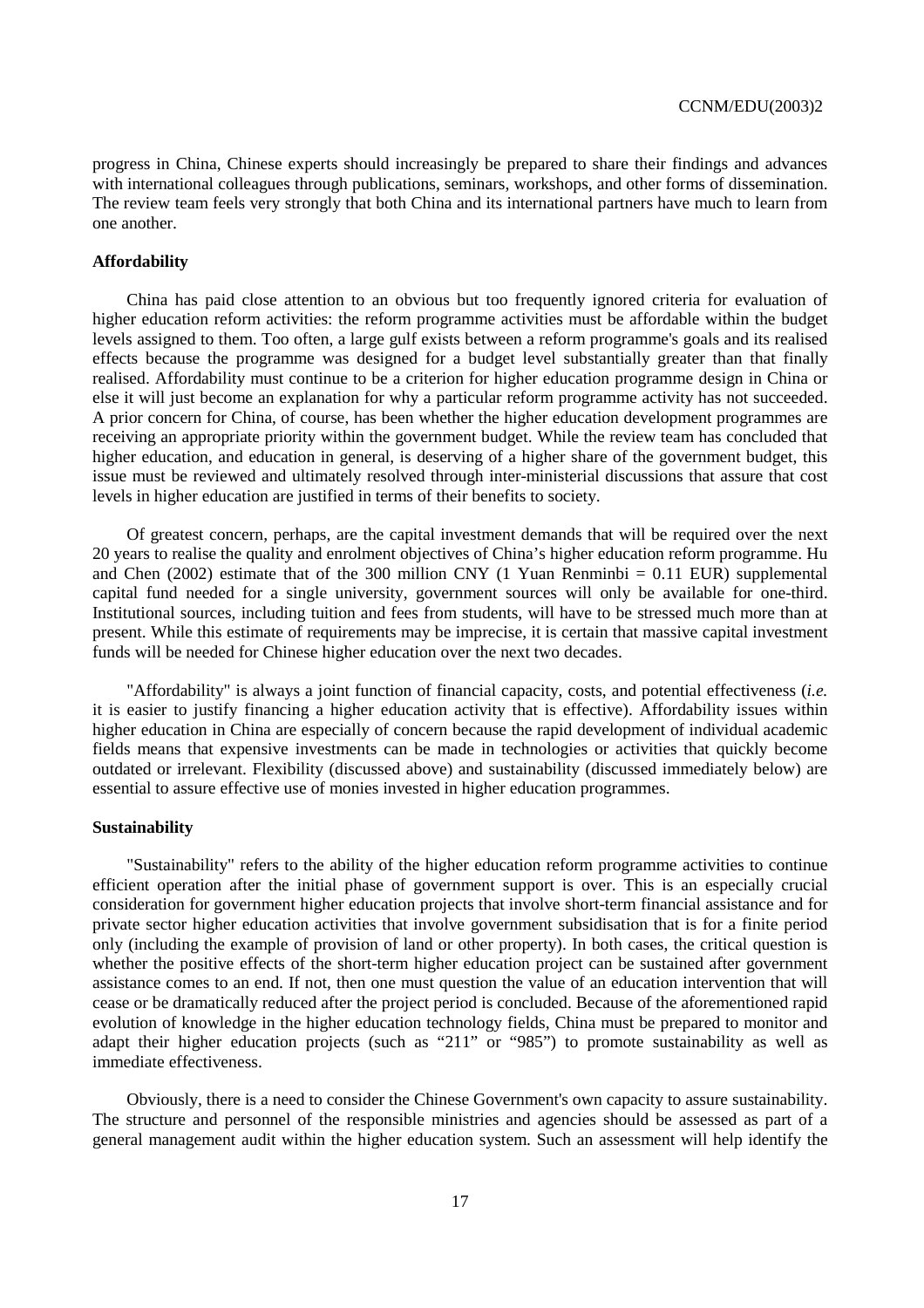progress in China, Chinese experts should increasingly be prepared to share their findings and advances with international colleagues through publications, seminars, workshops, and other forms of dissemination. The review team feels very strongly that both China and its international partners have much to learn from one another.

#### **Affordability**

China has paid close attention to an obvious but too frequently ignored criteria for evaluation of higher education reform activities: the reform programme activities must be affordable within the budget levels assigned to them. Too often, a large gulf exists between a reform programme's goals and its realised effects because the programme was designed for a budget level substantially greater than that finally realised. Affordability must continue to be a criterion for higher education programme design in China or else it will just become an explanation for why a particular reform programme activity has not succeeded. A prior concern for China, of course, has been whether the higher education development programmes are receiving an appropriate priority within the government budget. While the review team has concluded that higher education, and education in general, is deserving of a higher share of the government budget, this issue must be reviewed and ultimately resolved through inter-ministerial discussions that assure that cost levels in higher education are justified in terms of their benefits to society.

Of greatest concern, perhaps, are the capital investment demands that will be required over the next 20 years to realise the quality and enrolment objectives of China's higher education reform programme. Hu and Chen (2002) estimate that of the 300 million CNY (1 Yuan Renminbi =  $0.11$  EUR) supplemental capital fund needed for a single university, government sources will only be available for one-third. Institutional sources, including tuition and fees from students, will have to be stressed much more than at present. While this estimate of requirements may be imprecise, it is certain that massive capital investment funds will be needed for Chinese higher education over the next two decades.

"Affordability" is always a joint function of financial capacity, costs, and potential effectiveness (*i.e.* it is easier to justify financing a higher education activity that is effective). Affordability issues within higher education in China are especially of concern because the rapid development of individual academic fields means that expensive investments can be made in technologies or activities that quickly become outdated or irrelevant. Flexibility (discussed above) and sustainability (discussed immediately below) are essential to assure effective use of monies invested in higher education programmes.

#### **Sustainability**

"Sustainability" refers to the ability of the higher education reform programme activities to continue efficient operation after the initial phase of government support is over. This is an especially crucial consideration for government higher education projects that involve short-term financial assistance and for private sector higher education activities that involve government subsidisation that is for a finite period only (including the example of provision of land or other property). In both cases, the critical question is whether the positive effects of the short-term higher education project can be sustained after government assistance comes to an end. If not, then one must question the value of an education intervention that will cease or be dramatically reduced after the project period is concluded. Because of the aforementioned rapid evolution of knowledge in the higher education technology fields, China must be prepared to monitor and adapt their higher education projects (such as "211" or "985") to promote sustainability as well as immediate effectiveness.

Obviously, there is a need to consider the Chinese Government's own capacity to assure sustainability. The structure and personnel of the responsible ministries and agencies should be assessed as part of a general management audit within the higher education system. Such an assessment will help identify the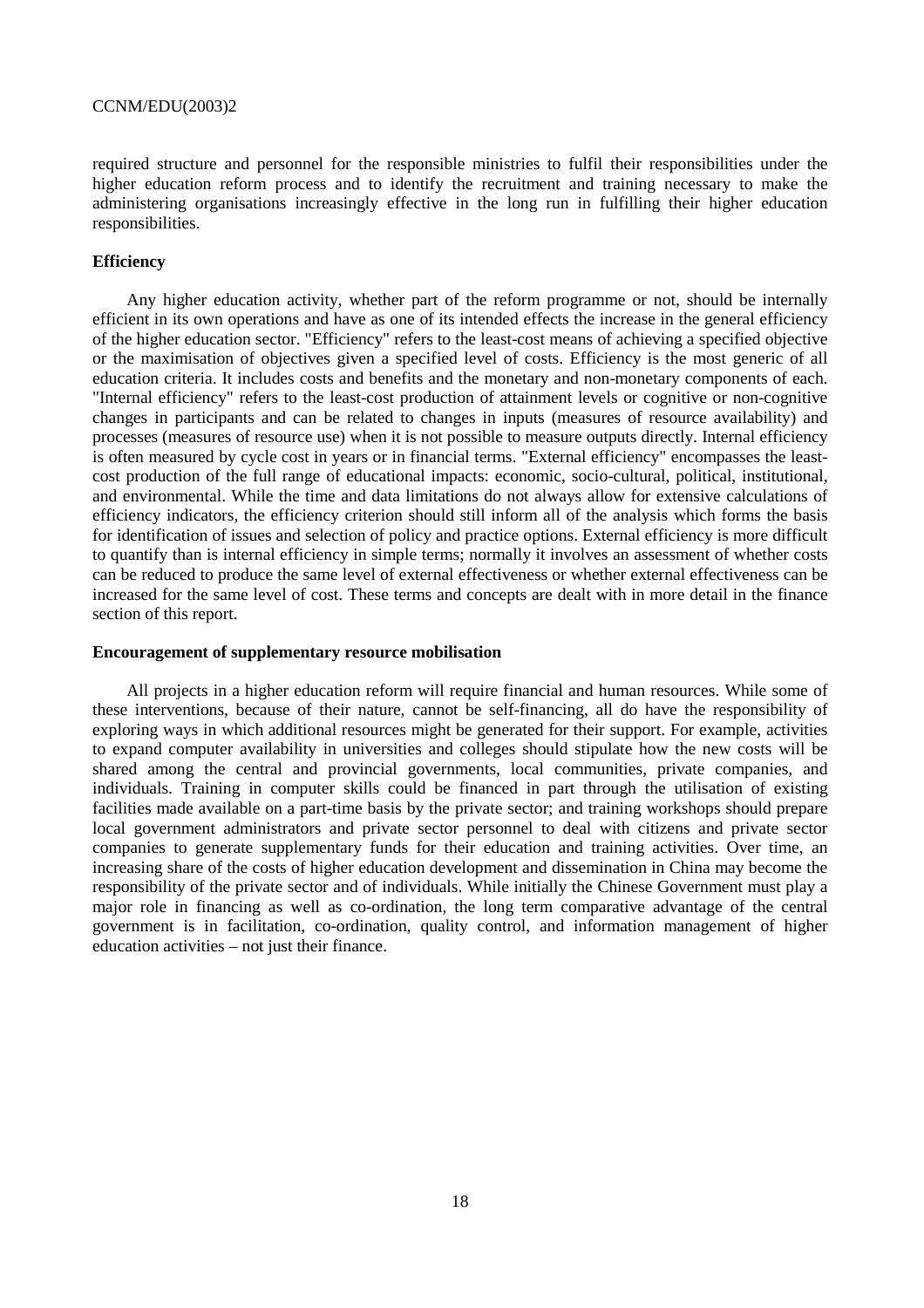required structure and personnel for the responsible ministries to fulfil their responsibilities under the higher education reform process and to identify the recruitment and training necessary to make the administering organisations increasingly effective in the long run in fulfilling their higher education responsibilities.

#### **Efficiency**

Any higher education activity, whether part of the reform programme or not, should be internally efficient in its own operations and have as one of its intended effects the increase in the general efficiency of the higher education sector. "Efficiency" refers to the least-cost means of achieving a specified objective or the maximisation of objectives given a specified level of costs. Efficiency is the most generic of all education criteria. It includes costs and benefits and the monetary and non-monetary components of each. "Internal efficiency" refers to the least-cost production of attainment levels or cognitive or non-cognitive changes in participants and can be related to changes in inputs (measures of resource availability) and processes (measures of resource use) when it is not possible to measure outputs directly. Internal efficiency is often measured by cycle cost in years or in financial terms. "External efficiency" encompasses the leastcost production of the full range of educational impacts: economic, socio-cultural, political, institutional, and environmental. While the time and data limitations do not always allow for extensive calculations of efficiency indicators, the efficiency criterion should still inform all of the analysis which forms the basis for identification of issues and selection of policy and practice options. External efficiency is more difficult to quantify than is internal efficiency in simple terms; normally it involves an assessment of whether costs can be reduced to produce the same level of external effectiveness or whether external effectiveness can be increased for the same level of cost. These terms and concepts are dealt with in more detail in the finance section of this report.

#### **Encouragement of supplementary resource mobilisation**

All projects in a higher education reform will require financial and human resources. While some of these interventions, because of their nature, cannot be self-financing, all do have the responsibility of exploring ways in which additional resources might be generated for their support. For example, activities to expand computer availability in universities and colleges should stipulate how the new costs will be shared among the central and provincial governments, local communities, private companies, and individuals. Training in computer skills could be financed in part through the utilisation of existing facilities made available on a part-time basis by the private sector; and training workshops should prepare local government administrators and private sector personnel to deal with citizens and private sector companies to generate supplementary funds for their education and training activities. Over time, an increasing share of the costs of higher education development and dissemination in China may become the responsibility of the private sector and of individuals. While initially the Chinese Government must play a major role in financing as well as co-ordination, the long term comparative advantage of the central government is in facilitation, co-ordination, quality control, and information management of higher education activities – not just their finance.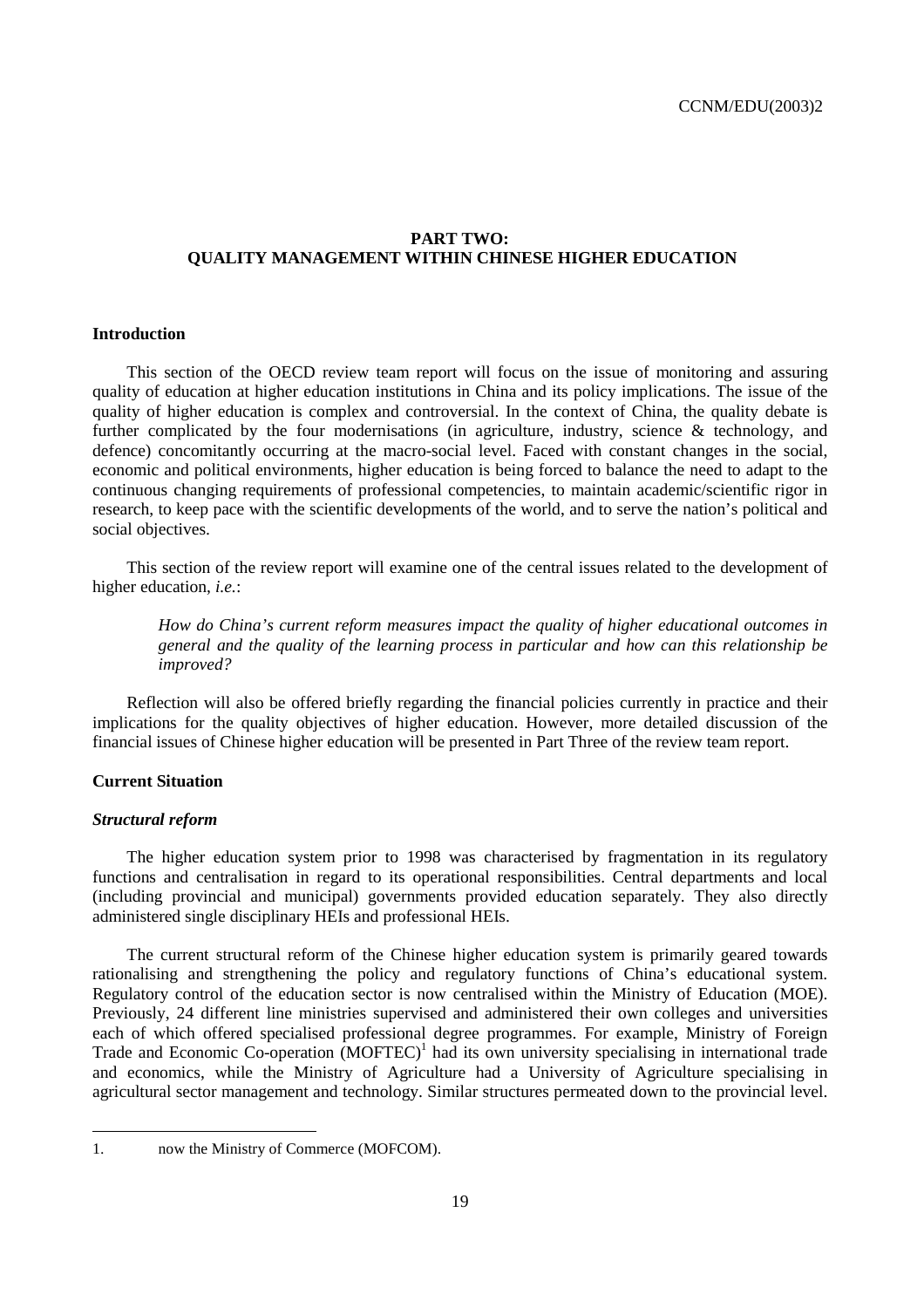# **PART TWO: QUALITY MANAGEMENT WITHIN CHINESE HIGHER EDUCATION**

# **Introduction**

This section of the OECD review team report will focus on the issue of monitoring and assuring quality of education at higher education institutions in China and its policy implications. The issue of the quality of higher education is complex and controversial. In the context of China, the quality debate is further complicated by the four modernisations (in agriculture, industry, science & technology, and defence) concomitantly occurring at the macro-social level. Faced with constant changes in the social, economic and political environments, higher education is being forced to balance the need to adapt to the continuous changing requirements of professional competencies, to maintain academic/scientific rigor in research, to keep pace with the scientific developments of the world, and to serve the nation's political and social objectives.

This section of the review report will examine one of the central issues related to the development of higher education, *i.e.*:

*How do China's current reform measures impact the quality of higher educational outcomes in general and the quality of the learning process in particular and how can this relationship be improved?* 

Reflection will also be offered briefly regarding the financial policies currently in practice and their implications for the quality objectives of higher education. However, more detailed discussion of the financial issues of Chinese higher education will be presented in Part Three of the review team report.

# **Current Situation**

#### *Structural reform*

The higher education system prior to 1998 was characterised by fragmentation in its regulatory functions and centralisation in regard to its operational responsibilities. Central departments and local (including provincial and municipal) governments provided education separately. They also directly administered single disciplinary HEIs and professional HEIs.

The current structural reform of the Chinese higher education system is primarily geared towards rationalising and strengthening the policy and regulatory functions of China's educational system. Regulatory control of the education sector is now centralised within the Ministry of Education (MOE). Previously, 24 different line ministries supervised and administered their own colleges and universities each of which offered specialised professional degree programmes. For example, Ministry of Foreign Trade and Economic Co-operation (MOFTEC)<sup>1</sup> had its own university specialising in international trade and economics, while the Ministry of Agriculture had a University of Agriculture specialising in agricultural sector management and technology. Similar structures permeated down to the provincial level.

 $\overline{a}$ 

<sup>1.</sup> now the Ministry of Commerce (MOFCOM).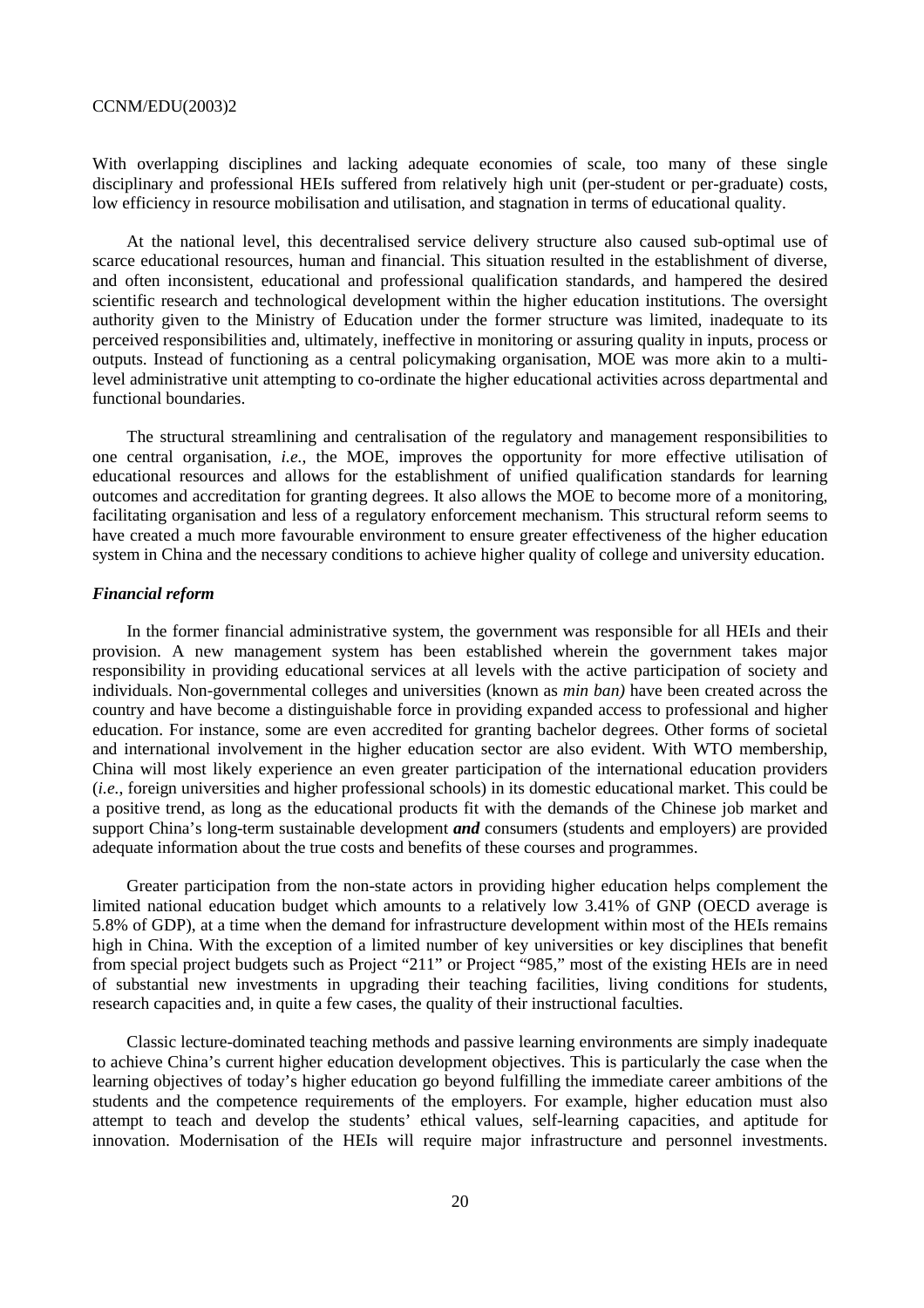With overlapping disciplines and lacking adequate economies of scale, too many of these single disciplinary and professional HEIs suffered from relatively high unit (per-student or per-graduate) costs, low efficiency in resource mobilisation and utilisation, and stagnation in terms of educational quality.

At the national level, this decentralised service delivery structure also caused sub-optimal use of scarce educational resources, human and financial. This situation resulted in the establishment of diverse, and often inconsistent, educational and professional qualification standards, and hampered the desired scientific research and technological development within the higher education institutions. The oversight authority given to the Ministry of Education under the former structure was limited, inadequate to its perceived responsibilities and, ultimately, ineffective in monitoring or assuring quality in inputs, process or outputs. Instead of functioning as a central policymaking organisation, MOE was more akin to a multilevel administrative unit attempting to co-ordinate the higher educational activities across departmental and functional boundaries.

The structural streamlining and centralisation of the regulatory and management responsibilities to one central organisation, *i.e.*, the MOE, improves the opportunity for more effective utilisation of educational resources and allows for the establishment of unified qualification standards for learning outcomes and accreditation for granting degrees. It also allows the MOE to become more of a monitoring, facilitating organisation and less of a regulatory enforcement mechanism. This structural reform seems to have created a much more favourable environment to ensure greater effectiveness of the higher education system in China and the necessary conditions to achieve higher quality of college and university education.

### *Financial reform*

In the former financial administrative system, the government was responsible for all HEIs and their provision. A new management system has been established wherein the government takes major responsibility in providing educational services at all levels with the active participation of society and individuals. Non-governmental colleges and universities (known as *min ban)* have been created across the country and have become a distinguishable force in providing expanded access to professional and higher education. For instance, some are even accredited for granting bachelor degrees. Other forms of societal and international involvement in the higher education sector are also evident. With WTO membership, China will most likely experience an even greater participation of the international education providers (*i.e.*, foreign universities and higher professional schools) in its domestic educational market. This could be a positive trend, as long as the educational products fit with the demands of the Chinese job market and support China's long-term sustainable development *and* consumers (students and employers) are provided adequate information about the true costs and benefits of these courses and programmes.

Greater participation from the non-state actors in providing higher education helps complement the limited national education budget which amounts to a relatively low 3.41% of GNP (OECD average is 5.8% of GDP), at a time when the demand for infrastructure development within most of the HEIs remains high in China. With the exception of a limited number of key universities or key disciplines that benefit from special project budgets such as Project "211" or Project "985," most of the existing HEIs are in need of substantial new investments in upgrading their teaching facilities, living conditions for students, research capacities and, in quite a few cases, the quality of their instructional faculties.

Classic lecture-dominated teaching methods and passive learning environments are simply inadequate to achieve China's current higher education development objectives. This is particularly the case when the learning objectives of today's higher education go beyond fulfilling the immediate career ambitions of the students and the competence requirements of the employers. For example, higher education must also attempt to teach and develop the students' ethical values, self-learning capacities, and aptitude for innovation. Modernisation of the HEIs will require major infrastructure and personnel investments.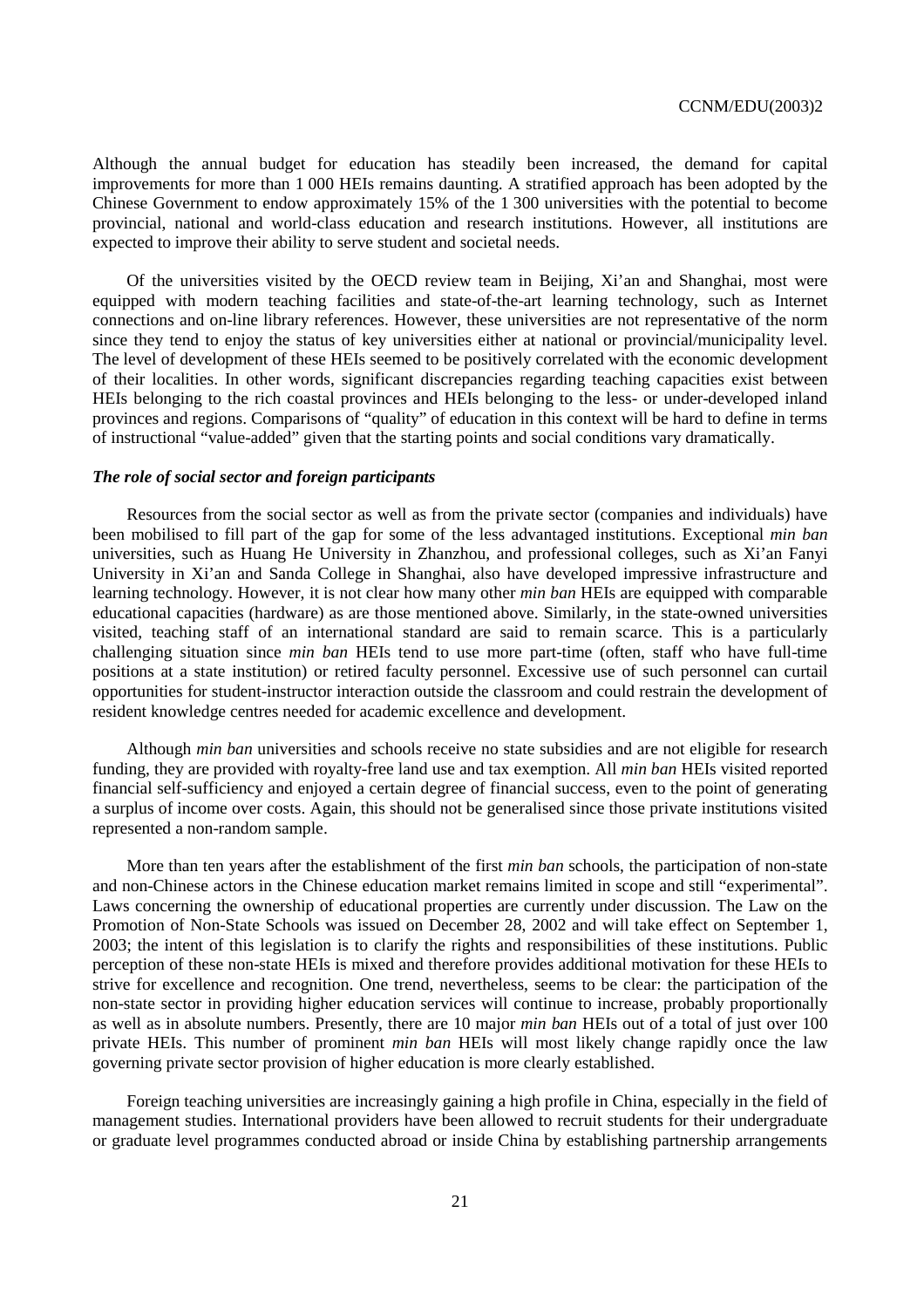Although the annual budget for education has steadily been increased, the demand for capital improvements for more than 1 000 HEIs remains daunting. A stratified approach has been adopted by the Chinese Government to endow approximately 15% of the 1 300 universities with the potential to become provincial, national and world-class education and research institutions. However, all institutions are expected to improve their ability to serve student and societal needs.

Of the universities visited by the OECD review team in Beijing, Xi'an and Shanghai, most were equipped with modern teaching facilities and state-of-the-art learning technology, such as Internet connections and on-line library references. However, these universities are not representative of the norm since they tend to enjoy the status of key universities either at national or provincial/municipality level. The level of development of these HEIs seemed to be positively correlated with the economic development of their localities. In other words, significant discrepancies regarding teaching capacities exist between HEIs belonging to the rich coastal provinces and HEIs belonging to the less- or under-developed inland provinces and regions. Comparisons of "quality" of education in this context will be hard to define in terms of instructional "value-added" given that the starting points and social conditions vary dramatically.

# *The role of social sector and foreign participants*

Resources from the social sector as well as from the private sector (companies and individuals) have been mobilised to fill part of the gap for some of the less advantaged institutions. Exceptional *min ban* universities, such as Huang He University in Zhanzhou, and professional colleges, such as Xi'an Fanyi University in Xi'an and Sanda College in Shanghai, also have developed impressive infrastructure and learning technology. However, it is not clear how many other *min ban* HEIs are equipped with comparable educational capacities (hardware) as are those mentioned above. Similarly, in the state-owned universities visited, teaching staff of an international standard are said to remain scarce. This is a particularly challenging situation since *min ban* HEIs tend to use more part-time (often, staff who have full-time positions at a state institution) or retired faculty personnel. Excessive use of such personnel can curtail opportunities for student-instructor interaction outside the classroom and could restrain the development of resident knowledge centres needed for academic excellence and development.

Although *min ban* universities and schools receive no state subsidies and are not eligible for research funding, they are provided with royalty-free land use and tax exemption. All *min ban* HEIs visited reported financial self-sufficiency and enjoyed a certain degree of financial success, even to the point of generating a surplus of income over costs. Again, this should not be generalised since those private institutions visited represented a non-random sample.

More than ten years after the establishment of the first *min ban* schools, the participation of non-state and non-Chinese actors in the Chinese education market remains limited in scope and still "experimental". Laws concerning the ownership of educational properties are currently under discussion. The Law on the Promotion of Non-State Schools was issued on December 28, 2002 and will take effect on September 1, 2003; the intent of this legislation is to clarify the rights and responsibilities of these institutions. Public perception of these non-state HEIs is mixed and therefore provides additional motivation for these HEIs to strive for excellence and recognition. One trend, nevertheless, seems to be clear: the participation of the non-state sector in providing higher education services will continue to increase, probably proportionally as well as in absolute numbers. Presently, there are 10 major *min ban* HEIs out of a total of just over 100 private HEIs. This number of prominent *min ban* HEIs will most likely change rapidly once the law governing private sector provision of higher education is more clearly established.

Foreign teaching universities are increasingly gaining a high profile in China, especially in the field of management studies. International providers have been allowed to recruit students for their undergraduate or graduate level programmes conducted abroad or inside China by establishing partnership arrangements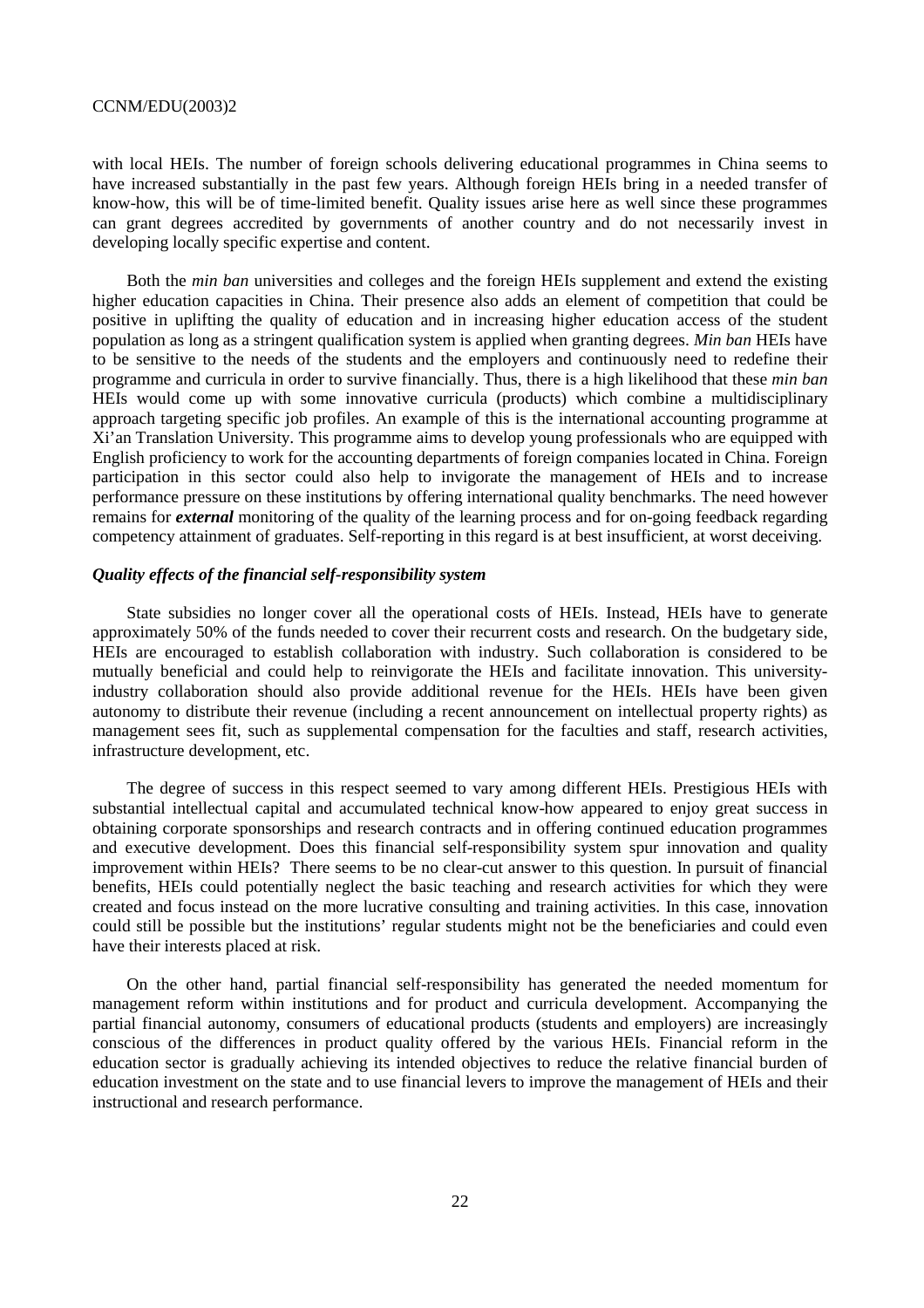with local HEIs. The number of foreign schools delivering educational programmes in China seems to have increased substantially in the past few years. Although foreign HEIs bring in a needed transfer of know-how, this will be of time-limited benefit. Quality issues arise here as well since these programmes can grant degrees accredited by governments of another country and do not necessarily invest in developing locally specific expertise and content.

Both the *min ban* universities and colleges and the foreign HEIs supplement and extend the existing higher education capacities in China. Their presence also adds an element of competition that could be positive in uplifting the quality of education and in increasing higher education access of the student population as long as a stringent qualification system is applied when granting degrees. *Min ban* HEIs have to be sensitive to the needs of the students and the employers and continuously need to redefine their programme and curricula in order to survive financially. Thus, there is a high likelihood that these *min ban* HEIs would come up with some innovative curricula (products) which combine a multidisciplinary approach targeting specific job profiles. An example of this is the international accounting programme at Xi'an Translation University. This programme aims to develop young professionals who are equipped with English proficiency to work for the accounting departments of foreign companies located in China. Foreign participation in this sector could also help to invigorate the management of HEIs and to increase performance pressure on these institutions by offering international quality benchmarks. The need however remains for *external* monitoring of the quality of the learning process and for on-going feedback regarding competency attainment of graduates. Self-reporting in this regard is at best insufficient, at worst deceiving.

# *Quality effects of the financial self-responsibility system*

State subsidies no longer cover all the operational costs of HEIs. Instead, HEIs have to generate approximately 50% of the funds needed to cover their recurrent costs and research. On the budgetary side, HEIs are encouraged to establish collaboration with industry. Such collaboration is considered to be mutually beneficial and could help to reinvigorate the HEIs and facilitate innovation. This universityindustry collaboration should also provide additional revenue for the HEIs. HEIs have been given autonomy to distribute their revenue (including a recent announcement on intellectual property rights) as management sees fit, such as supplemental compensation for the faculties and staff, research activities, infrastructure development, etc.

The degree of success in this respect seemed to vary among different HEIs. Prestigious HEIs with substantial intellectual capital and accumulated technical know-how appeared to enjoy great success in obtaining corporate sponsorships and research contracts and in offering continued education programmes and executive development. Does this financial self-responsibility system spur innovation and quality improvement within HEIs? There seems to be no clear-cut answer to this question. In pursuit of financial benefits, HEIs could potentially neglect the basic teaching and research activities for which they were created and focus instead on the more lucrative consulting and training activities. In this case, innovation could still be possible but the institutions' regular students might not be the beneficiaries and could even have their interests placed at risk.

On the other hand, partial financial self-responsibility has generated the needed momentum for management reform within institutions and for product and curricula development. Accompanying the partial financial autonomy, consumers of educational products (students and employers) are increasingly conscious of the differences in product quality offered by the various HEIs. Financial reform in the education sector is gradually achieving its intended objectives to reduce the relative financial burden of education investment on the state and to use financial levers to improve the management of HEIs and their instructional and research performance.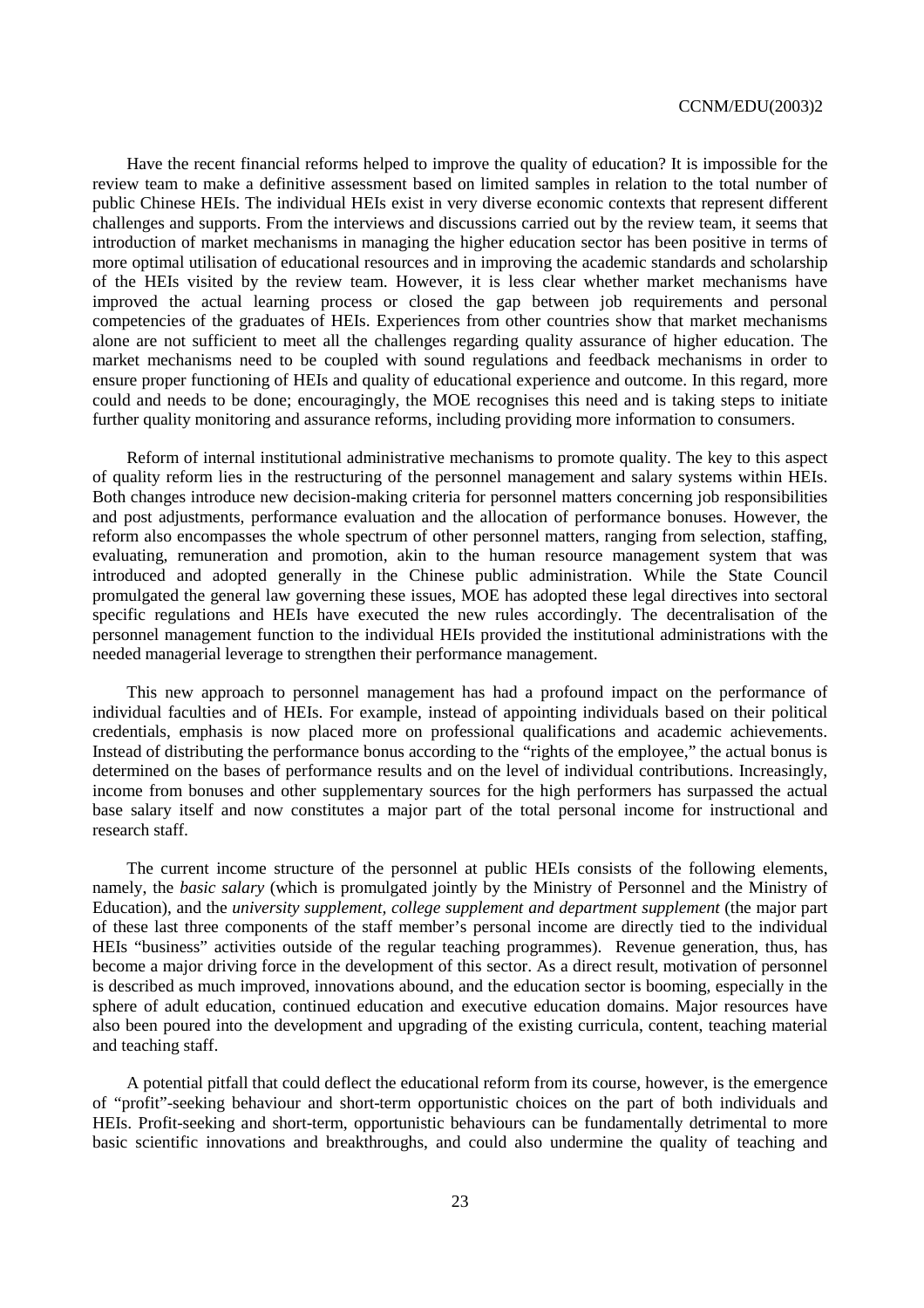Have the recent financial reforms helped to improve the quality of education? It is impossible for the review team to make a definitive assessment based on limited samples in relation to the total number of public Chinese HEIs. The individual HEIs exist in very diverse economic contexts that represent different challenges and supports. From the interviews and discussions carried out by the review team, it seems that introduction of market mechanisms in managing the higher education sector has been positive in terms of more optimal utilisation of educational resources and in improving the academic standards and scholarship of the HEIs visited by the review team. However, it is less clear whether market mechanisms have improved the actual learning process or closed the gap between job requirements and personal competencies of the graduates of HEIs. Experiences from other countries show that market mechanisms alone are not sufficient to meet all the challenges regarding quality assurance of higher education. The market mechanisms need to be coupled with sound regulations and feedback mechanisms in order to ensure proper functioning of HEIs and quality of educational experience and outcome. In this regard, more could and needs to be done; encouragingly, the MOE recognises this need and is taking steps to initiate further quality monitoring and assurance reforms, including providing more information to consumers.

Reform of internal institutional administrative mechanisms to promote quality. The key to this aspect of quality reform lies in the restructuring of the personnel management and salary systems within HEIs. Both changes introduce new decision-making criteria for personnel matters concerning job responsibilities and post adjustments, performance evaluation and the allocation of performance bonuses. However, the reform also encompasses the whole spectrum of other personnel matters, ranging from selection, staffing, evaluating, remuneration and promotion, akin to the human resource management system that was introduced and adopted generally in the Chinese public administration. While the State Council promulgated the general law governing these issues, MOE has adopted these legal directives into sectoral specific regulations and HEIs have executed the new rules accordingly. The decentralisation of the personnel management function to the individual HEIs provided the institutional administrations with the needed managerial leverage to strengthen their performance management.

This new approach to personnel management has had a profound impact on the performance of individual faculties and of HEIs. For example, instead of appointing individuals based on their political credentials, emphasis is now placed more on professional qualifications and academic achievements. Instead of distributing the performance bonus according to the "rights of the employee," the actual bonus is determined on the bases of performance results and on the level of individual contributions. Increasingly, income from bonuses and other supplementary sources for the high performers has surpassed the actual base salary itself and now constitutes a major part of the total personal income for instructional and research staff.

The current income structure of the personnel at public HEIs consists of the following elements, namely, the *basic salary* (which is promulgated jointly by the Ministry of Personnel and the Ministry of Education), and the *university supplement, college supplement and department supplement* (the major part of these last three components of the staff member's personal income are directly tied to the individual HEIs "business" activities outside of the regular teaching programmes). Revenue generation, thus, has become a major driving force in the development of this sector. As a direct result, motivation of personnel is described as much improved, innovations abound, and the education sector is booming, especially in the sphere of adult education, continued education and executive education domains. Major resources have also been poured into the development and upgrading of the existing curricula, content, teaching material and teaching staff.

A potential pitfall that could deflect the educational reform from its course, however, is the emergence of "profit"-seeking behaviour and short-term opportunistic choices on the part of both individuals and HEIs. Profit-seeking and short-term, opportunistic behaviours can be fundamentally detrimental to more basic scientific innovations and breakthroughs, and could also undermine the quality of teaching and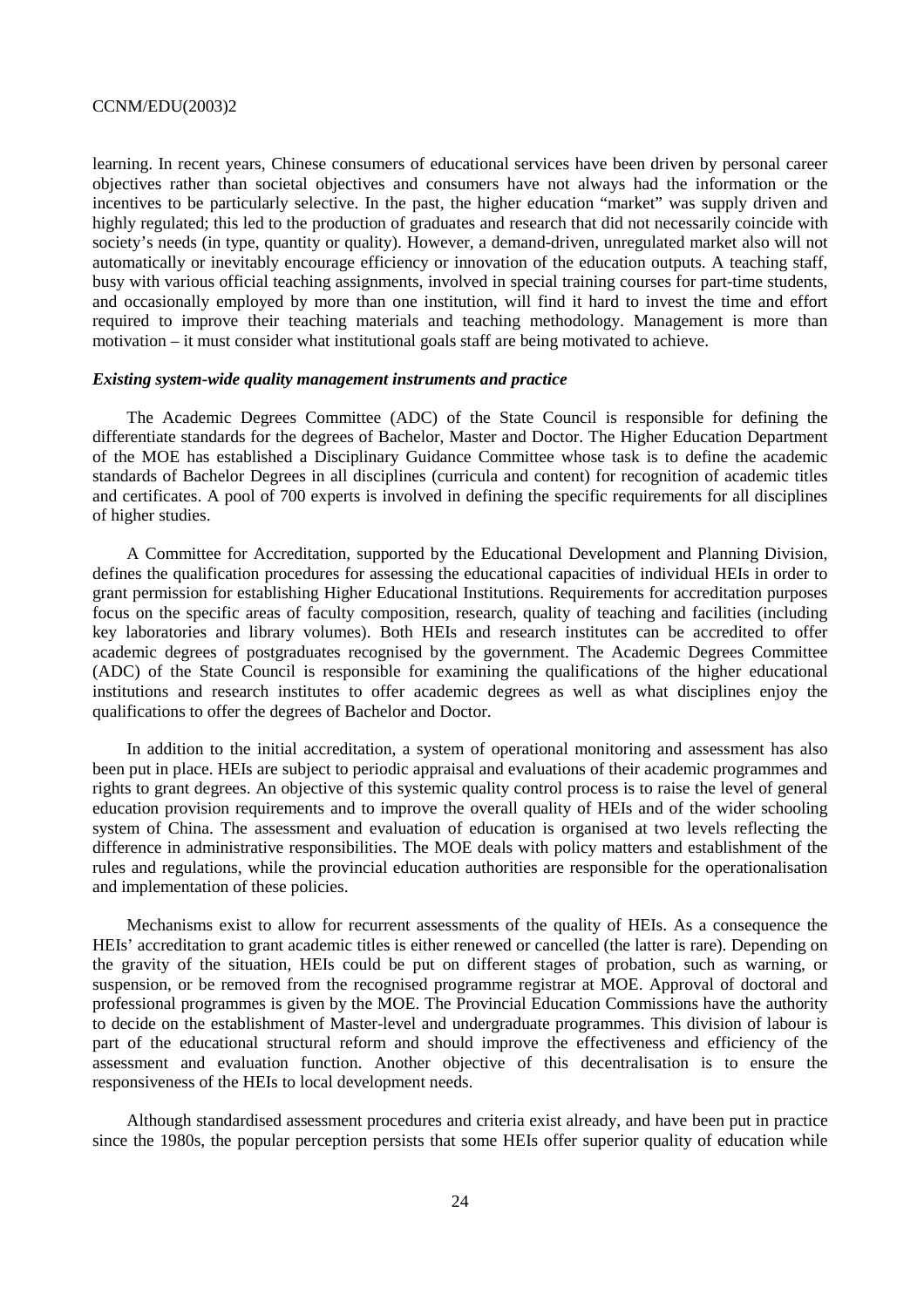learning. In recent years, Chinese consumers of educational services have been driven by personal career objectives rather than societal objectives and consumers have not always had the information or the incentives to be particularly selective. In the past, the higher education "market" was supply driven and highly regulated; this led to the production of graduates and research that did not necessarily coincide with society's needs (in type, quantity or quality). However, a demand-driven, unregulated market also will not automatically or inevitably encourage efficiency or innovation of the education outputs. A teaching staff, busy with various official teaching assignments, involved in special training courses for part-time students, and occasionally employed by more than one institution, will find it hard to invest the time and effort required to improve their teaching materials and teaching methodology. Management is more than motivation – it must consider what institutional goals staff are being motivated to achieve.

#### *Existing system-wide quality management instruments and practice*

The Academic Degrees Committee (ADC) of the State Council is responsible for defining the differentiate standards for the degrees of Bachelor, Master and Doctor. The Higher Education Department of the MOE has established a Disciplinary Guidance Committee whose task is to define the academic standards of Bachelor Degrees in all disciplines (curricula and content) for recognition of academic titles and certificates. A pool of 700 experts is involved in defining the specific requirements for all disciplines of higher studies.

A Committee for Accreditation, supported by the Educational Development and Planning Division, defines the qualification procedures for assessing the educational capacities of individual HEIs in order to grant permission for establishing Higher Educational Institutions. Requirements for accreditation purposes focus on the specific areas of faculty composition, research, quality of teaching and facilities (including key laboratories and library volumes). Both HEIs and research institutes can be accredited to offer academic degrees of postgraduates recognised by the government. The Academic Degrees Committee (ADC) of the State Council is responsible for examining the qualifications of the higher educational institutions and research institutes to offer academic degrees as well as what disciplines enjoy the qualifications to offer the degrees of Bachelor and Doctor.

In addition to the initial accreditation, a system of operational monitoring and assessment has also been put in place. HEIs are subject to periodic appraisal and evaluations of their academic programmes and rights to grant degrees. An objective of this systemic quality control process is to raise the level of general education provision requirements and to improve the overall quality of HEIs and of the wider schooling system of China. The assessment and evaluation of education is organised at two levels reflecting the difference in administrative responsibilities. The MOE deals with policy matters and establishment of the rules and regulations, while the provincial education authorities are responsible for the operationalisation and implementation of these policies.

Mechanisms exist to allow for recurrent assessments of the quality of HEIs. As a consequence the HEIs' accreditation to grant academic titles is either renewed or cancelled (the latter is rare). Depending on the gravity of the situation, HEIs could be put on different stages of probation, such as warning, or suspension, or be removed from the recognised programme registrar at MOE. Approval of doctoral and professional programmes is given by the MOE. The Provincial Education Commissions have the authority to decide on the establishment of Master-level and undergraduate programmes. This division of labour is part of the educational structural reform and should improve the effectiveness and efficiency of the assessment and evaluation function. Another objective of this decentralisation is to ensure the responsiveness of the HEIs to local development needs.

Although standardised assessment procedures and criteria exist already, and have been put in practice since the 1980s, the popular perception persists that some HEIs offer superior quality of education while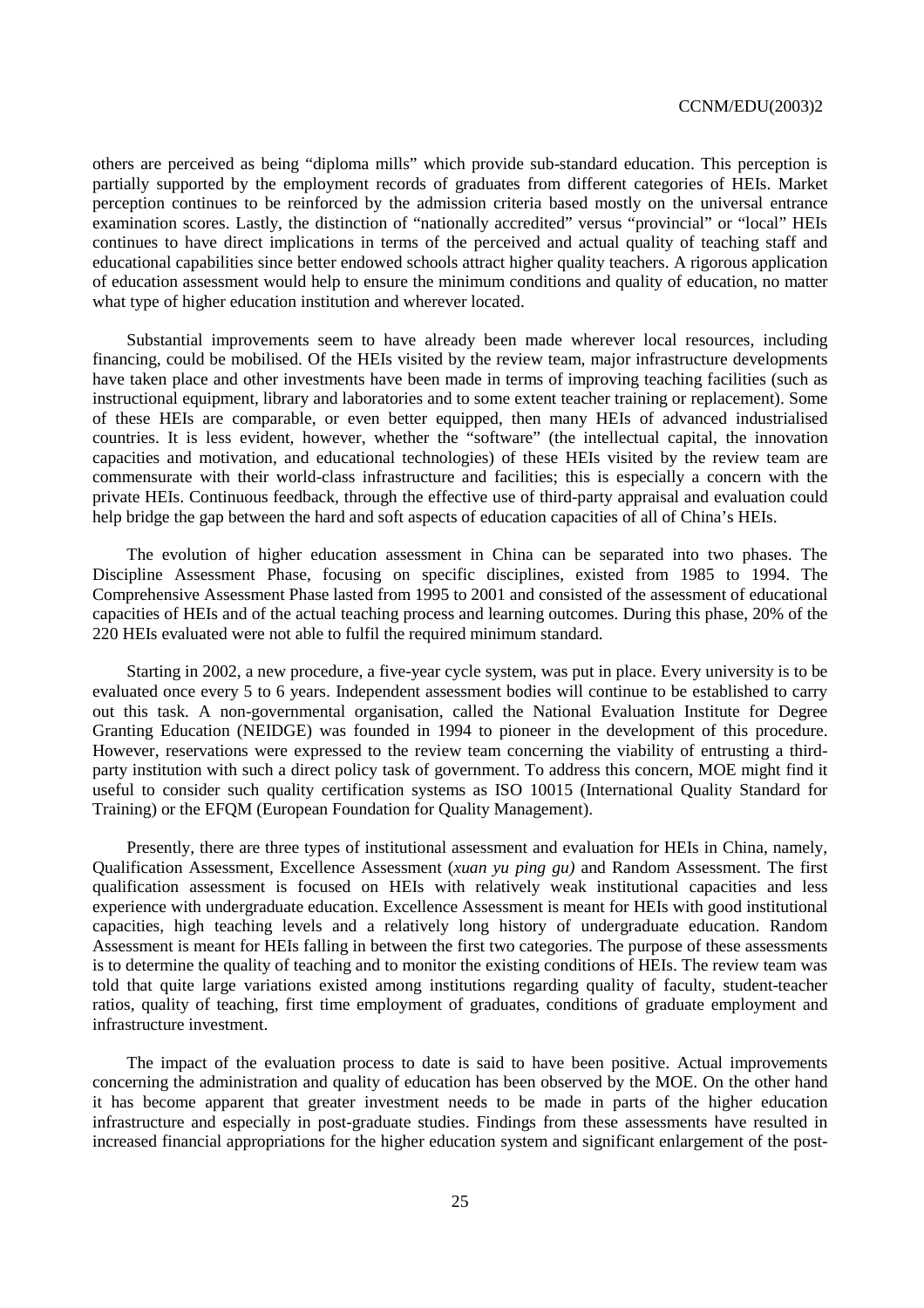others are perceived as being "diploma mills" which provide sub-standard education. This perception is partially supported by the employment records of graduates from different categories of HEIs. Market perception continues to be reinforced by the admission criteria based mostly on the universal entrance examination scores. Lastly, the distinction of "nationally accredited" versus "provincial" or "local" HEIs continues to have direct implications in terms of the perceived and actual quality of teaching staff and educational capabilities since better endowed schools attract higher quality teachers. A rigorous application of education assessment would help to ensure the minimum conditions and quality of education, no matter what type of higher education institution and wherever located.

Substantial improvements seem to have already been made wherever local resources, including financing, could be mobilised. Of the HEIs visited by the review team, major infrastructure developments have taken place and other investments have been made in terms of improving teaching facilities (such as instructional equipment, library and laboratories and to some extent teacher training or replacement). Some of these HEIs are comparable, or even better equipped, then many HEIs of advanced industrialised countries. It is less evident, however, whether the "software" (the intellectual capital, the innovation capacities and motivation, and educational technologies) of these HEIs visited by the review team are commensurate with their world-class infrastructure and facilities; this is especially a concern with the private HEIs. Continuous feedback, through the effective use of third-party appraisal and evaluation could help bridge the gap between the hard and soft aspects of education capacities of all of China's HEIs.

The evolution of higher education assessment in China can be separated into two phases. The Discipline Assessment Phase, focusing on specific disciplines, existed from 1985 to 1994. The Comprehensive Assessment Phase lasted from 1995 to 2001 and consisted of the assessment of educational capacities of HEIs and of the actual teaching process and learning outcomes. During this phase, 20% of the 220 HEIs evaluated were not able to fulfil the required minimum standard.

Starting in 2002, a new procedure, a five-year cycle system, was put in place. Every university is to be evaluated once every 5 to 6 years. Independent assessment bodies will continue to be established to carry out this task. A non-governmental organisation, called the National Evaluation Institute for Degree Granting Education (NEIDGE) was founded in 1994 to pioneer in the development of this procedure. However, reservations were expressed to the review team concerning the viability of entrusting a thirdparty institution with such a direct policy task of government. To address this concern, MOE might find it useful to consider such quality certification systems as ISO 10015 (International Quality Standard for Training) or the EFQM (European Foundation for Quality Management).

Presently, there are three types of institutional assessment and evaluation for HEIs in China, namely, Qualification Assessment, Excellence Assessment (*xuan yu ping gu)* and Random Assessment. The first qualification assessment is focused on HEIs with relatively weak institutional capacities and less experience with undergraduate education. Excellence Assessment is meant for HEIs with good institutional capacities, high teaching levels and a relatively long history of undergraduate education. Random Assessment is meant for HEIs falling in between the first two categories. The purpose of these assessments is to determine the quality of teaching and to monitor the existing conditions of HEIs. The review team was told that quite large variations existed among institutions regarding quality of faculty, student-teacher ratios, quality of teaching, first time employment of graduates, conditions of graduate employment and infrastructure investment.

The impact of the evaluation process to date is said to have been positive. Actual improvements concerning the administration and quality of education has been observed by the MOE. On the other hand it has become apparent that greater investment needs to be made in parts of the higher education infrastructure and especially in post-graduate studies. Findings from these assessments have resulted in increased financial appropriations for the higher education system and significant enlargement of the post-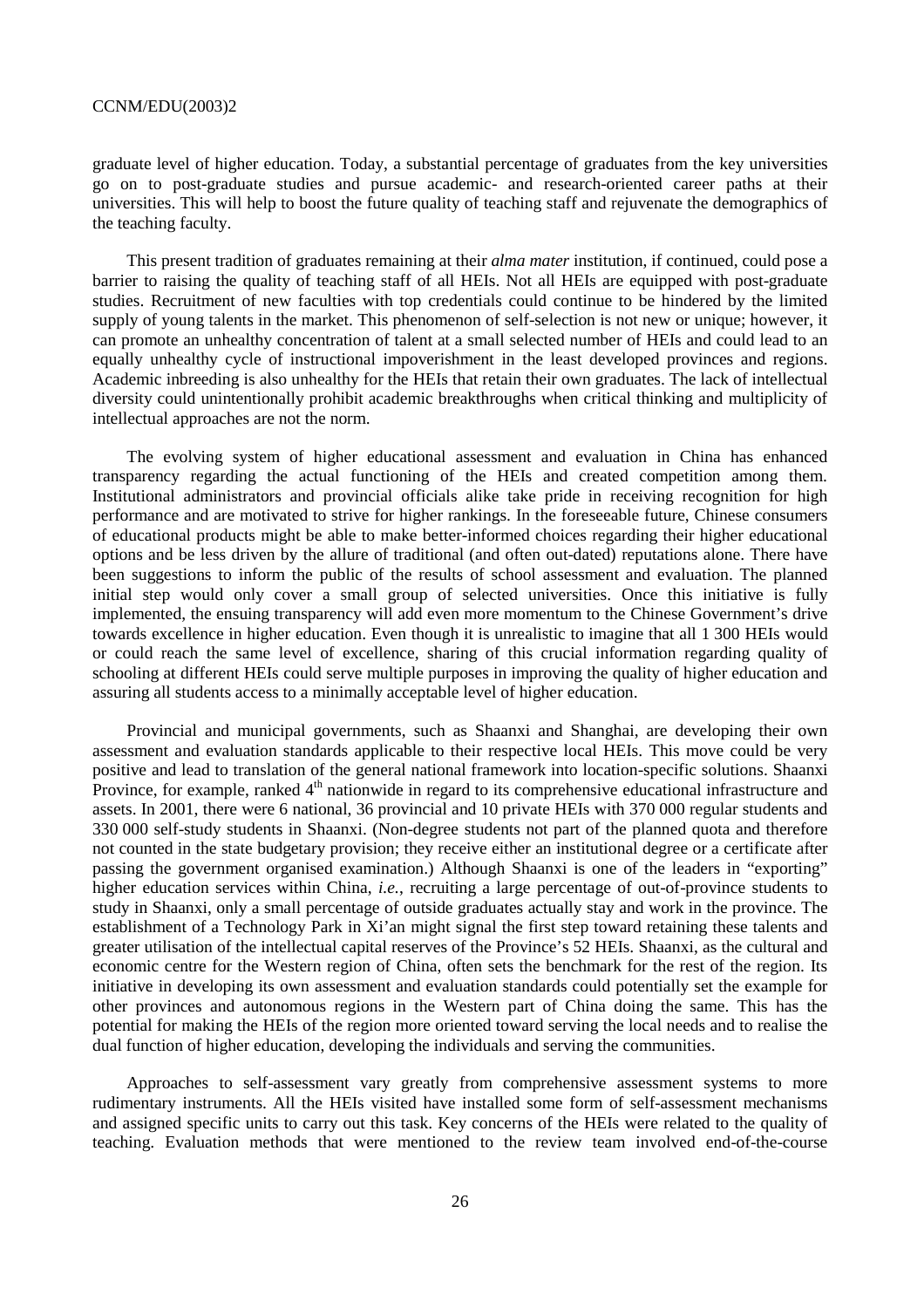graduate level of higher education. Today, a substantial percentage of graduates from the key universities go on to post-graduate studies and pursue academic- and research-oriented career paths at their universities. This will help to boost the future quality of teaching staff and rejuvenate the demographics of the teaching faculty.

This present tradition of graduates remaining at their *alma mater* institution, if continued, could pose a barrier to raising the quality of teaching staff of all HEIs. Not all HEIs are equipped with post-graduate studies. Recruitment of new faculties with top credentials could continue to be hindered by the limited supply of young talents in the market. This phenomenon of self-selection is not new or unique; however, it can promote an unhealthy concentration of talent at a small selected number of HEIs and could lead to an equally unhealthy cycle of instructional impoverishment in the least developed provinces and regions. Academic inbreeding is also unhealthy for the HEIs that retain their own graduates. The lack of intellectual diversity could unintentionally prohibit academic breakthroughs when critical thinking and multiplicity of intellectual approaches are not the norm.

The evolving system of higher educational assessment and evaluation in China has enhanced transparency regarding the actual functioning of the HEIs and created competition among them. Institutional administrators and provincial officials alike take pride in receiving recognition for high performance and are motivated to strive for higher rankings. In the foreseeable future, Chinese consumers of educational products might be able to make better-informed choices regarding their higher educational options and be less driven by the allure of traditional (and often out-dated) reputations alone. There have been suggestions to inform the public of the results of school assessment and evaluation. The planned initial step would only cover a small group of selected universities. Once this initiative is fully implemented, the ensuing transparency will add even more momentum to the Chinese Government's drive towards excellence in higher education. Even though it is unrealistic to imagine that all 1 300 HEIs would or could reach the same level of excellence, sharing of this crucial information regarding quality of schooling at different HEIs could serve multiple purposes in improving the quality of higher education and assuring all students access to a minimally acceptable level of higher education.

Provincial and municipal governments, such as Shaanxi and Shanghai, are developing their own assessment and evaluation standards applicable to their respective local HEIs. This move could be very positive and lead to translation of the general national framework into location-specific solutions. Shaanxi Province, for example, ranked 4<sup>th</sup> nationwide in regard to its comprehensive educational infrastructure and assets. In 2001, there were 6 national, 36 provincial and 10 private HEIs with 370 000 regular students and 330 000 self-study students in Shaanxi. (Non-degree students not part of the planned quota and therefore not counted in the state budgetary provision; they receive either an institutional degree or a certificate after passing the government organised examination.) Although Shaanxi is one of the leaders in "exporting" higher education services within China, *i.e.*, recruiting a large percentage of out-of-province students to study in Shaanxi, only a small percentage of outside graduates actually stay and work in the province. The establishment of a Technology Park in Xi'an might signal the first step toward retaining these talents and greater utilisation of the intellectual capital reserves of the Province's 52 HEIs. Shaanxi, as the cultural and economic centre for the Western region of China, often sets the benchmark for the rest of the region. Its initiative in developing its own assessment and evaluation standards could potentially set the example for other provinces and autonomous regions in the Western part of China doing the same. This has the potential for making the HEIs of the region more oriented toward serving the local needs and to realise the dual function of higher education, developing the individuals and serving the communities.

Approaches to self-assessment vary greatly from comprehensive assessment systems to more rudimentary instruments. All the HEIs visited have installed some form of self-assessment mechanisms and assigned specific units to carry out this task. Key concerns of the HEIs were related to the quality of teaching. Evaluation methods that were mentioned to the review team involved end-of-the-course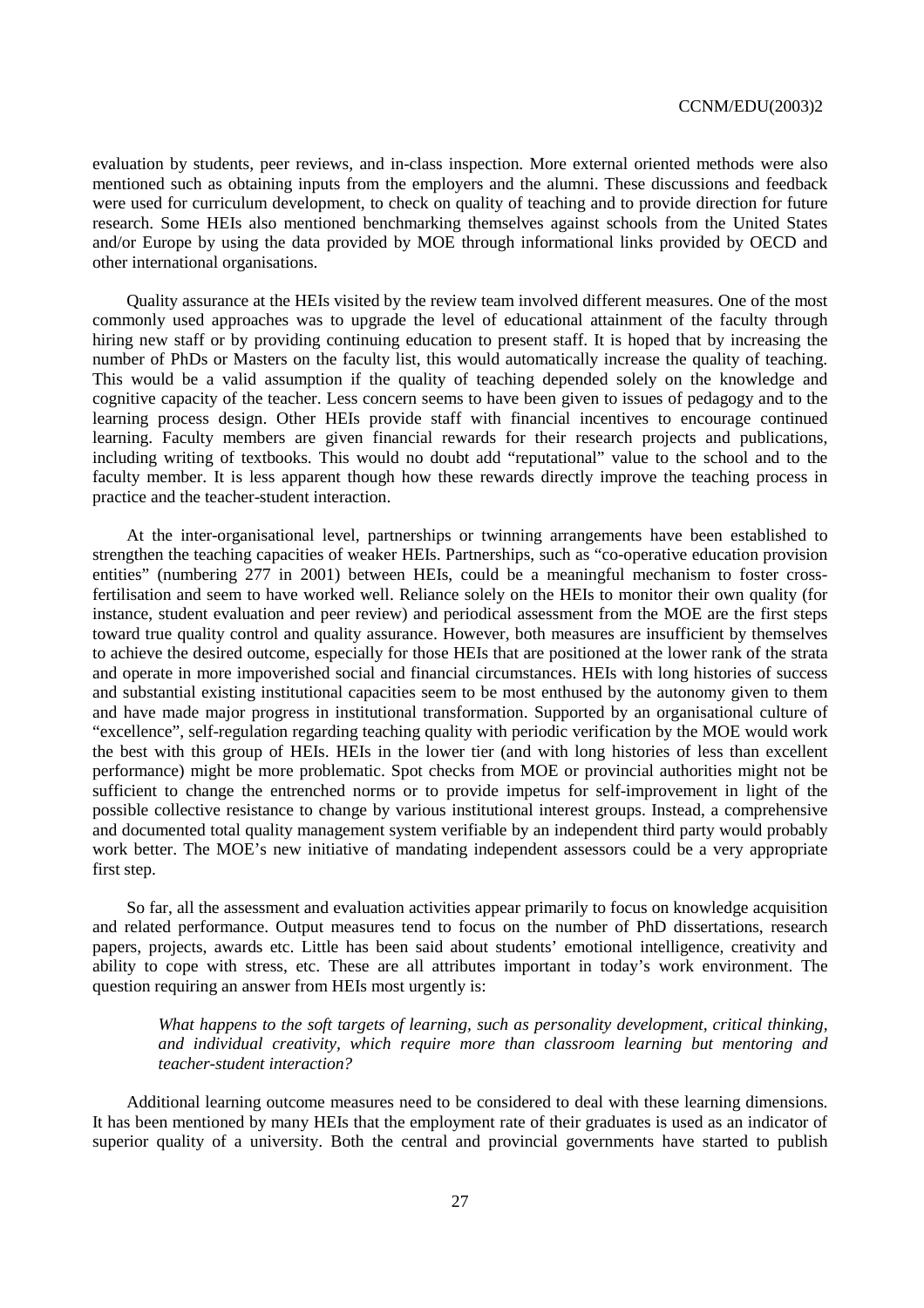evaluation by students, peer reviews, and in-class inspection. More external oriented methods were also mentioned such as obtaining inputs from the employers and the alumni. These discussions and feedback were used for curriculum development, to check on quality of teaching and to provide direction for future research. Some HEIs also mentioned benchmarking themselves against schools from the United States and/or Europe by using the data provided by MOE through informational links provided by OECD and other international organisations.

Quality assurance at the HEIs visited by the review team involved different measures. One of the most commonly used approaches was to upgrade the level of educational attainment of the faculty through hiring new staff or by providing continuing education to present staff. It is hoped that by increasing the number of PhDs or Masters on the faculty list, this would automatically increase the quality of teaching. This would be a valid assumption if the quality of teaching depended solely on the knowledge and cognitive capacity of the teacher. Less concern seems to have been given to issues of pedagogy and to the learning process design. Other HEIs provide staff with financial incentives to encourage continued learning. Faculty members are given financial rewards for their research projects and publications, including writing of textbooks. This would no doubt add "reputational" value to the school and to the faculty member. It is less apparent though how these rewards directly improve the teaching process in practice and the teacher-student interaction.

At the inter-organisational level, partnerships or twinning arrangements have been established to strengthen the teaching capacities of weaker HEIs. Partnerships, such as "co-operative education provision entities" (numbering 277 in 2001) between HEIs, could be a meaningful mechanism to foster crossfertilisation and seem to have worked well. Reliance solely on the HEIs to monitor their own quality (for instance, student evaluation and peer review) and periodical assessment from the MOE are the first steps toward true quality control and quality assurance. However, both measures are insufficient by themselves to achieve the desired outcome, especially for those HEIs that are positioned at the lower rank of the strata and operate in more impoverished social and financial circumstances. HEIs with long histories of success and substantial existing institutional capacities seem to be most enthused by the autonomy given to them and have made major progress in institutional transformation. Supported by an organisational culture of "excellence", self-regulation regarding teaching quality with periodic verification by the MOE would work the best with this group of HEIs. HEIs in the lower tier (and with long histories of less than excellent performance) might be more problematic. Spot checks from MOE or provincial authorities might not be sufficient to change the entrenched norms or to provide impetus for self-improvement in light of the possible collective resistance to change by various institutional interest groups. Instead, a comprehensive and documented total quality management system verifiable by an independent third party would probably work better. The MOE's new initiative of mandating independent assessors could be a very appropriate first step.

So far, all the assessment and evaluation activities appear primarily to focus on knowledge acquisition and related performance. Output measures tend to focus on the number of PhD dissertations, research papers, projects, awards etc. Little has been said about students' emotional intelligence, creativity and ability to cope with stress, etc. These are all attributes important in today's work environment. The question requiring an answer from HEIs most urgently is:

*What happens to the soft targets of learning, such as personality development, critical thinking, and individual creativity, which require more than classroom learning but mentoring and teacher-student interaction?* 

Additional learning outcome measures need to be considered to deal with these learning dimensions. It has been mentioned by many HEIs that the employment rate of their graduates is used as an indicator of superior quality of a university. Both the central and provincial governments have started to publish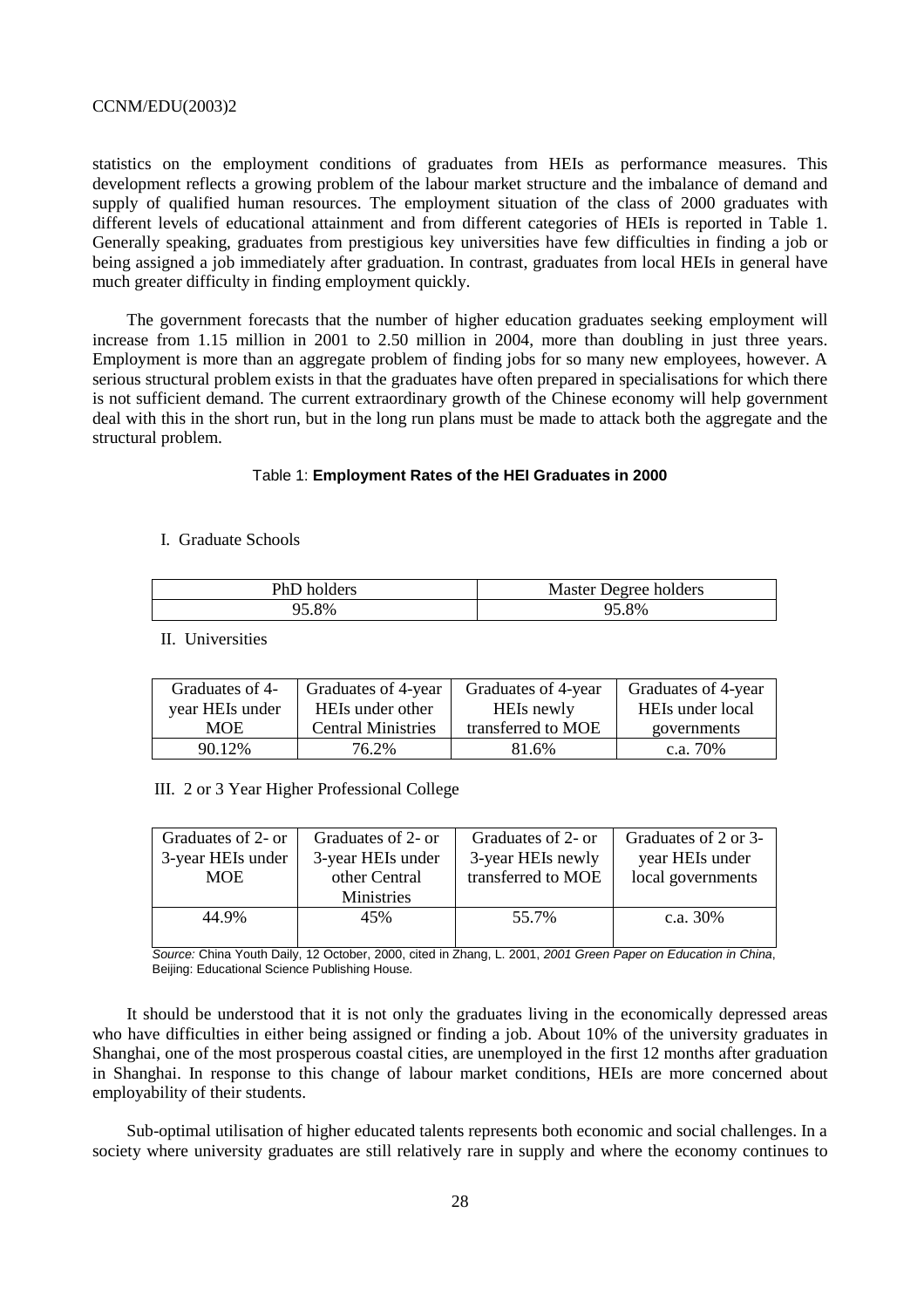statistics on the employment conditions of graduates from HEIs as performance measures. This development reflects a growing problem of the labour market structure and the imbalance of demand and supply of qualified human resources. The employment situation of the class of 2000 graduates with different levels of educational attainment and from different categories of HEIs is reported in Table 1. Generally speaking, graduates from prestigious key universities have few difficulties in finding a job or being assigned a job immediately after graduation. In contrast, graduates from local HEIs in general have much greater difficulty in finding employment quickly.

The government forecasts that the number of higher education graduates seeking employment will increase from 1.15 million in 2001 to 2.50 million in 2004, more than doubling in just three years. Employment is more than an aggregate problem of finding jobs for so many new employees, however. A serious structural problem exists in that the graduates have often prepared in specialisations for which there is not sufficient demand. The current extraordinary growth of the Chinese economy will help government deal with this in the short run, but in the long run plans must be made to attack both the aggregate and the structural problem.

#### Table 1: **Employment Rates of the HEI Graduates in 2000**

# I. Graduate Schools

| PhD holders | Master Degree holders |
|-------------|-----------------------|
| 8%          | 95.8%                 |

# II. Universities

| Graduates of 4- | Graduates of 4-year       | Graduates of 4-year | Graduates of 4-year |
|-----------------|---------------------------|---------------------|---------------------|
| year HEIs under | HEIs under other          | HEIs newly          | HEIs under local    |
| MOE             | <b>Central Ministries</b> | transferred to MOE  | governments         |
| 90.12%          | 76.2%                     | 81.6%               | c.a. $70\%$         |

III. 2 or 3 Year Higher Professional College

| Graduates of 2- or | Graduates of 2- or | Graduates of 2- or | Graduates of 2 or 3- |
|--------------------|--------------------|--------------------|----------------------|
| 3-year HEIs under  | 3-year HEIs under  | 3-year HEIs newly  | year HEIs under      |
| <b>MOE</b>         | other Central      | transferred to MOE | local governments    |
|                    | <b>Ministries</b>  |                    |                      |
| 44.9%              | 45%                | 55.7%              | c.a. $30\%$          |
|                    |                    |                    |                      |

Source: China Youth Daily, 12 October, 2000, cited in Zhang, L. 2001, 2001 Green Paper on Education in China, Beijing: Educational Science Publishing House.

It should be understood that it is not only the graduates living in the economically depressed areas who have difficulties in either being assigned or finding a job. About 10% of the university graduates in Shanghai, one of the most prosperous coastal cities, are unemployed in the first 12 months after graduation in Shanghai. In response to this change of labour market conditions, HEIs are more concerned about employability of their students.

Sub-optimal utilisation of higher educated talents represents both economic and social challenges. In a society where university graduates are still relatively rare in supply and where the economy continues to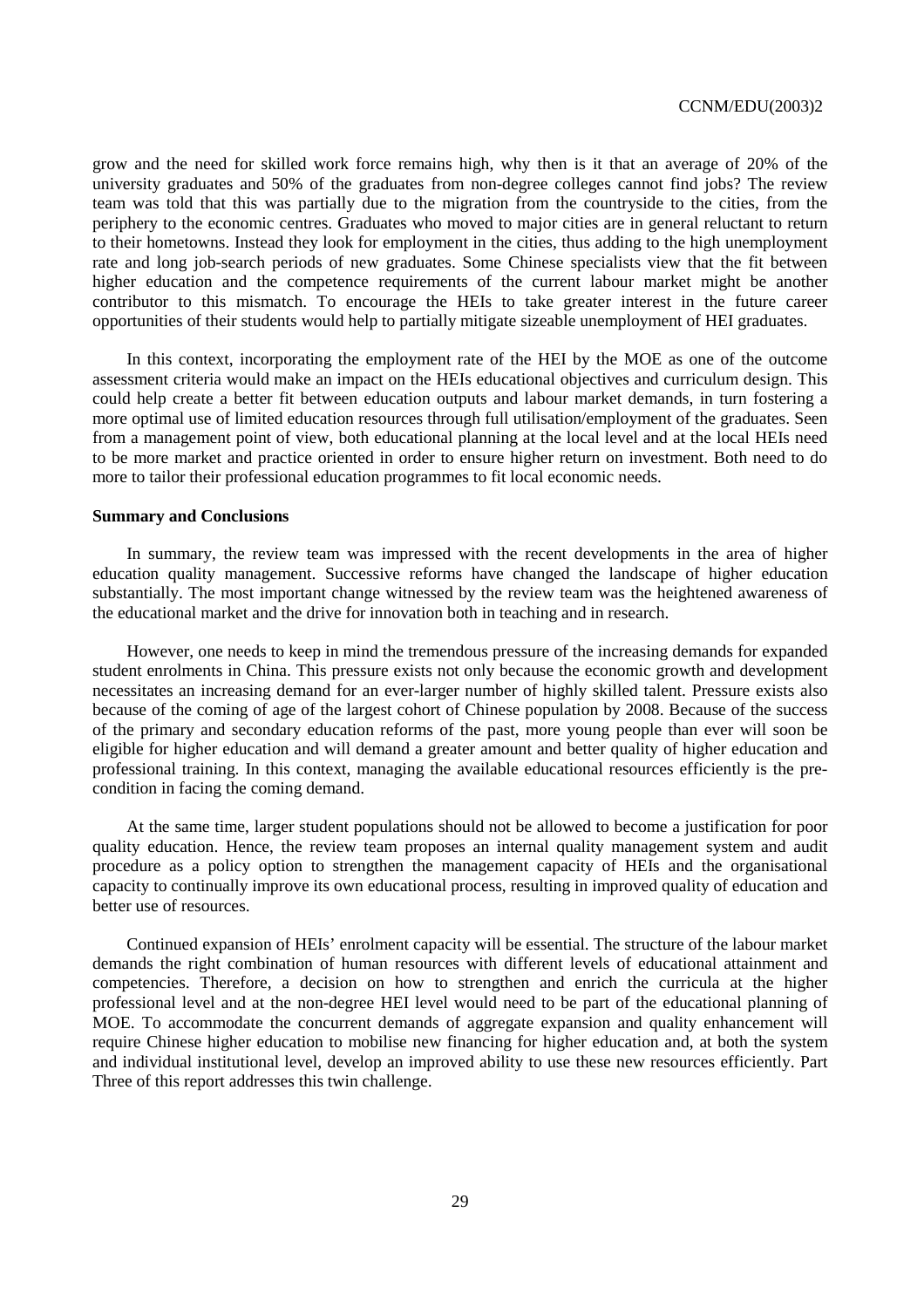grow and the need for skilled work force remains high, why then is it that an average of 20% of the university graduates and 50% of the graduates from non-degree colleges cannot find jobs? The review team was told that this was partially due to the migration from the countryside to the cities, from the periphery to the economic centres. Graduates who moved to major cities are in general reluctant to return to their hometowns. Instead they look for employment in the cities, thus adding to the high unemployment rate and long job-search periods of new graduates. Some Chinese specialists view that the fit between higher education and the competence requirements of the current labour market might be another contributor to this mismatch. To encourage the HEIs to take greater interest in the future career opportunities of their students would help to partially mitigate sizeable unemployment of HEI graduates.

In this context, incorporating the employment rate of the HEI by the MOE as one of the outcome assessment criteria would make an impact on the HEIs educational objectives and curriculum design. This could help create a better fit between education outputs and labour market demands, in turn fostering a more optimal use of limited education resources through full utilisation/employment of the graduates. Seen from a management point of view, both educational planning at the local level and at the local HEIs need to be more market and practice oriented in order to ensure higher return on investment. Both need to do more to tailor their professional education programmes to fit local economic needs.

#### **Summary and Conclusions**

In summary, the review team was impressed with the recent developments in the area of higher education quality management. Successive reforms have changed the landscape of higher education substantially. The most important change witnessed by the review team was the heightened awareness of the educational market and the drive for innovation both in teaching and in research.

However, one needs to keep in mind the tremendous pressure of the increasing demands for expanded student enrolments in China. This pressure exists not only because the economic growth and development necessitates an increasing demand for an ever-larger number of highly skilled talent. Pressure exists also because of the coming of age of the largest cohort of Chinese population by 2008. Because of the success of the primary and secondary education reforms of the past, more young people than ever will soon be eligible for higher education and will demand a greater amount and better quality of higher education and professional training. In this context, managing the available educational resources efficiently is the precondition in facing the coming demand.

At the same time, larger student populations should not be allowed to become a justification for poor quality education. Hence, the review team proposes an internal quality management system and audit procedure as a policy option to strengthen the management capacity of HEIs and the organisational capacity to continually improve its own educational process, resulting in improved quality of education and better use of resources.

Continued expansion of HEIs' enrolment capacity will be essential. The structure of the labour market demands the right combination of human resources with different levels of educational attainment and competencies. Therefore, a decision on how to strengthen and enrich the curricula at the higher professional level and at the non-degree HEI level would need to be part of the educational planning of MOE. To accommodate the concurrent demands of aggregate expansion and quality enhancement will require Chinese higher education to mobilise new financing for higher education and, at both the system and individual institutional level, develop an improved ability to use these new resources efficiently. Part Three of this report addresses this twin challenge.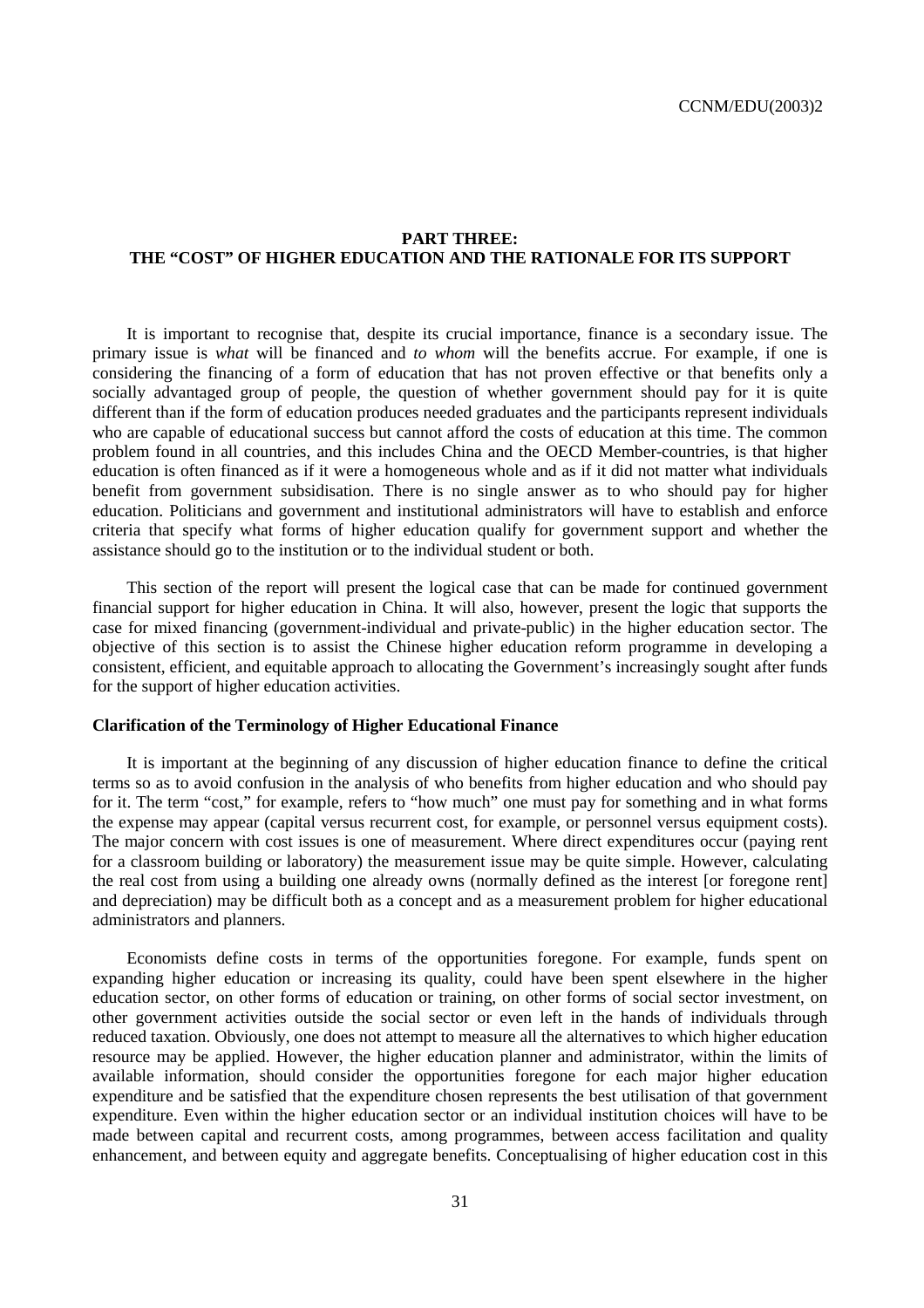# **PART THREE: THE "COST" OF HIGHER EDUCATION AND THE RATIONALE FOR ITS SUPPORT**

It is important to recognise that, despite its crucial importance, finance is a secondary issue. The primary issue is *what* will be financed and *to whom* will the benefits accrue. For example, if one is considering the financing of a form of education that has not proven effective or that benefits only a socially advantaged group of people, the question of whether government should pay for it is quite different than if the form of education produces needed graduates and the participants represent individuals who are capable of educational success but cannot afford the costs of education at this time. The common problem found in all countries, and this includes China and the OECD Member-countries, is that higher education is often financed as if it were a homogeneous whole and as if it did not matter what individuals benefit from government subsidisation. There is no single answer as to who should pay for higher education. Politicians and government and institutional administrators will have to establish and enforce criteria that specify what forms of higher education qualify for government support and whether the assistance should go to the institution or to the individual student or both.

This section of the report will present the logical case that can be made for continued government financial support for higher education in China. It will also, however, present the logic that supports the case for mixed financing (government-individual and private-public) in the higher education sector. The objective of this section is to assist the Chinese higher education reform programme in developing a consistent, efficient, and equitable approach to allocating the Government's increasingly sought after funds for the support of higher education activities.

# **Clarification of the Terminology of Higher Educational Finance**

It is important at the beginning of any discussion of higher education finance to define the critical terms so as to avoid confusion in the analysis of who benefits from higher education and who should pay for it. The term "cost," for example, refers to "how much" one must pay for something and in what forms the expense may appear (capital versus recurrent cost, for example, or personnel versus equipment costs). The major concern with cost issues is one of measurement. Where direct expenditures occur (paying rent for a classroom building or laboratory) the measurement issue may be quite simple. However, calculating the real cost from using a building one already owns (normally defined as the interest [or foregone rent] and depreciation) may be difficult both as a concept and as a measurement problem for higher educational administrators and planners.

Economists define costs in terms of the opportunities foregone. For example, funds spent on expanding higher education or increasing its quality, could have been spent elsewhere in the higher education sector, on other forms of education or training, on other forms of social sector investment, on other government activities outside the social sector or even left in the hands of individuals through reduced taxation. Obviously, one does not attempt to measure all the alternatives to which higher education resource may be applied. However, the higher education planner and administrator, within the limits of available information, should consider the opportunities foregone for each major higher education expenditure and be satisfied that the expenditure chosen represents the best utilisation of that government expenditure. Even within the higher education sector or an individual institution choices will have to be made between capital and recurrent costs, among programmes, between access facilitation and quality enhancement, and between equity and aggregate benefits. Conceptualising of higher education cost in this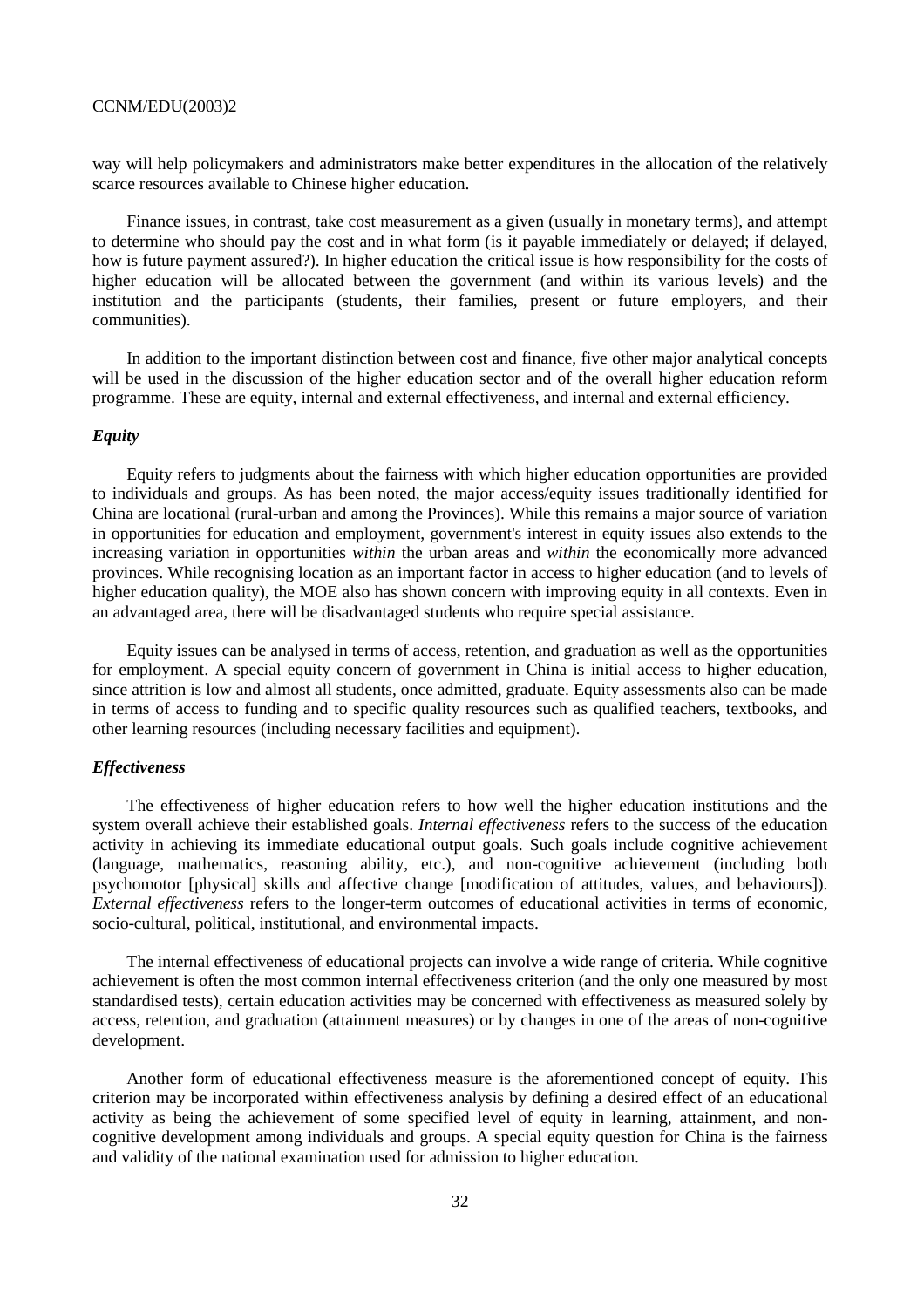way will help policymakers and administrators make better expenditures in the allocation of the relatively scarce resources available to Chinese higher education.

Finance issues, in contrast, take cost measurement as a given (usually in monetary terms), and attempt to determine who should pay the cost and in what form (is it payable immediately or delayed; if delayed, how is future payment assured?). In higher education the critical issue is how responsibility for the costs of higher education will be allocated between the government (and within its various levels) and the institution and the participants (students, their families, present or future employers, and their communities).

In addition to the important distinction between cost and finance, five other major analytical concepts will be used in the discussion of the higher education sector and of the overall higher education reform programme. These are equity, internal and external effectiveness, and internal and external efficiency.

# *Equity*

Equity refers to judgments about the fairness with which higher education opportunities are provided to individuals and groups. As has been noted, the major access/equity issues traditionally identified for China are locational (rural-urban and among the Provinces). While this remains a major source of variation in opportunities for education and employment, government's interest in equity issues also extends to the increasing variation in opportunities *within* the urban areas and *within* the economically more advanced provinces. While recognising location as an important factor in access to higher education (and to levels of higher education quality), the MOE also has shown concern with improving equity in all contexts. Even in an advantaged area, there will be disadvantaged students who require special assistance.

Equity issues can be analysed in terms of access, retention, and graduation as well as the opportunities for employment. A special equity concern of government in China is initial access to higher education, since attrition is low and almost all students, once admitted, graduate. Equity assessments also can be made in terms of access to funding and to specific quality resources such as qualified teachers, textbooks, and other learning resources (including necessary facilities and equipment).

#### *Effectiveness*

The effectiveness of higher education refers to how well the higher education institutions and the system overall achieve their established goals. *Internal effectiveness* refers to the success of the education activity in achieving its immediate educational output goals. Such goals include cognitive achievement (language, mathematics, reasoning ability, etc.), and non-cognitive achievement (including both psychomotor [physical] skills and affective change [modification of attitudes, values, and behaviours]). *External effectiveness* refers to the longer-term outcomes of educational activities in terms of economic, socio-cultural, political, institutional, and environmental impacts.

The internal effectiveness of educational projects can involve a wide range of criteria. While cognitive achievement is often the most common internal effectiveness criterion (and the only one measured by most standardised tests), certain education activities may be concerned with effectiveness as measured solely by access, retention, and graduation (attainment measures) or by changes in one of the areas of non-cognitive development.

Another form of educational effectiveness measure is the aforementioned concept of equity. This criterion may be incorporated within effectiveness analysis by defining a desired effect of an educational activity as being the achievement of some specified level of equity in learning, attainment, and noncognitive development among individuals and groups. A special equity question for China is the fairness and validity of the national examination used for admission to higher education.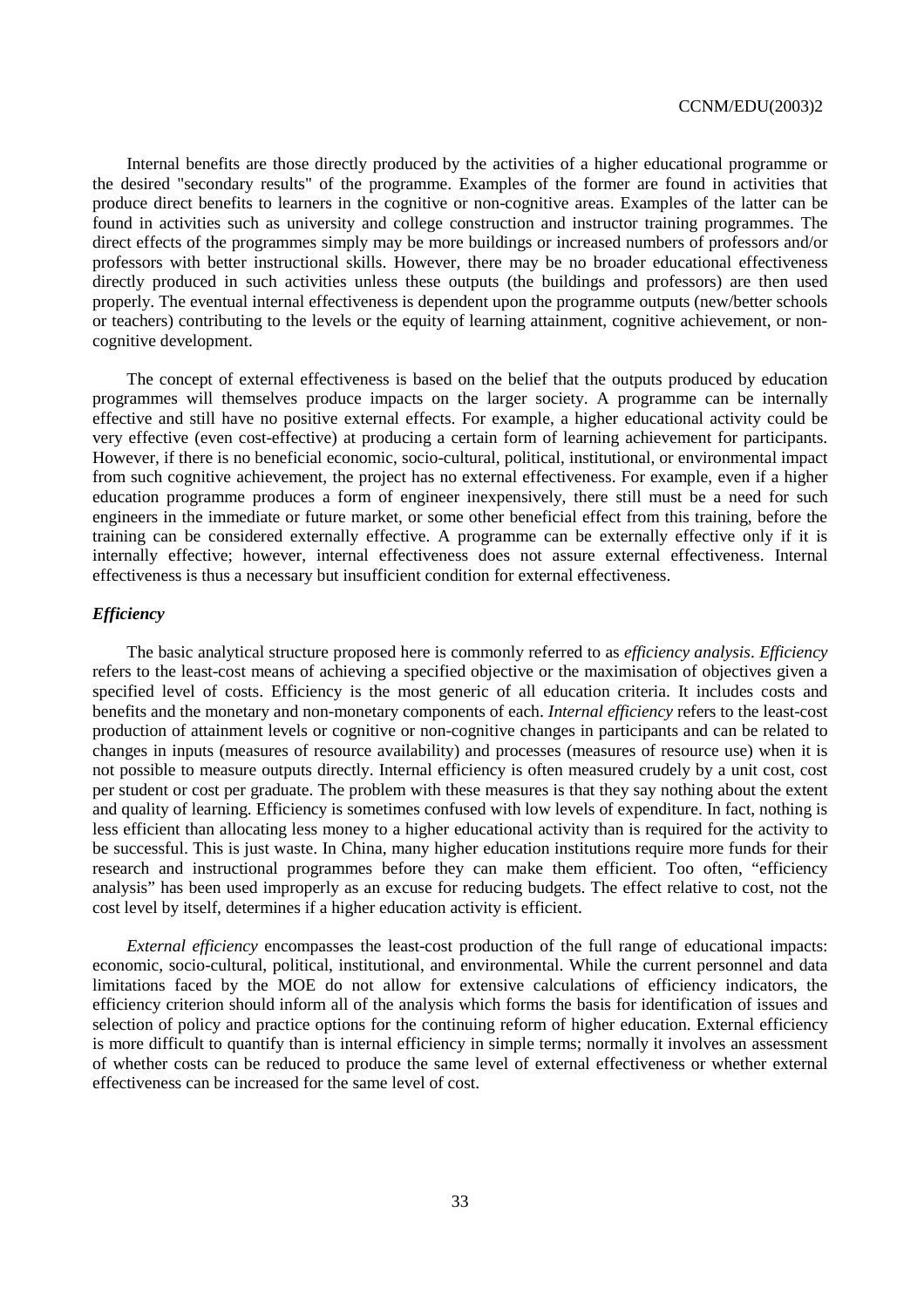Internal benefits are those directly produced by the activities of a higher educational programme or the desired "secondary results" of the programme. Examples of the former are found in activities that produce direct benefits to learners in the cognitive or non-cognitive areas. Examples of the latter can be found in activities such as university and college construction and instructor training programmes. The direct effects of the programmes simply may be more buildings or increased numbers of professors and/or professors with better instructional skills. However, there may be no broader educational effectiveness directly produced in such activities unless these outputs (the buildings and professors) are then used properly. The eventual internal effectiveness is dependent upon the programme outputs (new/better schools or teachers) contributing to the levels or the equity of learning attainment, cognitive achievement, or noncognitive development.

The concept of external effectiveness is based on the belief that the outputs produced by education programmes will themselves produce impacts on the larger society. A programme can be internally effective and still have no positive external effects. For example, a higher educational activity could be very effective (even cost-effective) at producing a certain form of learning achievement for participants. However, if there is no beneficial economic, socio-cultural, political, institutional, or environmental impact from such cognitive achievement, the project has no external effectiveness. For example, even if a higher education programme produces a form of engineer inexpensively, there still must be a need for such engineers in the immediate or future market, or some other beneficial effect from this training, before the training can be considered externally effective. A programme can be externally effective only if it is internally effective; however, internal effectiveness does not assure external effectiveness. Internal effectiveness is thus a necessary but insufficient condition for external effectiveness.

#### *Efficiency*

The basic analytical structure proposed here is commonly referred to as *efficiency analysis*. *Efficiency* refers to the least-cost means of achieving a specified objective or the maximisation of objectives given a specified level of costs. Efficiency is the most generic of all education criteria. It includes costs and benefits and the monetary and non-monetary components of each. *Internal efficiency* refers to the least-cost production of attainment levels or cognitive or non-cognitive changes in participants and can be related to changes in inputs (measures of resource availability) and processes (measures of resource use) when it is not possible to measure outputs directly. Internal efficiency is often measured crudely by a unit cost, cost per student or cost per graduate. The problem with these measures is that they say nothing about the extent and quality of learning. Efficiency is sometimes confused with low levels of expenditure. In fact, nothing is less efficient than allocating less money to a higher educational activity than is required for the activity to be successful. This is just waste. In China, many higher education institutions require more funds for their research and instructional programmes before they can make them efficient. Too often, "efficiency analysis" has been used improperly as an excuse for reducing budgets. The effect relative to cost, not the cost level by itself, determines if a higher education activity is efficient.

*External efficiency* encompasses the least-cost production of the full range of educational impacts: economic, socio-cultural, political, institutional, and environmental. While the current personnel and data limitations faced by the MOE do not allow for extensive calculations of efficiency indicators, the efficiency criterion should inform all of the analysis which forms the basis for identification of issues and selection of policy and practice options for the continuing reform of higher education. External efficiency is more difficult to quantify than is internal efficiency in simple terms; normally it involves an assessment of whether costs can be reduced to produce the same level of external effectiveness or whether external effectiveness can be increased for the same level of cost.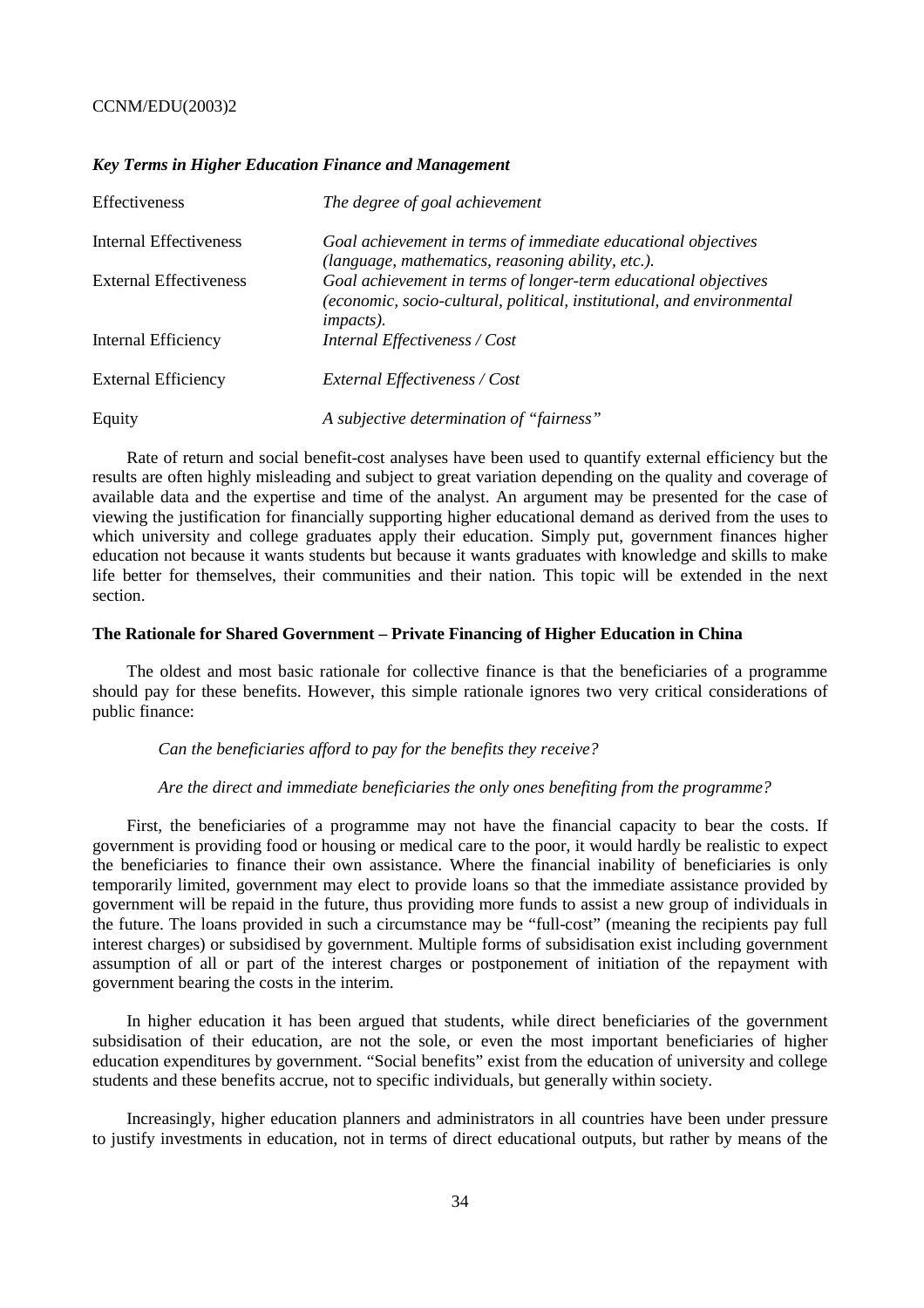#### *Key Terms in Higher Education Finance and Management*

| Effectiveness                 | The degree of goal achievement                                                                                                                                 |
|-------------------------------|----------------------------------------------------------------------------------------------------------------------------------------------------------------|
| Internal Effectiveness        | Goal achievement in terms of immediate educational objectives<br>(language, mathematics, reasoning ability, etc.).                                             |
| <b>External Effectiveness</b> | Goal achievement in terms of longer-term educational objectives<br>(economic, socio-cultural, political, institutional, and environmental<br><i>impacts</i> ). |
| Internal Efficiency           | Internal Effectiveness / Cost                                                                                                                                  |
| <b>External Efficiency</b>    | External Effectiveness / Cost                                                                                                                                  |
| Equity                        | A subjective determination of "fairness"                                                                                                                       |

Rate of return and social benefit-cost analyses have been used to quantify external efficiency but the results are often highly misleading and subject to great variation depending on the quality and coverage of available data and the expertise and time of the analyst. An argument may be presented for the case of viewing the justification for financially supporting higher educational demand as derived from the uses to which university and college graduates apply their education. Simply put, government finances higher education not because it wants students but because it wants graduates with knowledge and skills to make life better for themselves, their communities and their nation. This topic will be extended in the next section.

#### **The Rationale for Shared Government – Private Financing of Higher Education in China**

The oldest and most basic rationale for collective finance is that the beneficiaries of a programme should pay for these benefits. However, this simple rationale ignores two very critical considerations of public finance:

#### *Can the beneficiaries afford to pay for the benefits they receive?*

#### *Are the direct and immediate beneficiaries the only ones benefiting from the programme?*

First, the beneficiaries of a programme may not have the financial capacity to bear the costs. If government is providing food or housing or medical care to the poor, it would hardly be realistic to expect the beneficiaries to finance their own assistance. Where the financial inability of beneficiaries is only temporarily limited, government may elect to provide loans so that the immediate assistance provided by government will be repaid in the future, thus providing more funds to assist a new group of individuals in the future. The loans provided in such a circumstance may be "full-cost" (meaning the recipients pay full interest charges) or subsidised by government. Multiple forms of subsidisation exist including government assumption of all or part of the interest charges or postponement of initiation of the repayment with government bearing the costs in the interim.

In higher education it has been argued that students, while direct beneficiaries of the government subsidisation of their education, are not the sole, or even the most important beneficiaries of higher education expenditures by government. "Social benefits" exist from the education of university and college students and these benefits accrue, not to specific individuals, but generally within society.

Increasingly, higher education planners and administrators in all countries have been under pressure to justify investments in education, not in terms of direct educational outputs, but rather by means of the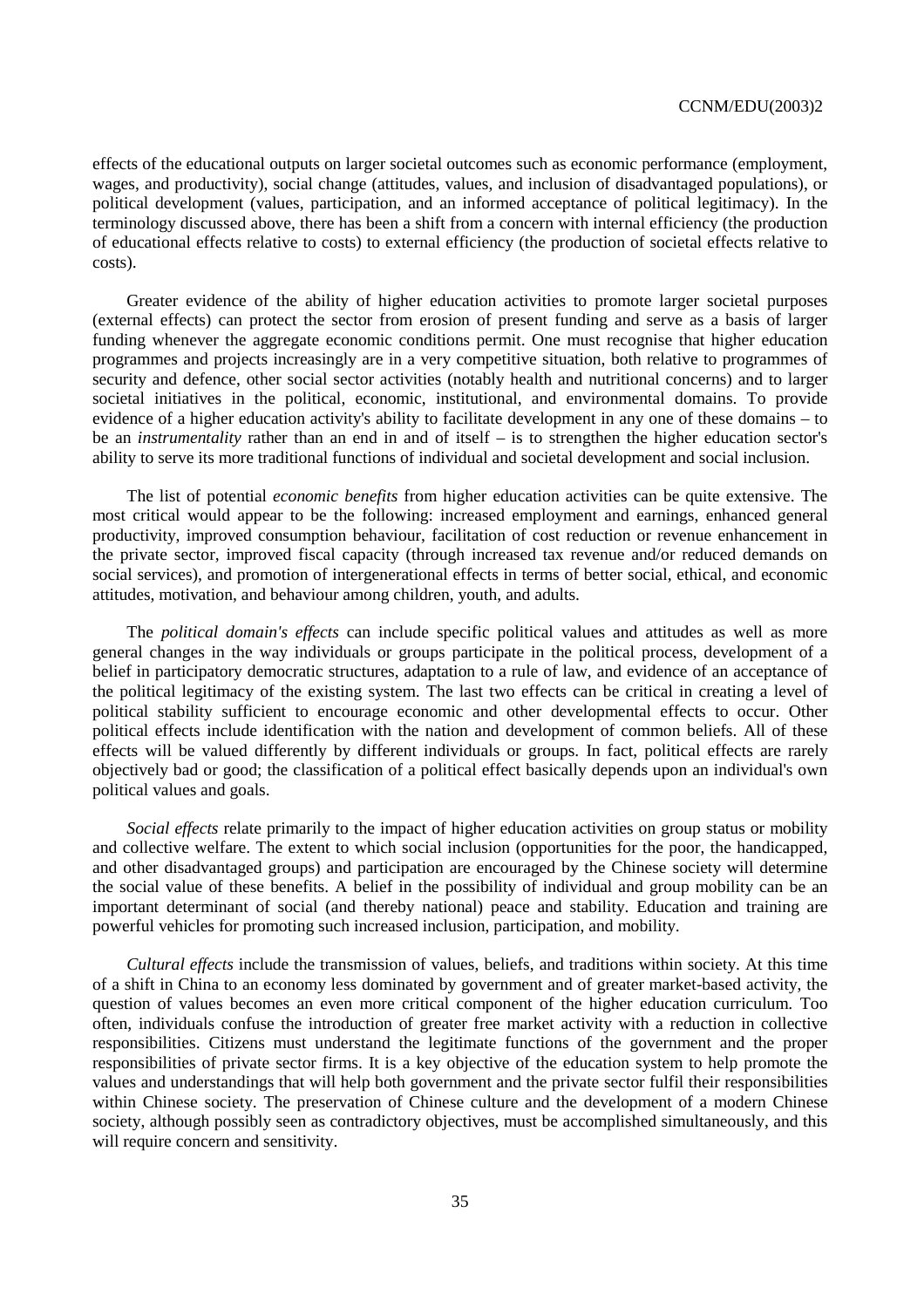effects of the educational outputs on larger societal outcomes such as economic performance (employment, wages, and productivity), social change (attitudes, values, and inclusion of disadvantaged populations), or political development (values, participation, and an informed acceptance of political legitimacy). In the terminology discussed above, there has been a shift from a concern with internal efficiency (the production of educational effects relative to costs) to external efficiency (the production of societal effects relative to costs).

Greater evidence of the ability of higher education activities to promote larger societal purposes (external effects) can protect the sector from erosion of present funding and serve as a basis of larger funding whenever the aggregate economic conditions permit. One must recognise that higher education programmes and projects increasingly are in a very competitive situation, both relative to programmes of security and defence, other social sector activities (notably health and nutritional concerns) and to larger societal initiatives in the political, economic, institutional, and environmental domains. To provide evidence of a higher education activity's ability to facilitate development in any one of these domains – to be an *instrumentality* rather than an end in and of itself – is to strengthen the higher education sector's ability to serve its more traditional functions of individual and societal development and social inclusion.

The list of potential *economic benefits* from higher education activities can be quite extensive. The most critical would appear to be the following: increased employment and earnings, enhanced general productivity, improved consumption behaviour, facilitation of cost reduction or revenue enhancement in the private sector, improved fiscal capacity (through increased tax revenue and/or reduced demands on social services), and promotion of intergenerational effects in terms of better social, ethical, and economic attitudes, motivation, and behaviour among children, youth, and adults.

The *political domain's effects* can include specific political values and attitudes as well as more general changes in the way individuals or groups participate in the political process, development of a belief in participatory democratic structures, adaptation to a rule of law, and evidence of an acceptance of the political legitimacy of the existing system. The last two effects can be critical in creating a level of political stability sufficient to encourage economic and other developmental effects to occur. Other political effects include identification with the nation and development of common beliefs. All of these effects will be valued differently by different individuals or groups. In fact, political effects are rarely objectively bad or good; the classification of a political effect basically depends upon an individual's own political values and goals.

*Social effects* relate primarily to the impact of higher education activities on group status or mobility and collective welfare. The extent to which social inclusion (opportunities for the poor, the handicapped, and other disadvantaged groups) and participation are encouraged by the Chinese society will determine the social value of these benefits. A belief in the possibility of individual and group mobility can be an important determinant of social (and thereby national) peace and stability. Education and training are powerful vehicles for promoting such increased inclusion, participation, and mobility.

*Cultural effects* include the transmission of values, beliefs, and traditions within society. At this time of a shift in China to an economy less dominated by government and of greater market-based activity, the question of values becomes an even more critical component of the higher education curriculum. Too often, individuals confuse the introduction of greater free market activity with a reduction in collective responsibilities. Citizens must understand the legitimate functions of the government and the proper responsibilities of private sector firms. It is a key objective of the education system to help promote the values and understandings that will help both government and the private sector fulfil their responsibilities within Chinese society. The preservation of Chinese culture and the development of a modern Chinese society, although possibly seen as contradictory objectives, must be accomplished simultaneously, and this will require concern and sensitivity.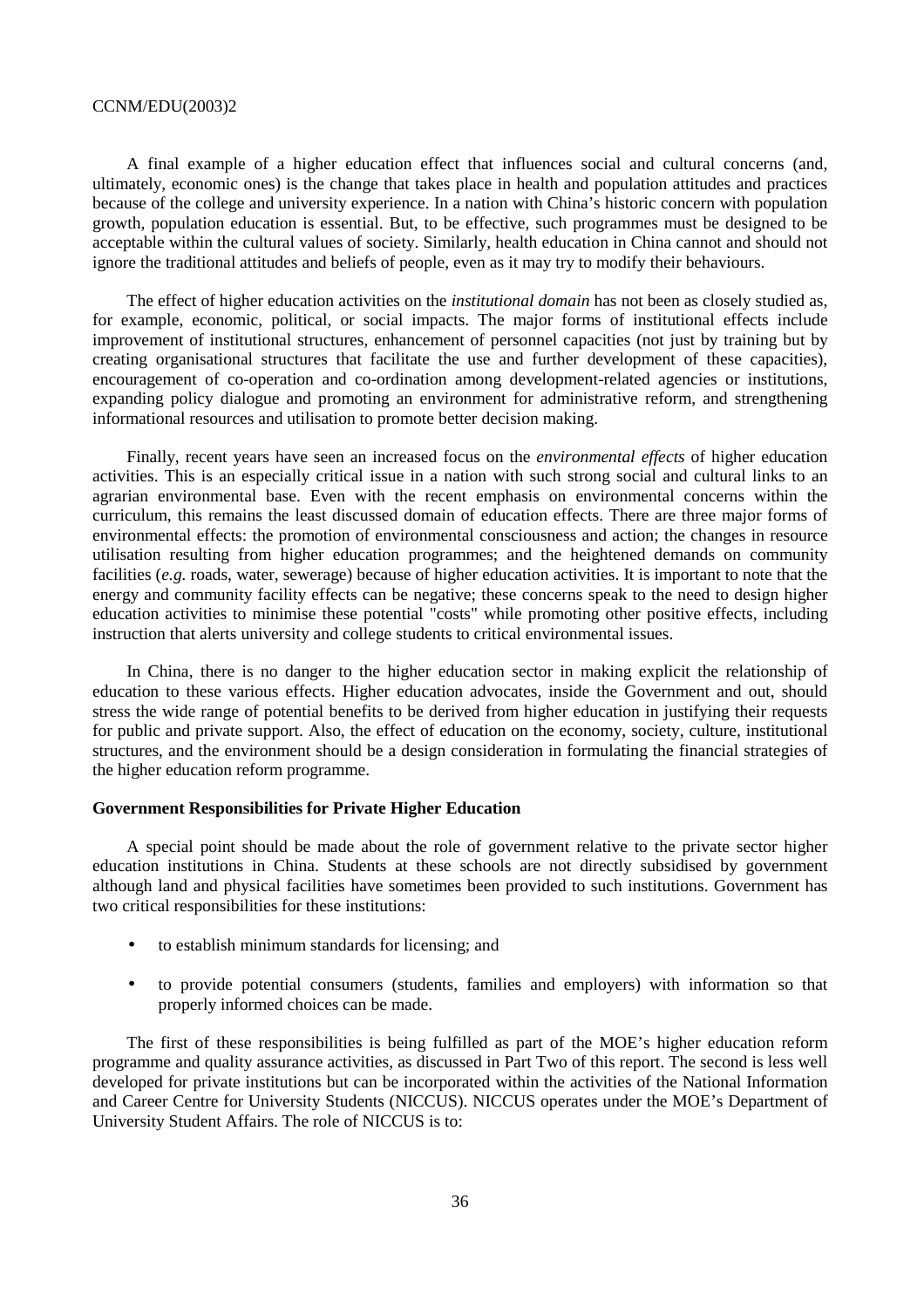A final example of a higher education effect that influences social and cultural concerns (and, ultimately, economic ones) is the change that takes place in health and population attitudes and practices because of the college and university experience. In a nation with China's historic concern with population growth, population education is essential. But, to be effective, such programmes must be designed to be acceptable within the cultural values of society. Similarly, health education in China cannot and should not ignore the traditional attitudes and beliefs of people, even as it may try to modify their behaviours.

The effect of higher education activities on the *institutional domain* has not been as closely studied as, for example, economic, political, or social impacts. The major forms of institutional effects include improvement of institutional structures, enhancement of personnel capacities (not just by training but by creating organisational structures that facilitate the use and further development of these capacities), encouragement of co-operation and co-ordination among development-related agencies or institutions, expanding policy dialogue and promoting an environment for administrative reform, and strengthening informational resources and utilisation to promote better decision making.

Finally, recent years have seen an increased focus on the *environmental effects* of higher education activities. This is an especially critical issue in a nation with such strong social and cultural links to an agrarian environmental base. Even with the recent emphasis on environmental concerns within the curriculum, this remains the least discussed domain of education effects. There are three major forms of environmental effects: the promotion of environmental consciousness and action; the changes in resource utilisation resulting from higher education programmes; and the heightened demands on community facilities (*e.g.* roads, water, sewerage) because of higher education activities. It is important to note that the energy and community facility effects can be negative; these concerns speak to the need to design higher education activities to minimise these potential "costs" while promoting other positive effects, including instruction that alerts university and college students to critical environmental issues.

In China, there is no danger to the higher education sector in making explicit the relationship of education to these various effects. Higher education advocates, inside the Government and out, should stress the wide range of potential benefits to be derived from higher education in justifying their requests for public and private support. Also, the effect of education on the economy, society, culture, institutional structures, and the environment should be a design consideration in formulating the financial strategies of the higher education reform programme.

# **Government Responsibilities for Private Higher Education**

A special point should be made about the role of government relative to the private sector higher education institutions in China. Students at these schools are not directly subsidised by government although land and physical facilities have sometimes been provided to such institutions. Government has two critical responsibilities for these institutions:

- to establish minimum standards for licensing; and
- to provide potential consumers (students, families and employers) with information so that properly informed choices can be made.

The first of these responsibilities is being fulfilled as part of the MOE's higher education reform programme and quality assurance activities, as discussed in Part Two of this report. The second is less well developed for private institutions but can be incorporated within the activities of the National Information and Career Centre for University Students (NICCUS). NICCUS operates under the MOE's Department of University Student Affairs. The role of NICCUS is to: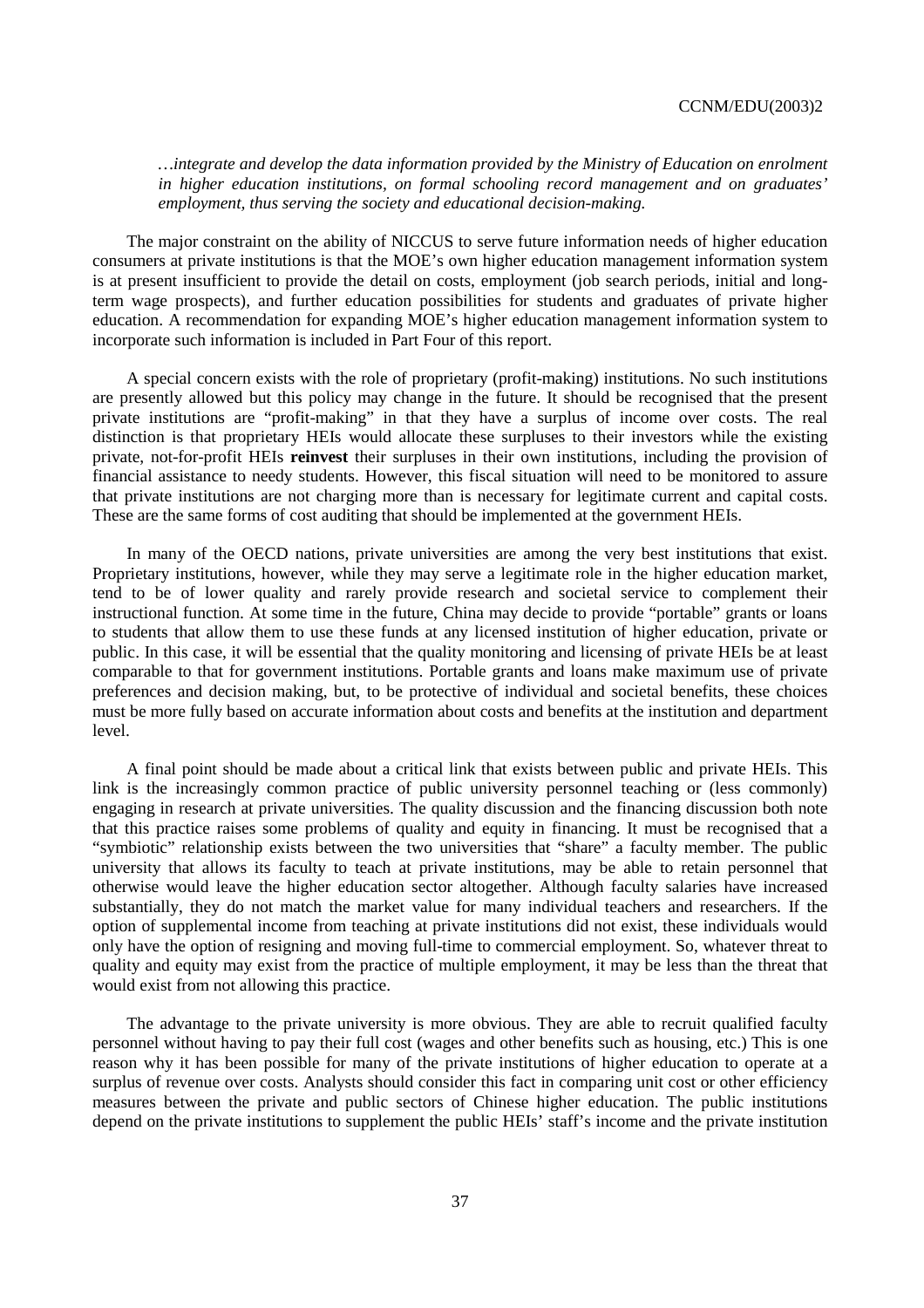*…integrate and develop the data information provided by the Ministry of Education on enrolment in higher education institutions, on formal schooling record management and on graduates' employment, thus serving the society and educational decision-making.* 

The major constraint on the ability of NICCUS to serve future information needs of higher education consumers at private institutions is that the MOE's own higher education management information system is at present insufficient to provide the detail on costs, employment (job search periods, initial and longterm wage prospects), and further education possibilities for students and graduates of private higher education. A recommendation for expanding MOE's higher education management information system to incorporate such information is included in Part Four of this report.

A special concern exists with the role of proprietary (profit-making) institutions. No such institutions are presently allowed but this policy may change in the future. It should be recognised that the present private institutions are "profit-making" in that they have a surplus of income over costs. The real distinction is that proprietary HEIs would allocate these surpluses to their investors while the existing private, not-for-profit HEIs **reinvest** their surpluses in their own institutions, including the provision of financial assistance to needy students. However, this fiscal situation will need to be monitored to assure that private institutions are not charging more than is necessary for legitimate current and capital costs. These are the same forms of cost auditing that should be implemented at the government HEIs.

In many of the OECD nations, private universities are among the very best institutions that exist. Proprietary institutions, however, while they may serve a legitimate role in the higher education market, tend to be of lower quality and rarely provide research and societal service to complement their instructional function. At some time in the future, China may decide to provide "portable" grants or loans to students that allow them to use these funds at any licensed institution of higher education, private or public. In this case, it will be essential that the quality monitoring and licensing of private HEIs be at least comparable to that for government institutions. Portable grants and loans make maximum use of private preferences and decision making, but, to be protective of individual and societal benefits, these choices must be more fully based on accurate information about costs and benefits at the institution and department level.

A final point should be made about a critical link that exists between public and private HEIs. This link is the increasingly common practice of public university personnel teaching or (less commonly) engaging in research at private universities. The quality discussion and the financing discussion both note that this practice raises some problems of quality and equity in financing. It must be recognised that a "symbiotic" relationship exists between the two universities that "share" a faculty member. The public university that allows its faculty to teach at private institutions, may be able to retain personnel that otherwise would leave the higher education sector altogether. Although faculty salaries have increased substantially, they do not match the market value for many individual teachers and researchers. If the option of supplemental income from teaching at private institutions did not exist, these individuals would only have the option of resigning and moving full-time to commercial employment. So, whatever threat to quality and equity may exist from the practice of multiple employment, it may be less than the threat that would exist from not allowing this practice.

The advantage to the private university is more obvious. They are able to recruit qualified faculty personnel without having to pay their full cost (wages and other benefits such as housing, etc.) This is one reason why it has been possible for many of the private institutions of higher education to operate at a surplus of revenue over costs. Analysts should consider this fact in comparing unit cost or other efficiency measures between the private and public sectors of Chinese higher education. The public institutions depend on the private institutions to supplement the public HEIs' staff's income and the private institution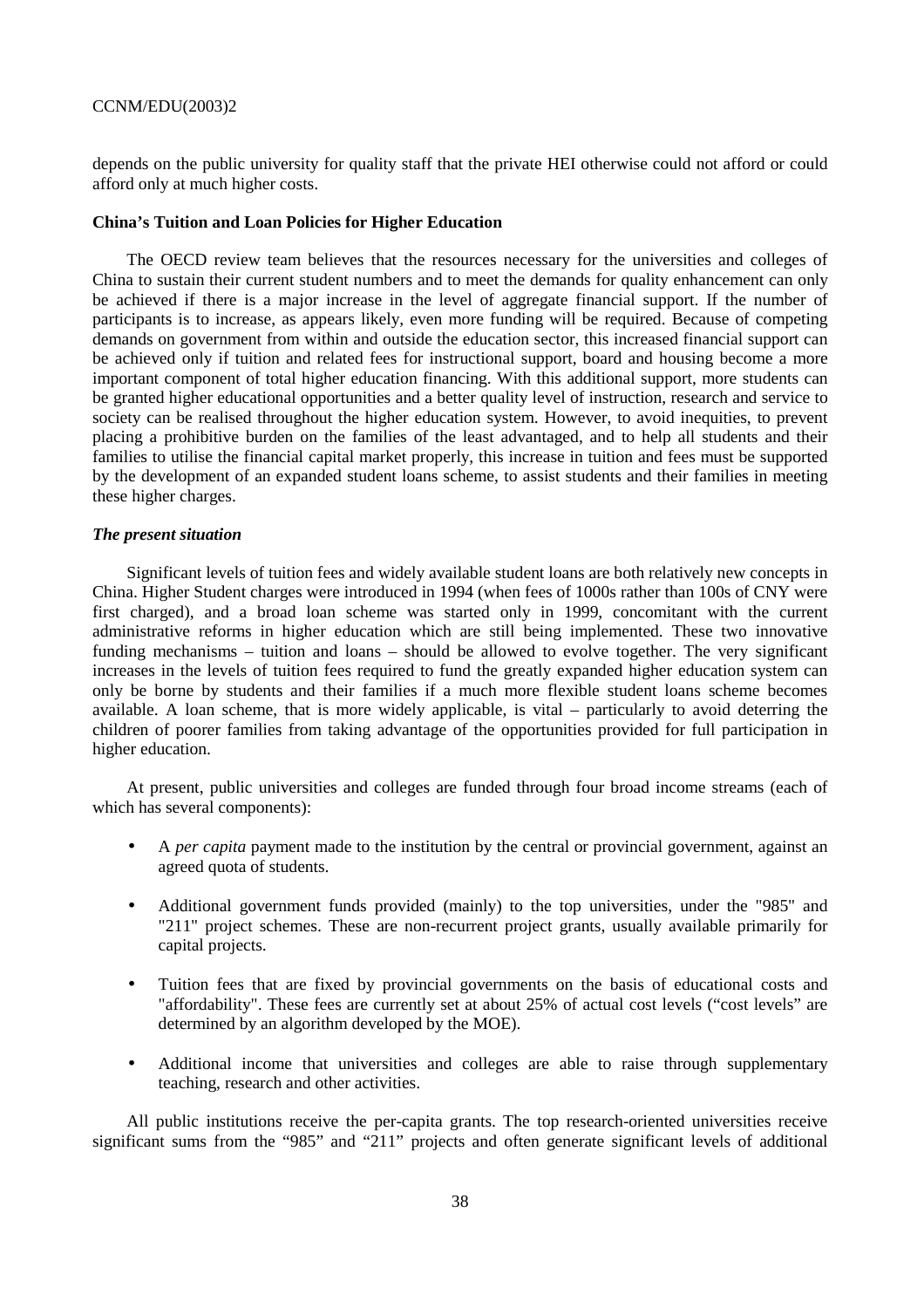depends on the public university for quality staff that the private HEI otherwise could not afford or could afford only at much higher costs.

#### **China's Tuition and Loan Policies for Higher Education**

The OECD review team believes that the resources necessary for the universities and colleges of China to sustain their current student numbers and to meet the demands for quality enhancement can only be achieved if there is a major increase in the level of aggregate financial support. If the number of participants is to increase, as appears likely, even more funding will be required. Because of competing demands on government from within and outside the education sector, this increased financial support can be achieved only if tuition and related fees for instructional support, board and housing become a more important component of total higher education financing. With this additional support, more students can be granted higher educational opportunities and a better quality level of instruction, research and service to society can be realised throughout the higher education system. However, to avoid inequities, to prevent placing a prohibitive burden on the families of the least advantaged, and to help all students and their families to utilise the financial capital market properly, this increase in tuition and fees must be supported by the development of an expanded student loans scheme, to assist students and their families in meeting these higher charges.

# *The present situation*

Significant levels of tuition fees and widely available student loans are both relatively new concepts in China. Higher Student charges were introduced in 1994 (when fees of 1000s rather than 100s of CNY were first charged), and a broad loan scheme was started only in 1999, concomitant with the current administrative reforms in higher education which are still being implemented. These two innovative funding mechanisms – tuition and loans – should be allowed to evolve together. The very significant increases in the levels of tuition fees required to fund the greatly expanded higher education system can only be borne by students and their families if a much more flexible student loans scheme becomes available. A loan scheme, that is more widely applicable, is vital – particularly to avoid deterring the children of poorer families from taking advantage of the opportunities provided for full participation in higher education.

At present, public universities and colleges are funded through four broad income streams (each of which has several components):

- A *per capita* payment made to the institution by the central or provincial government, against an agreed quota of students.
- Additional government funds provided (mainly) to the top universities, under the "985" and "211" project schemes. These are non-recurrent project grants, usually available primarily for capital projects.
- Tuition fees that are fixed by provincial governments on the basis of educational costs and "affordability". These fees are currently set at about 25% of actual cost levels ("cost levels" are determined by an algorithm developed by the MOE).
- Additional income that universities and colleges are able to raise through supplementary teaching, research and other activities.

All public institutions receive the per-capita grants. The top research-oriented universities receive significant sums from the "985" and "211" projects and often generate significant levels of additional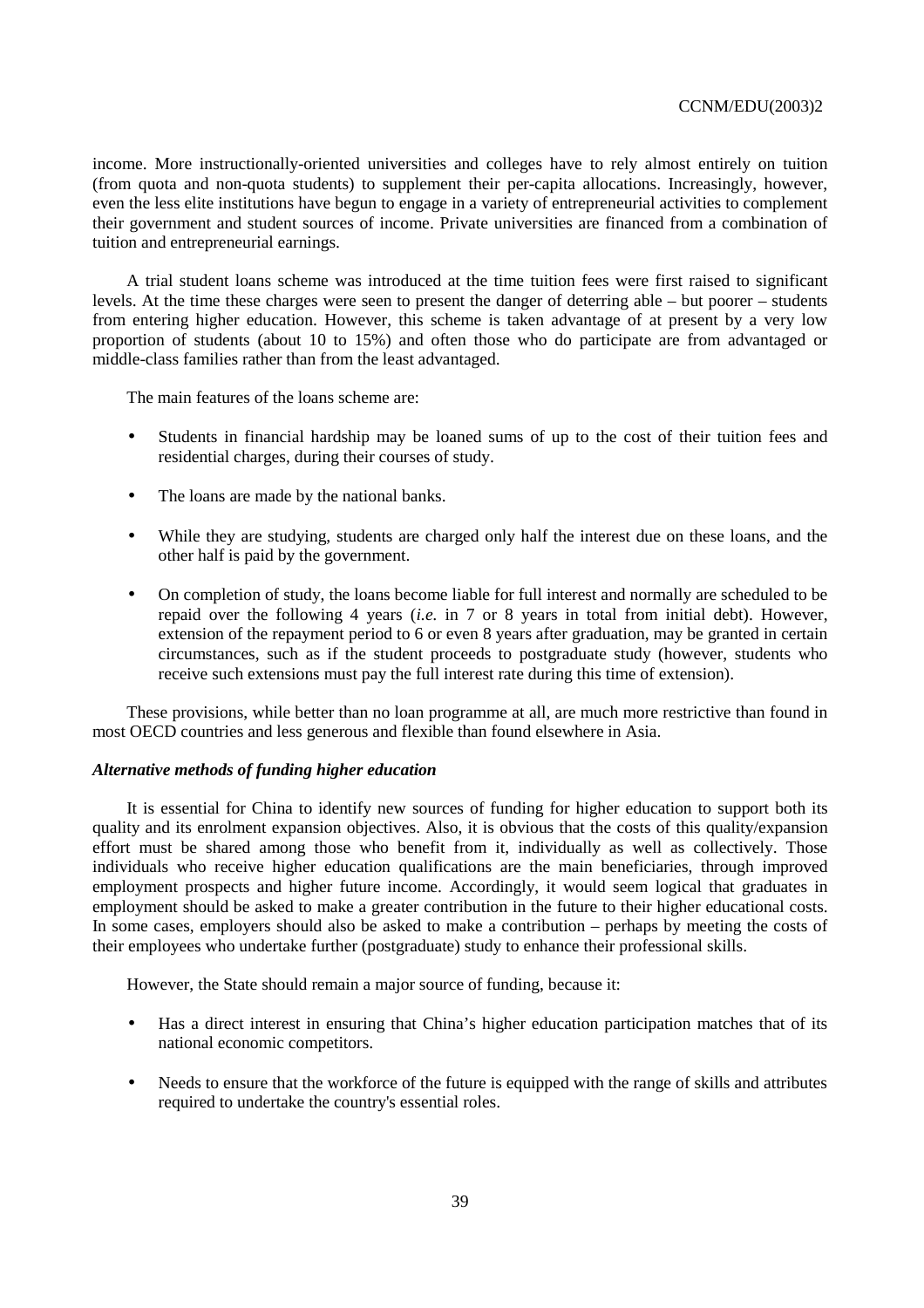income. More instructionally-oriented universities and colleges have to rely almost entirely on tuition (from quota and non-quota students) to supplement their per-capita allocations. Increasingly, however, even the less elite institutions have begun to engage in a variety of entrepreneurial activities to complement their government and student sources of income. Private universities are financed from a combination of tuition and entrepreneurial earnings.

A trial student loans scheme was introduced at the time tuition fees were first raised to significant levels. At the time these charges were seen to present the danger of deterring able – but poorer – students from entering higher education. However, this scheme is taken advantage of at present by a very low proportion of students (about 10 to 15%) and often those who do participate are from advantaged or middle-class families rather than from the least advantaged.

The main features of the loans scheme are:

- Students in financial hardship may be loaned sums of up to the cost of their tuition fees and residential charges, during their courses of study.
- The loans are made by the national banks.
- While they are studying, students are charged only half the interest due on these loans, and the other half is paid by the government.
- On completion of study, the loans become liable for full interest and normally are scheduled to be repaid over the following 4 years (*i.e.* in 7 or 8 years in total from initial debt). However, extension of the repayment period to 6 or even 8 years after graduation, may be granted in certain circumstances, such as if the student proceeds to postgraduate study (however, students who receive such extensions must pay the full interest rate during this time of extension).

These provisions, while better than no loan programme at all, are much more restrictive than found in most OECD countries and less generous and flexible than found elsewhere in Asia.

#### *Alternative methods of funding higher education*

It is essential for China to identify new sources of funding for higher education to support both its quality and its enrolment expansion objectives. Also, it is obvious that the costs of this quality/expansion effort must be shared among those who benefit from it, individually as well as collectively. Those individuals who receive higher education qualifications are the main beneficiaries, through improved employment prospects and higher future income. Accordingly, it would seem logical that graduates in employment should be asked to make a greater contribution in the future to their higher educational costs. In some cases, employers should also be asked to make a contribution – perhaps by meeting the costs of their employees who undertake further (postgraduate) study to enhance their professional skills.

However, the State should remain a major source of funding, because it:

- Has a direct interest in ensuring that China's higher education participation matches that of its national economic competitors.
- Needs to ensure that the workforce of the future is equipped with the range of skills and attributes required to undertake the country's essential roles.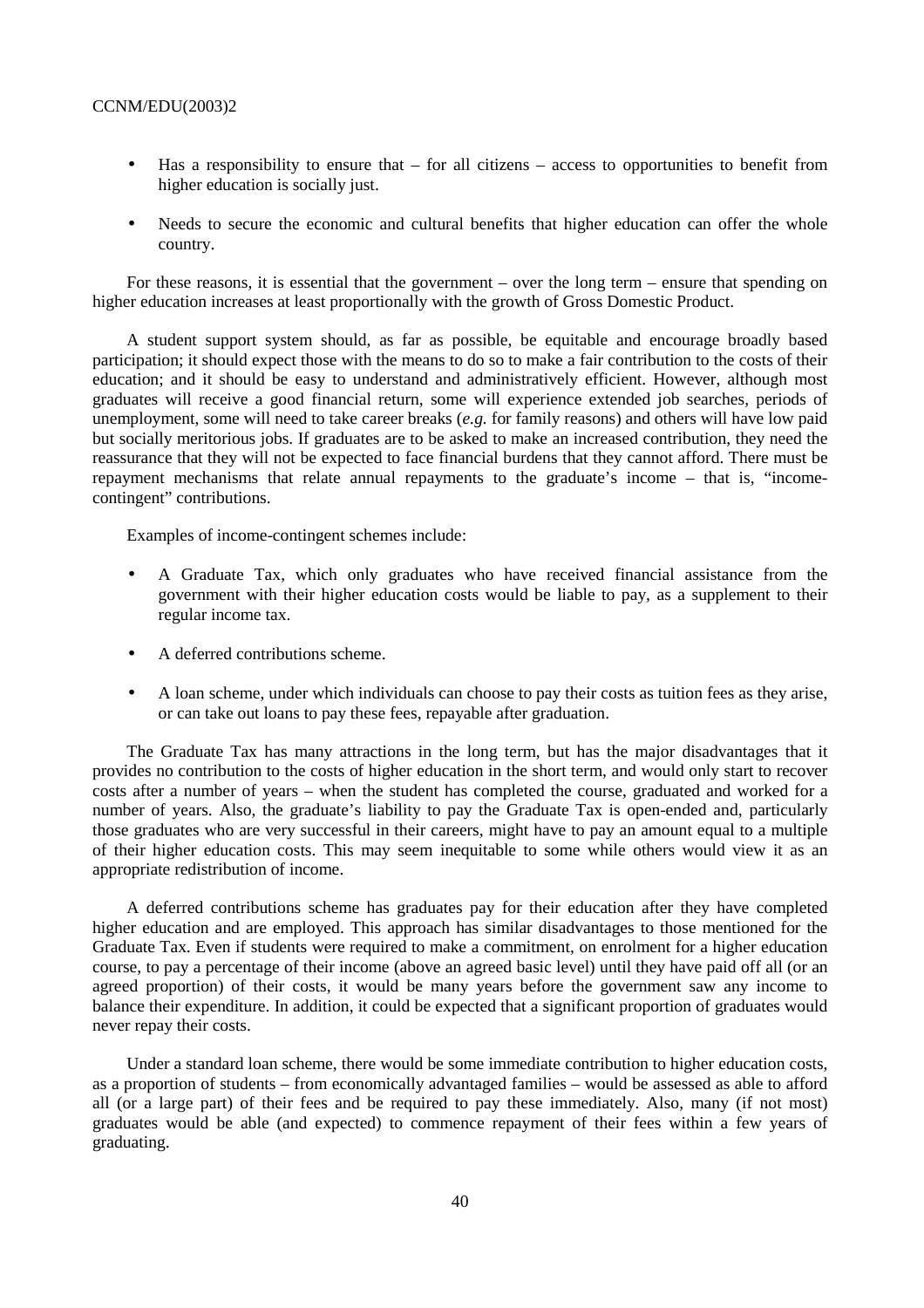- $\bullet$  Has a responsibility to ensure that for all citizens access to opportunities to benefit from higher education is socially just.
- Needs to secure the economic and cultural benefits that higher education can offer the whole country.

For these reasons, it is essential that the government – over the long term – ensure that spending on higher education increases at least proportionally with the growth of Gross Domestic Product.

A student support system should, as far as possible, be equitable and encourage broadly based participation; it should expect those with the means to do so to make a fair contribution to the costs of their education; and it should be easy to understand and administratively efficient. However, although most graduates will receive a good financial return, some will experience extended job searches, periods of unemployment, some will need to take career breaks (*e.g.* for family reasons) and others will have low paid but socially meritorious jobs. If graduates are to be asked to make an increased contribution, they need the reassurance that they will not be expected to face financial burdens that they cannot afford. There must be repayment mechanisms that relate annual repayments to the graduate's income – that is, "incomecontingent" contributions.

Examples of income-contingent schemes include:

- A Graduate Tax, which only graduates who have received financial assistance from the government with their higher education costs would be liable to pay, as a supplement to their regular income tax.
- A deferred contributions scheme.
- A loan scheme, under which individuals can choose to pay their costs as tuition fees as they arise, or can take out loans to pay these fees, repayable after graduation.

The Graduate Tax has many attractions in the long term, but has the major disadvantages that it provides no contribution to the costs of higher education in the short term, and would only start to recover costs after a number of years – when the student has completed the course, graduated and worked for a number of years. Also, the graduate's liability to pay the Graduate Tax is open-ended and, particularly those graduates who are very successful in their careers, might have to pay an amount equal to a multiple of their higher education costs. This may seem inequitable to some while others would view it as an appropriate redistribution of income.

A deferred contributions scheme has graduates pay for their education after they have completed higher education and are employed. This approach has similar disadvantages to those mentioned for the Graduate Tax. Even if students were required to make a commitment, on enrolment for a higher education course, to pay a percentage of their income (above an agreed basic level) until they have paid off all (or an agreed proportion) of their costs, it would be many years before the government saw any income to balance their expenditure. In addition, it could be expected that a significant proportion of graduates would never repay their costs.

Under a standard loan scheme, there would be some immediate contribution to higher education costs, as a proportion of students – from economically advantaged families – would be assessed as able to afford all (or a large part) of their fees and be required to pay these immediately. Also, many (if not most) graduates would be able (and expected) to commence repayment of their fees within a few years of graduating.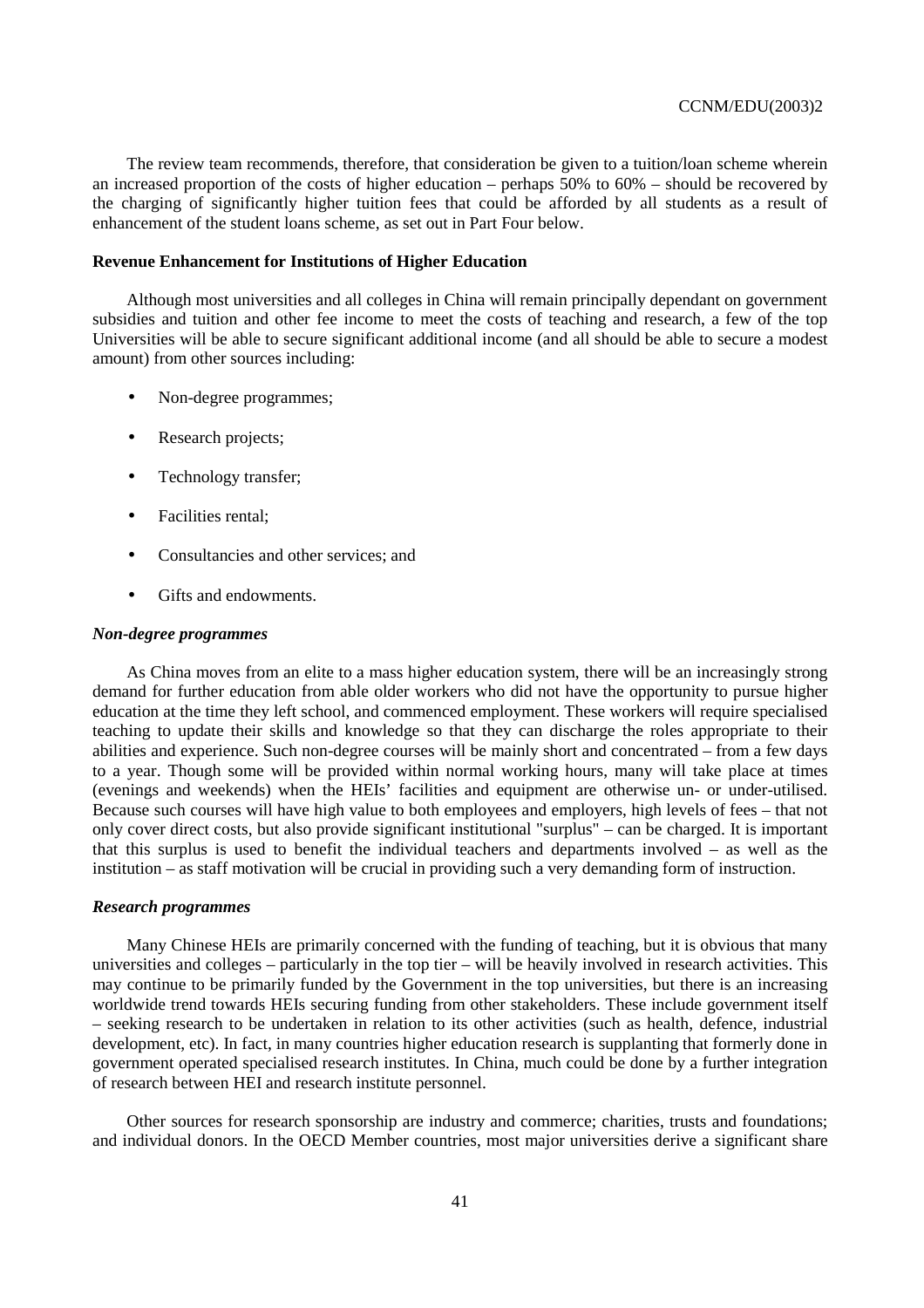The review team recommends, therefore, that consideration be given to a tuition/loan scheme wherein an increased proportion of the costs of higher education – perhaps 50% to 60% – should be recovered by the charging of significantly higher tuition fees that could be afforded by all students as a result of enhancement of the student loans scheme, as set out in Part Four below.

### **Revenue Enhancement for Institutions of Higher Education**

Although most universities and all colleges in China will remain principally dependant on government subsidies and tuition and other fee income to meet the costs of teaching and research, a few of the top Universities will be able to secure significant additional income (and all should be able to secure a modest amount) from other sources including:

- Non-degree programmes;
- Research projects:
- Technology transfer;
- Facilities rental;
- Consultancies and other services; and
- Gifts and endowments.

#### *Non-degree programmes*

As China moves from an elite to a mass higher education system, there will be an increasingly strong demand for further education from able older workers who did not have the opportunity to pursue higher education at the time they left school, and commenced employment. These workers will require specialised teaching to update their skills and knowledge so that they can discharge the roles appropriate to their abilities and experience. Such non-degree courses will be mainly short and concentrated – from a few days to a year. Though some will be provided within normal working hours, many will take place at times (evenings and weekends) when the HEIs' facilities and equipment are otherwise un- or under-utilised. Because such courses will have high value to both employees and employers, high levels of fees – that not only cover direct costs, but also provide significant institutional "surplus" – can be charged. It is important that this surplus is used to benefit the individual teachers and departments involved – as well as the institution – as staff motivation will be crucial in providing such a very demanding form of instruction.

#### *Research programmes*

Many Chinese HEIs are primarily concerned with the funding of teaching, but it is obvious that many universities and colleges – particularly in the top tier – will be heavily involved in research activities. This may continue to be primarily funded by the Government in the top universities, but there is an increasing worldwide trend towards HEIs securing funding from other stakeholders. These include government itself – seeking research to be undertaken in relation to its other activities (such as health, defence, industrial development, etc). In fact, in many countries higher education research is supplanting that formerly done in government operated specialised research institutes. In China, much could be done by a further integration of research between HEI and research institute personnel.

Other sources for research sponsorship are industry and commerce; charities, trusts and foundations; and individual donors. In the OECD Member countries, most major universities derive a significant share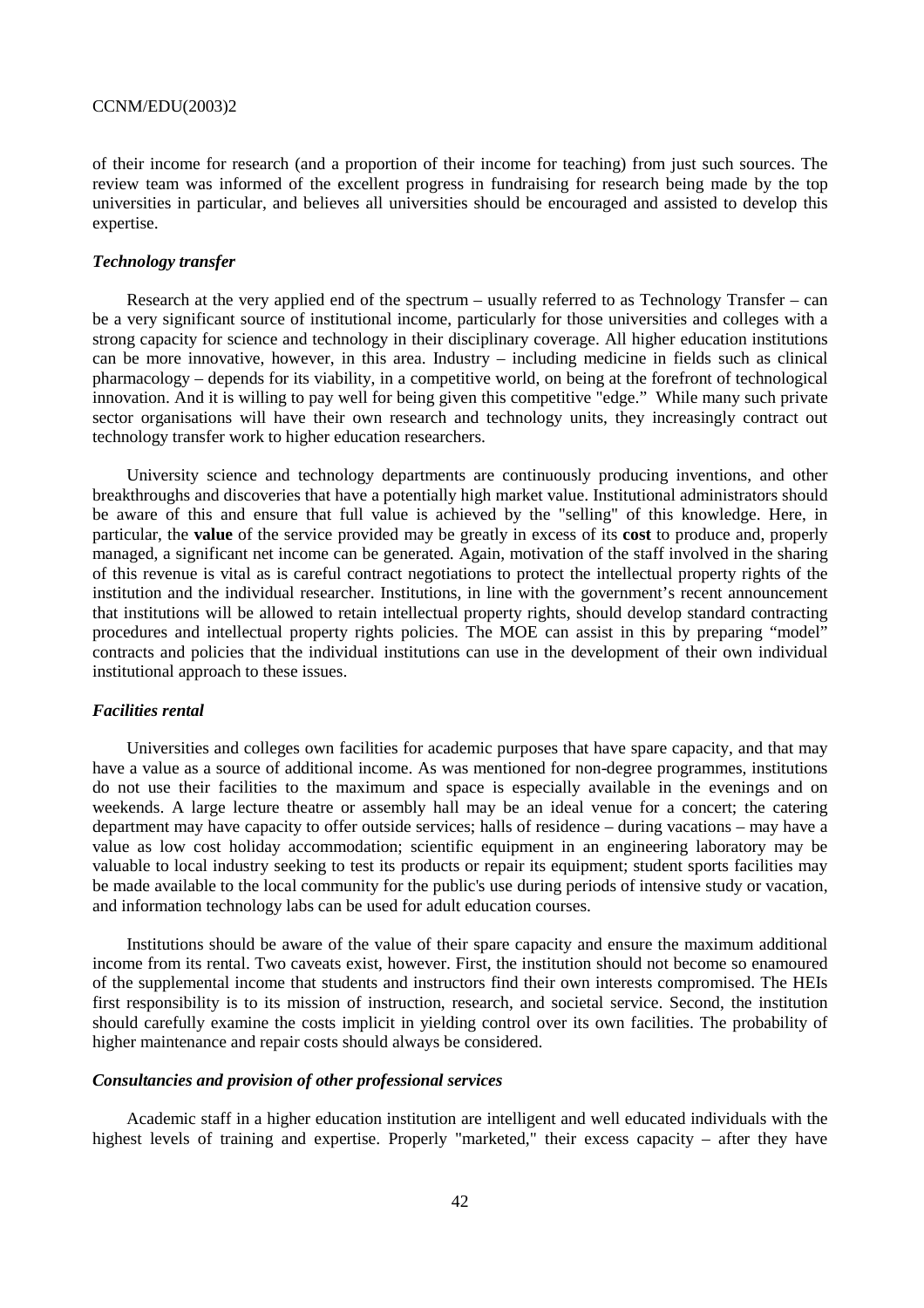of their income for research (and a proportion of their income for teaching) from just such sources. The review team was informed of the excellent progress in fundraising for research being made by the top universities in particular, and believes all universities should be encouraged and assisted to develop this expertise.

## *Technology transfer*

Research at the very applied end of the spectrum – usually referred to as Technology Transfer – can be a very significant source of institutional income, particularly for those universities and colleges with a strong capacity for science and technology in their disciplinary coverage. All higher education institutions can be more innovative, however, in this area. Industry – including medicine in fields such as clinical pharmacology – depends for its viability, in a competitive world, on being at the forefront of technological innovation. And it is willing to pay well for being given this competitive "edge." While many such private sector organisations will have their own research and technology units, they increasingly contract out technology transfer work to higher education researchers.

University science and technology departments are continuously producing inventions, and other breakthroughs and discoveries that have a potentially high market value. Institutional administrators should be aware of this and ensure that full value is achieved by the "selling" of this knowledge. Here, in particular, the **value** of the service provided may be greatly in excess of its **cost** to produce and, properly managed, a significant net income can be generated. Again, motivation of the staff involved in the sharing of this revenue is vital as is careful contract negotiations to protect the intellectual property rights of the institution and the individual researcher. Institutions, in line with the government's recent announcement that institutions will be allowed to retain intellectual property rights, should develop standard contracting procedures and intellectual property rights policies. The MOE can assist in this by preparing "model" contracts and policies that the individual institutions can use in the development of their own individual institutional approach to these issues.

#### *Facilities rental*

Universities and colleges own facilities for academic purposes that have spare capacity, and that may have a value as a source of additional income. As was mentioned for non-degree programmes, institutions do not use their facilities to the maximum and space is especially available in the evenings and on weekends. A large lecture theatre or assembly hall may be an ideal venue for a concert; the catering department may have capacity to offer outside services; halls of residence – during vacations – may have a value as low cost holiday accommodation; scientific equipment in an engineering laboratory may be valuable to local industry seeking to test its products or repair its equipment; student sports facilities may be made available to the local community for the public's use during periods of intensive study or vacation, and information technology labs can be used for adult education courses.

Institutions should be aware of the value of their spare capacity and ensure the maximum additional income from its rental. Two caveats exist, however. First, the institution should not become so enamoured of the supplemental income that students and instructors find their own interests compromised. The HEIs first responsibility is to its mission of instruction, research, and societal service. Second, the institution should carefully examine the costs implicit in yielding control over its own facilities. The probability of higher maintenance and repair costs should always be considered.

# *Consultancies and provision of other professional services*

Academic staff in a higher education institution are intelligent and well educated individuals with the highest levels of training and expertise. Properly "marketed," their excess capacity – after they have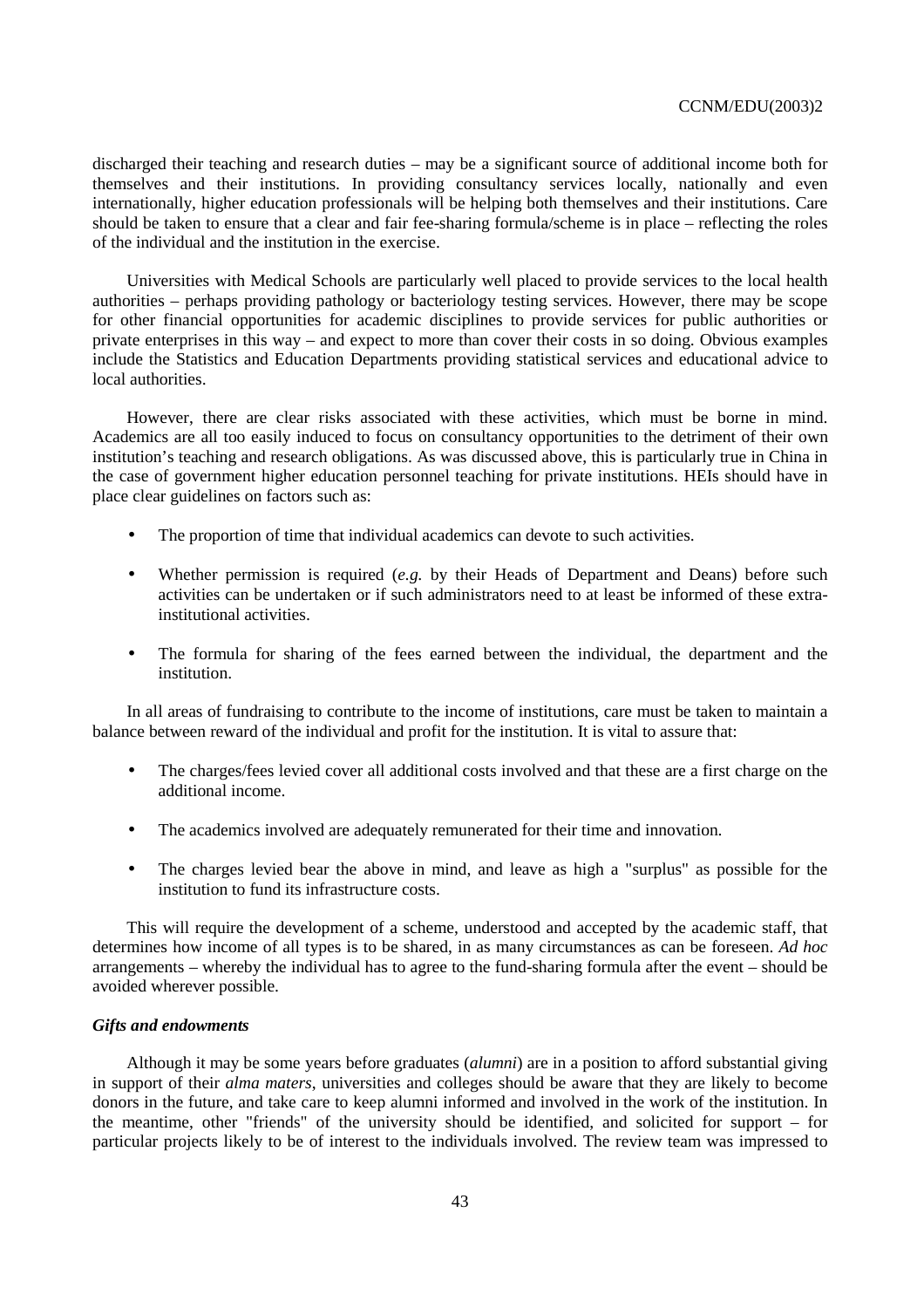discharged their teaching and research duties – may be a significant source of additional income both for themselves and their institutions. In providing consultancy services locally, nationally and even internationally, higher education professionals will be helping both themselves and their institutions. Care should be taken to ensure that a clear and fair fee-sharing formula/scheme is in place – reflecting the roles of the individual and the institution in the exercise.

Universities with Medical Schools are particularly well placed to provide services to the local health authorities – perhaps providing pathology or bacteriology testing services. However, there may be scope for other financial opportunities for academic disciplines to provide services for public authorities or private enterprises in this way – and expect to more than cover their costs in so doing. Obvious examples include the Statistics and Education Departments providing statistical services and educational advice to local authorities.

However, there are clear risks associated with these activities, which must be borne in mind. Academics are all too easily induced to focus on consultancy opportunities to the detriment of their own institution's teaching and research obligations. As was discussed above, this is particularly true in China in the case of government higher education personnel teaching for private institutions. HEIs should have in place clear guidelines on factors such as:

- The proportion of time that individual academics can devote to such activities.
- Whether permission is required (*e.g.* by their Heads of Department and Deans) before such activities can be undertaken or if such administrators need to at least be informed of these extrainstitutional activities.
- The formula for sharing of the fees earned between the individual, the department and the institution.

In all areas of fundraising to contribute to the income of institutions, care must be taken to maintain a balance between reward of the individual and profit for the institution. It is vital to assure that:

- The charges/fees levied cover all additional costs involved and that these are a first charge on the additional income.
- The academics involved are adequately remunerated for their time and innovation.
- The charges levied bear the above in mind, and leave as high a "surplus" as possible for the institution to fund its infrastructure costs.

This will require the development of a scheme, understood and accepted by the academic staff, that determines how income of all types is to be shared, in as many circumstances as can be foreseen. *Ad hoc*  arrangements – whereby the individual has to agree to the fund-sharing formula after the event – should be avoided wherever possible.

#### *Gifts and endowments*

Although it may be some years before graduates (*alumni*) are in a position to afford substantial giving in support of their *alma maters*, universities and colleges should be aware that they are likely to become donors in the future, and take care to keep alumni informed and involved in the work of the institution. In the meantime, other "friends" of the university should be identified, and solicited for support – for particular projects likely to be of interest to the individuals involved. The review team was impressed to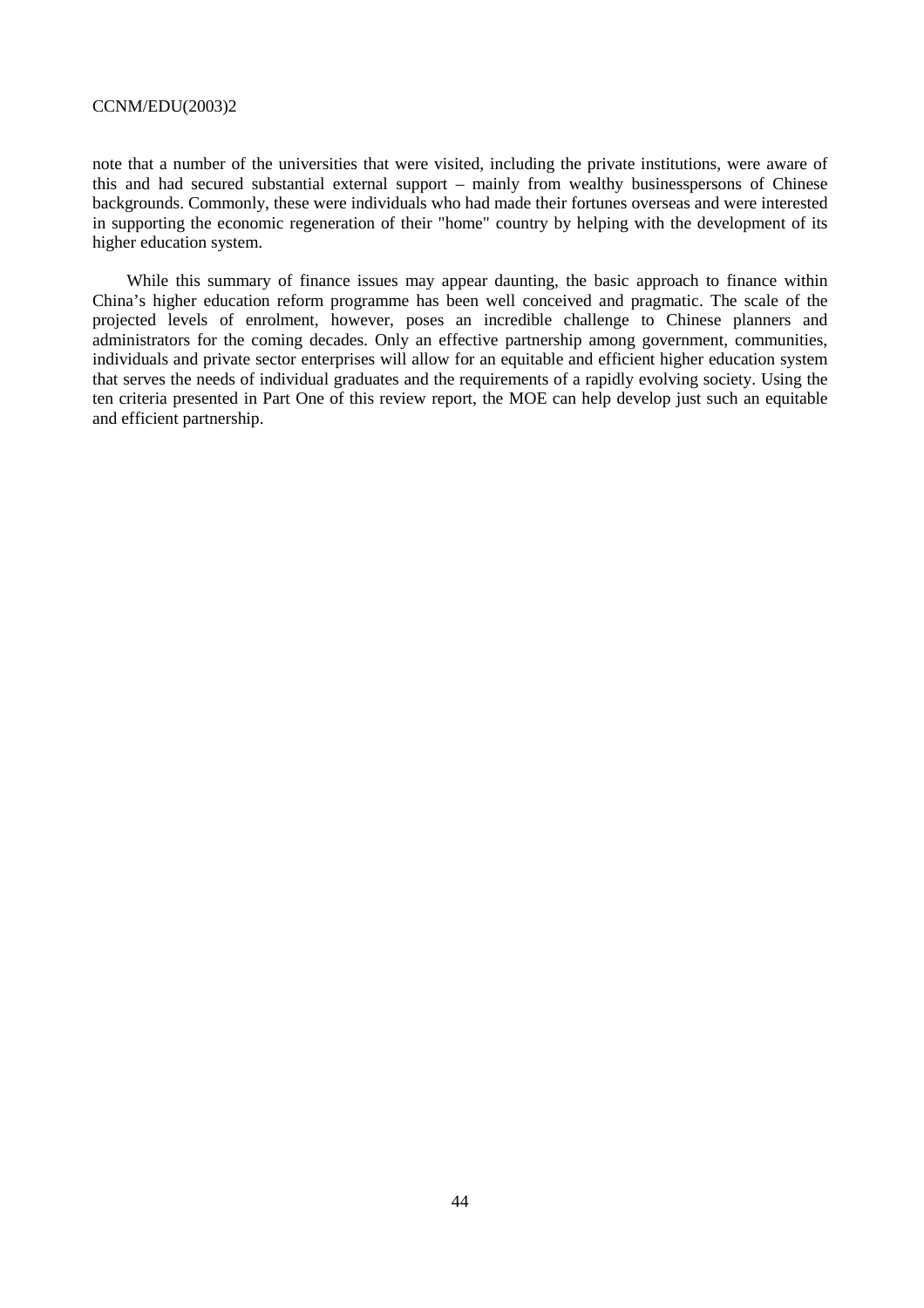note that a number of the universities that were visited, including the private institutions, were aware of this and had secured substantial external support – mainly from wealthy businesspersons of Chinese backgrounds. Commonly, these were individuals who had made their fortunes overseas and were interested in supporting the economic regeneration of their "home" country by helping with the development of its higher education system.

While this summary of finance issues may appear daunting, the basic approach to finance within China's higher education reform programme has been well conceived and pragmatic. The scale of the projected levels of enrolment, however, poses an incredible challenge to Chinese planners and administrators for the coming decades. Only an effective partnership among government, communities, individuals and private sector enterprises will allow for an equitable and efficient higher education system that serves the needs of individual graduates and the requirements of a rapidly evolving society. Using the ten criteria presented in Part One of this review report, the MOE can help develop just such an equitable and efficient partnership.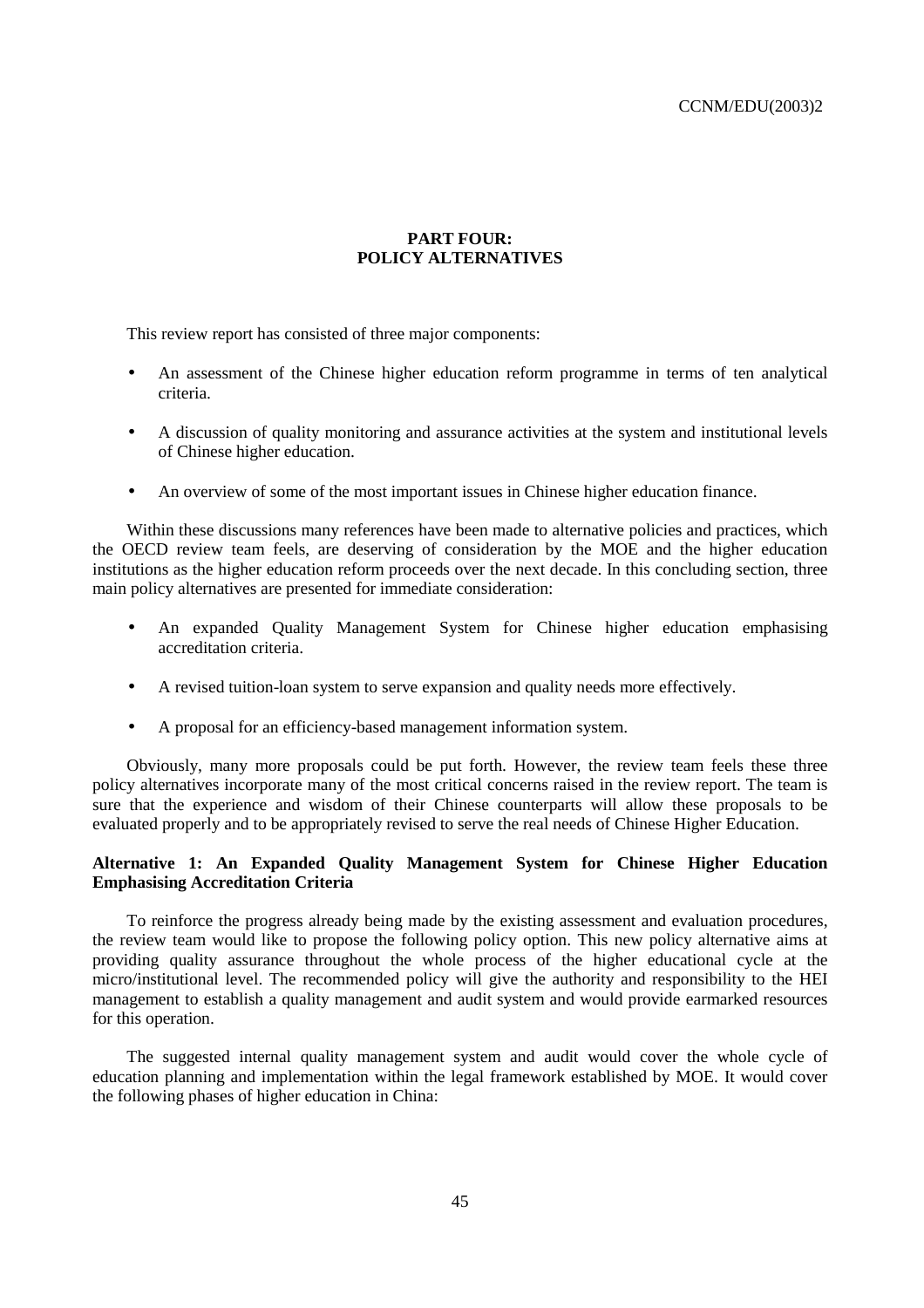# **PART FOUR: POLICY ALTERNATIVES**

This review report has consisted of three major components:

- An assessment of the Chinese higher education reform programme in terms of ten analytical criteria.
- A discussion of quality monitoring and assurance activities at the system and institutional levels of Chinese higher education.
- An overview of some of the most important issues in Chinese higher education finance.

Within these discussions many references have been made to alternative policies and practices, which the OECD review team feels, are deserving of consideration by the MOE and the higher education institutions as the higher education reform proceeds over the next decade. In this concluding section, three main policy alternatives are presented for immediate consideration:

- An expanded Quality Management System for Chinese higher education emphasising accreditation criteria.
- A revised tuition-loan system to serve expansion and quality needs more effectively.
- A proposal for an efficiency-based management information system.

Obviously, many more proposals could be put forth. However, the review team feels these three policy alternatives incorporate many of the most critical concerns raised in the review report. The team is sure that the experience and wisdom of their Chinese counterparts will allow these proposals to be evaluated properly and to be appropriately revised to serve the real needs of Chinese Higher Education.

# **Alternative 1: An Expanded Quality Management System for Chinese Higher Education Emphasising Accreditation Criteria**

To reinforce the progress already being made by the existing assessment and evaluation procedures, the review team would like to propose the following policy option. This new policy alternative aims at providing quality assurance throughout the whole process of the higher educational cycle at the micro/institutional level. The recommended policy will give the authority and responsibility to the HEI management to establish a quality management and audit system and would provide earmarked resources for this operation.

The suggested internal quality management system and audit would cover the whole cycle of education planning and implementation within the legal framework established by MOE. It would cover the following phases of higher education in China: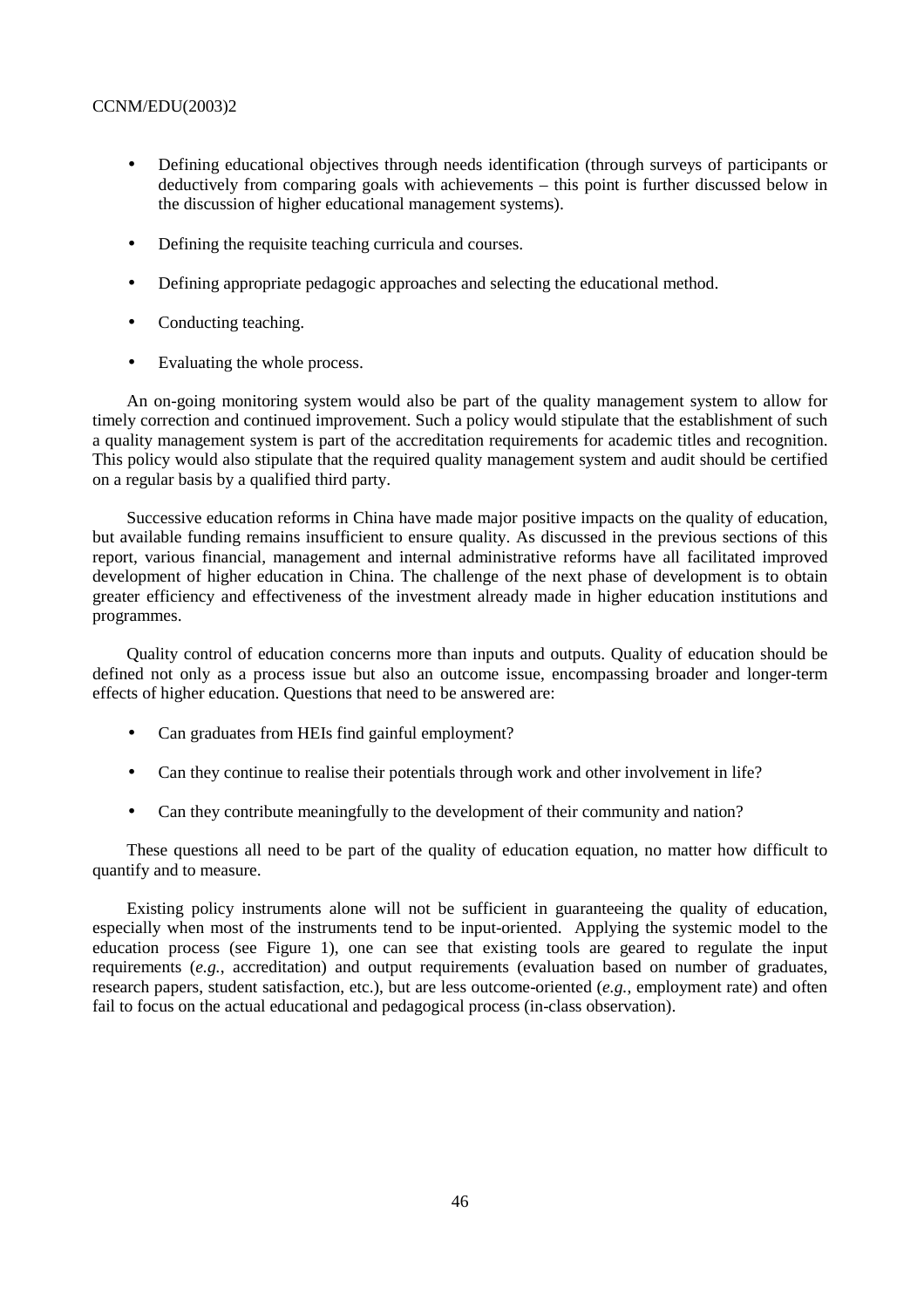- Defining educational objectives through needs identification (through surveys of participants or deductively from comparing goals with achievements – this point is further discussed below in the discussion of higher educational management systems).
- Defining the requisite teaching curricula and courses.
- Defining appropriate pedagogic approaches and selecting the educational method.
- Conducting teaching.
- Evaluating the whole process.

An on-going monitoring system would also be part of the quality management system to allow for timely correction and continued improvement. Such a policy would stipulate that the establishment of such a quality management system is part of the accreditation requirements for academic titles and recognition. This policy would also stipulate that the required quality management system and audit should be certified on a regular basis by a qualified third party.

Successive education reforms in China have made major positive impacts on the quality of education, but available funding remains insufficient to ensure quality. As discussed in the previous sections of this report, various financial, management and internal administrative reforms have all facilitated improved development of higher education in China. The challenge of the next phase of development is to obtain greater efficiency and effectiveness of the investment already made in higher education institutions and programmes.

Quality control of education concerns more than inputs and outputs. Quality of education should be defined not only as a process issue but also an outcome issue, encompassing broader and longer-term effects of higher education. Questions that need to be answered are:

- Can graduates from HEIs find gainful employment?
- Can they continue to realise their potentials through work and other involvement in life?
- Can they contribute meaningfully to the development of their community and nation?

These questions all need to be part of the quality of education equation, no matter how difficult to quantify and to measure.

Existing policy instruments alone will not be sufficient in guaranteeing the quality of education, especially when most of the instruments tend to be input-oriented. Applying the systemic model to the education process (see Figure 1), one can see that existing tools are geared to regulate the input requirements (*e.g.*, accreditation) and output requirements (evaluation based on number of graduates, research papers, student satisfaction, etc.), but are less outcome-oriented (*e.g.*, employment rate) and often fail to focus on the actual educational and pedagogical process (in-class observation).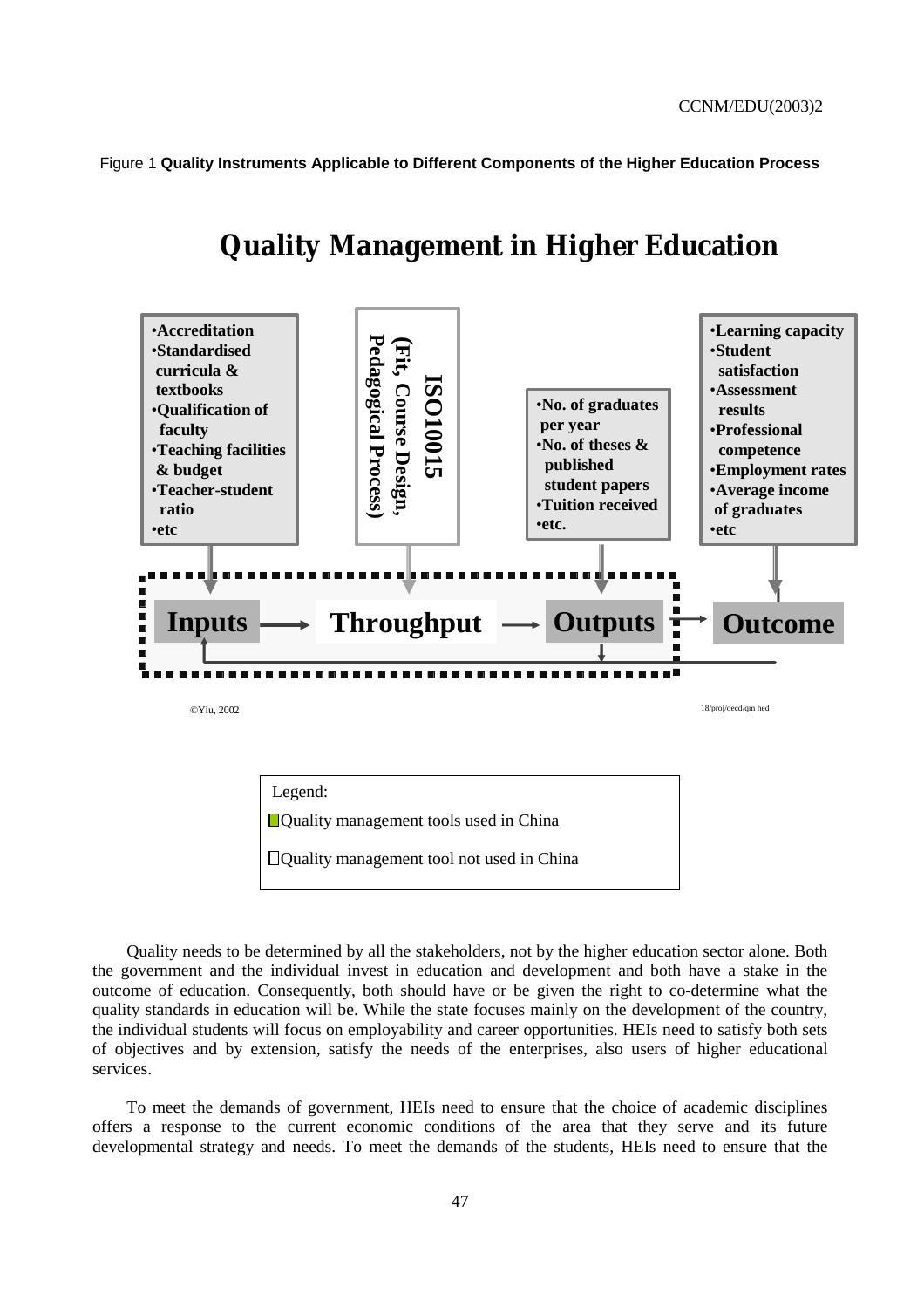Figure 1 **Quality Instruments Applicable to Different Components of the Higher Education Process** 



# **Quality Management in Higher Education**



Quality needs to be determined by all the stakeholders, not by the higher education sector alone. Both the government and the individual invest in education and development and both have a stake in the outcome of education. Consequently, both should have or be given the right to co-determine what the quality standards in education will be. While the state focuses mainly on the development of the country, the individual students will focus on employability and career opportunities. HEIs need to satisfy both sets of objectives and by extension, satisfy the needs of the enterprises, also users of higher educational services.

To meet the demands of government, HEIs need to ensure that the choice of academic disciplines offers a response to the current economic conditions of the area that they serve and its future developmental strategy and needs. To meet the demands of the students, HEIs need to ensure that the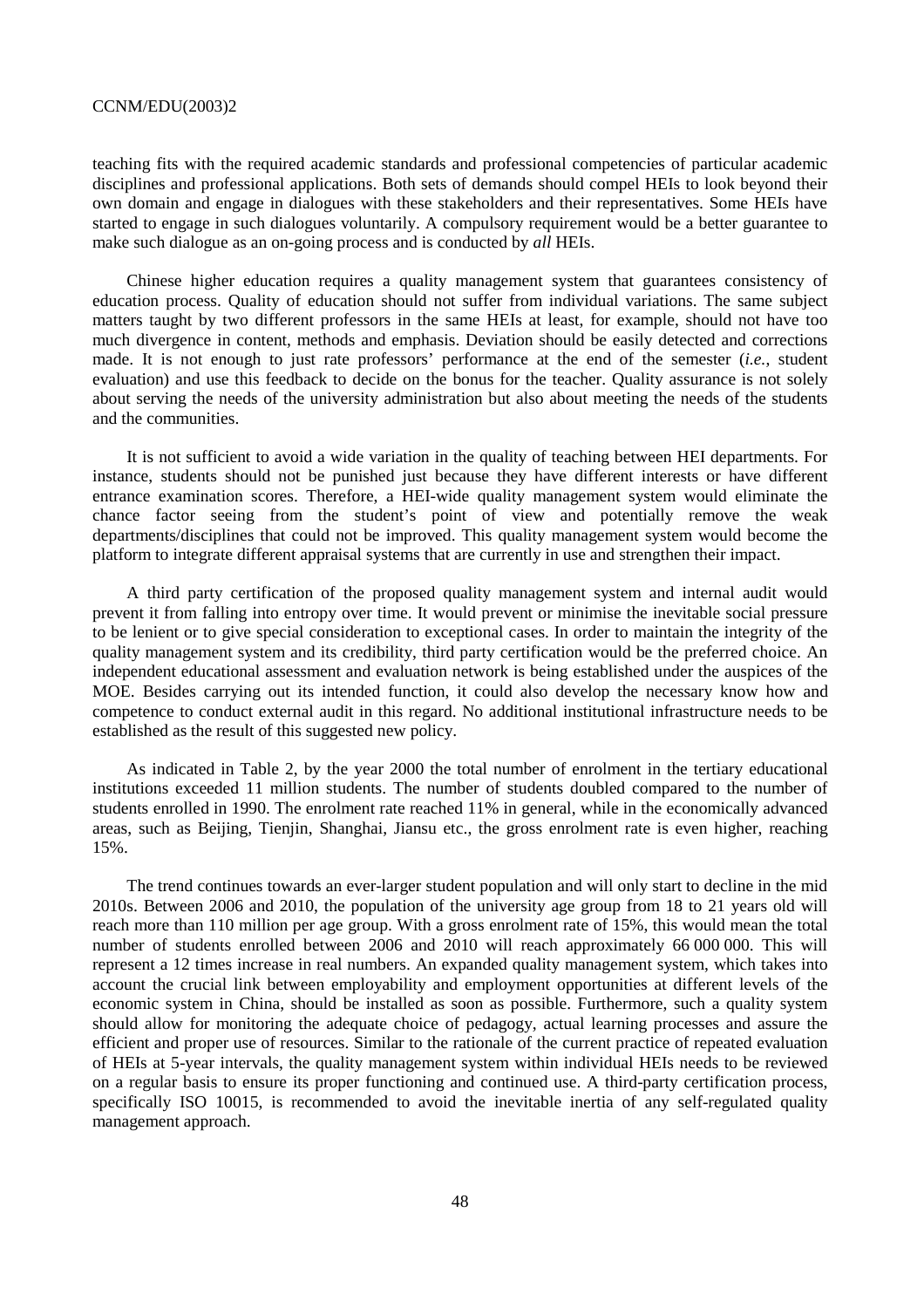teaching fits with the required academic standards and professional competencies of particular academic disciplines and professional applications. Both sets of demands should compel HEIs to look beyond their own domain and engage in dialogues with these stakeholders and their representatives. Some HEIs have started to engage in such dialogues voluntarily. A compulsory requirement would be a better guarantee to make such dialogue as an on-going process and is conducted by *all* HEIs.

Chinese higher education requires a quality management system that guarantees consistency of education process. Quality of education should not suffer from individual variations. The same subject matters taught by two different professors in the same HEIs at least, for example, should not have too much divergence in content, methods and emphasis. Deviation should be easily detected and corrections made. It is not enough to just rate professors' performance at the end of the semester (*i.e.*, student evaluation) and use this feedback to decide on the bonus for the teacher. Quality assurance is not solely about serving the needs of the university administration but also about meeting the needs of the students and the communities.

It is not sufficient to avoid a wide variation in the quality of teaching between HEI departments. For instance, students should not be punished just because they have different interests or have different entrance examination scores. Therefore, a HEI-wide quality management system would eliminate the chance factor seeing from the student's point of view and potentially remove the weak departments/disciplines that could not be improved. This quality management system would become the platform to integrate different appraisal systems that are currently in use and strengthen their impact.

A third party certification of the proposed quality management system and internal audit would prevent it from falling into entropy over time. It would prevent or minimise the inevitable social pressure to be lenient or to give special consideration to exceptional cases. In order to maintain the integrity of the quality management system and its credibility, third party certification would be the preferred choice. An independent educational assessment and evaluation network is being established under the auspices of the MOE. Besides carrying out its intended function, it could also develop the necessary know how and competence to conduct external audit in this regard. No additional institutional infrastructure needs to be established as the result of this suggested new policy.

As indicated in Table 2, by the year 2000 the total number of enrolment in the tertiary educational institutions exceeded 11 million students. The number of students doubled compared to the number of students enrolled in 1990. The enrolment rate reached 11% in general, while in the economically advanced areas, such as Beijing, Tienjin, Shanghai, Jiansu etc., the gross enrolment rate is even higher, reaching 15%.

The trend continues towards an ever-larger student population and will only start to decline in the mid 2010s. Between 2006 and 2010, the population of the university age group from 18 to 21 years old will reach more than 110 million per age group. With a gross enrolment rate of 15%, this would mean the total number of students enrolled between 2006 and 2010 will reach approximately 66 000 000. This will represent a 12 times increase in real numbers. An expanded quality management system, which takes into account the crucial link between employability and employment opportunities at different levels of the economic system in China, should be installed as soon as possible. Furthermore, such a quality system should allow for monitoring the adequate choice of pedagogy, actual learning processes and assure the efficient and proper use of resources. Similar to the rationale of the current practice of repeated evaluation of HEIs at 5-year intervals, the quality management system within individual HEIs needs to be reviewed on a regular basis to ensure its proper functioning and continued use. A third-party certification process, specifically ISO 10015, is recommended to avoid the inevitable inertia of any self-regulated quality management approach.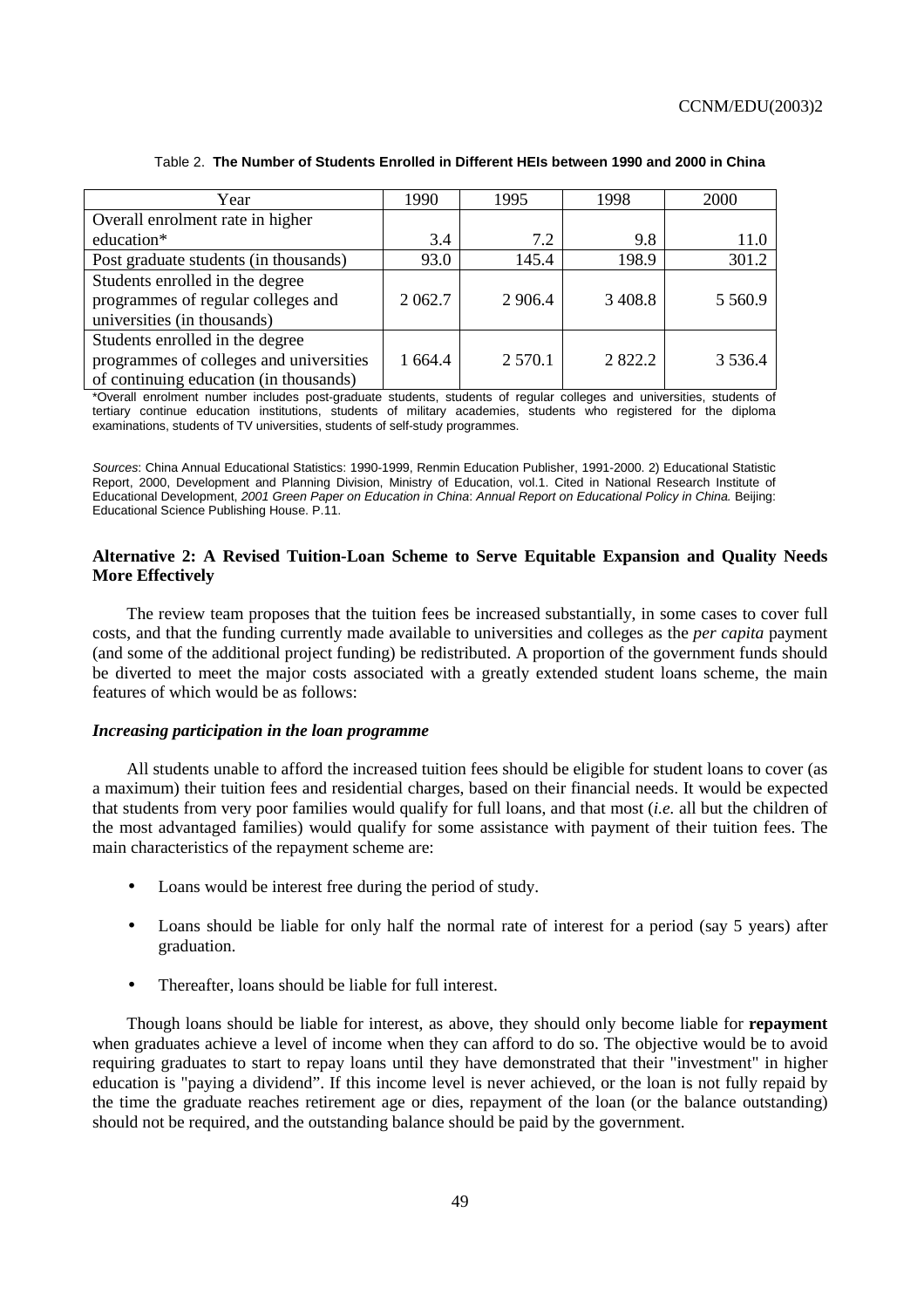| Year                                    | 1990      | 1995       | 1998      | 2000       |
|-----------------------------------------|-----------|------------|-----------|------------|
| Overall enrolment rate in higher        |           |            |           |            |
| education*                              | 3.4       | 7.2        | 9.8       | 11.0       |
| Post graduate students (in thousands)   | 93.0      | 145.4      | 198.9     | 301.2      |
| Students enrolled in the degree         |           |            |           |            |
| programmes of regular colleges and      | 2 0 6 2.7 | 2 9 0 6.4  | 3 4 0 8.8 | 5 5 6 0.9  |
| universities (in thousands)             |           |            |           |            |
| Students enrolled in the degree         |           |            |           |            |
| programmes of colleges and universities | 1 664.4   | 2 5 7 0 .1 | 2 822.2   | 3 5 3 6 .4 |
| of continuing education (in thousands)  |           |            |           |            |

# Table 2. **The Number of Students Enrolled in Different HEIs between 1990 and 2000 in China**

\*Overall enrolment number includes post-graduate students, students of regular colleges and universities, students of tertiary continue education institutions, students of military academies, students who registered for the diploma examinations, students of TV universities, students of self-study programmes.

Sources: China Annual Educational Statistics: 1990-1999, Renmin Education Publisher, 1991-2000. 2) Educational Statistic Report, 2000, Development and Planning Division, Ministry of Education, vol.1. Cited in National Research Institute of Educational Development, 2001 Green Paper on Education in China: Annual Report on Educational Policy in China. Beijing: Educational Science Publishing House. P.11.

# **Alternative 2: A Revised Tuition-Loan Scheme to Serve Equitable Expansion and Quality Needs More Effectively**

The review team proposes that the tuition fees be increased substantially, in some cases to cover full costs, and that the funding currently made available to universities and colleges as the *per capita* payment (and some of the additional project funding) be redistributed. A proportion of the government funds should be diverted to meet the major costs associated with a greatly extended student loans scheme, the main features of which would be as follows:

#### *Increasing participation in the loan programme*

All students unable to afford the increased tuition fees should be eligible for student loans to cover (as a maximum) their tuition fees and residential charges, based on their financial needs. It would be expected that students from very poor families would qualify for full loans, and that most (*i.e.* all but the children of the most advantaged families) would qualify for some assistance with payment of their tuition fees. The main characteristics of the repayment scheme are:

- Loans would be interest free during the period of study.
- Loans should be liable for only half the normal rate of interest for a period (say 5 years) after graduation.
- Thereafter, loans should be liable for full interest.

Though loans should be liable for interest, as above, they should only become liable for **repayment** when graduates achieve a level of income when they can afford to do so. The objective would be to avoid requiring graduates to start to repay loans until they have demonstrated that their "investment" in higher education is "paying a dividend". If this income level is never achieved, or the loan is not fully repaid by the time the graduate reaches retirement age or dies, repayment of the loan (or the balance outstanding) should not be required, and the outstanding balance should be paid by the government.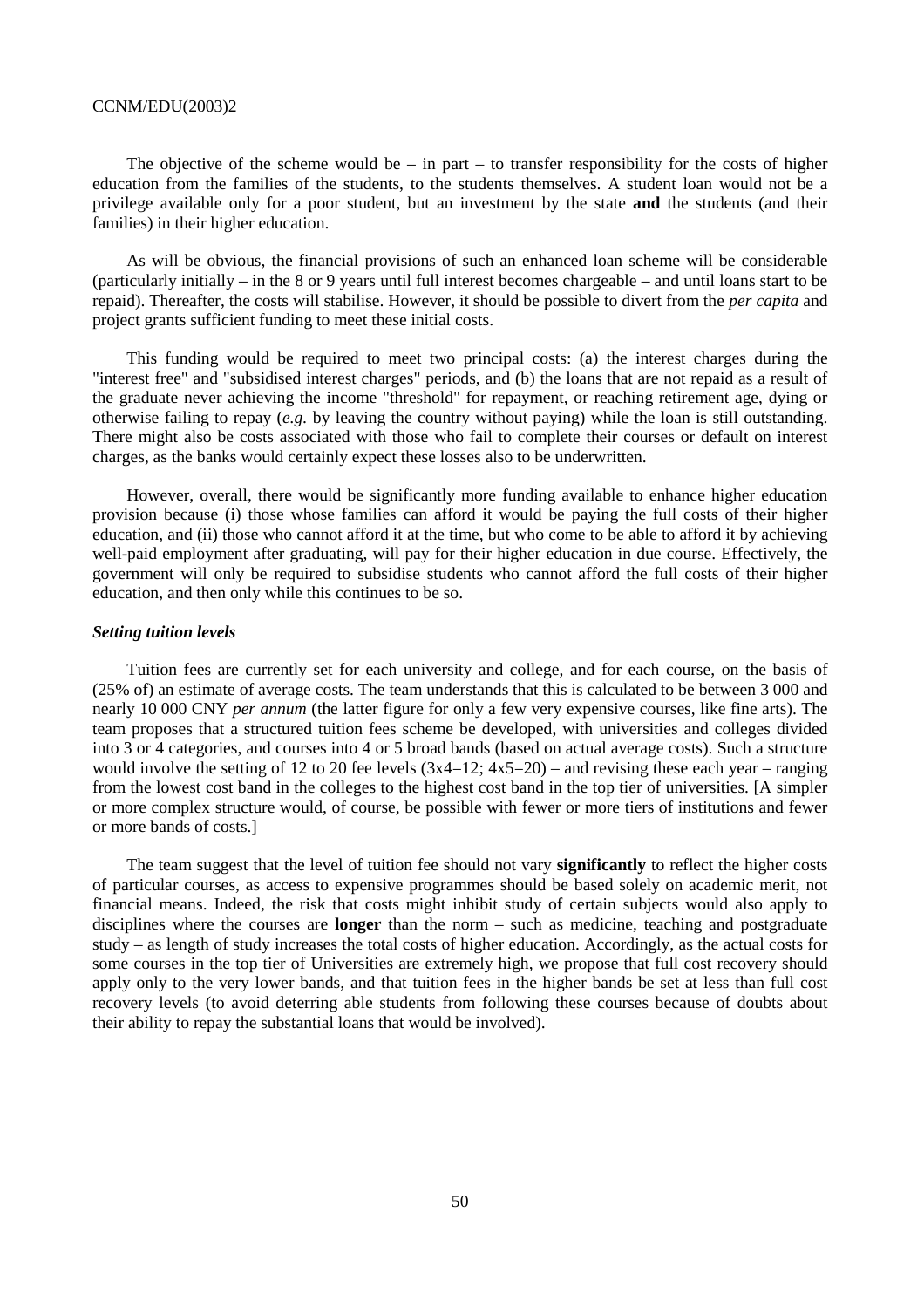The objective of the scheme would be – in part – to transfer responsibility for the costs of higher education from the families of the students, to the students themselves. A student loan would not be a privilege available only for a poor student, but an investment by the state **and** the students (and their families) in their higher education.

As will be obvious, the financial provisions of such an enhanced loan scheme will be considerable (particularly initially – in the 8 or 9 years until full interest becomes chargeable – and until loans start to be repaid). Thereafter, the costs will stabilise. However, it should be possible to divert from the *per capita* and project grants sufficient funding to meet these initial costs.

This funding would be required to meet two principal costs: (a) the interest charges during the "interest free" and "subsidised interest charges" periods, and (b) the loans that are not repaid as a result of the graduate never achieving the income "threshold" for repayment, or reaching retirement age, dying or otherwise failing to repay (*e.g.* by leaving the country without paying) while the loan is still outstanding. There might also be costs associated with those who fail to complete their courses or default on interest charges, as the banks would certainly expect these losses also to be underwritten.

However, overall, there would be significantly more funding available to enhance higher education provision because (i) those whose families can afford it would be paying the full costs of their higher education, and (ii) those who cannot afford it at the time, but who come to be able to afford it by achieving well-paid employment after graduating, will pay for their higher education in due course. Effectively, the government will only be required to subsidise students who cannot afford the full costs of their higher education, and then only while this continues to be so.

#### *Setting tuition levels*

Tuition fees are currently set for each university and college, and for each course, on the basis of (25% of) an estimate of average costs. The team understands that this is calculated to be between 3 000 and nearly 10 000 CNY *per annum* (the latter figure for only a few very expensive courses, like fine arts). The team proposes that a structured tuition fees scheme be developed, with universities and colleges divided into 3 or 4 categories, and courses into 4 or 5 broad bands (based on actual average costs). Such a structure would involve the setting of 12 to 20 fee levels  $(3x4=12; 4x5=20)$  – and revising these each year – ranging from the lowest cost band in the colleges to the highest cost band in the top tier of universities. [A simpler or more complex structure would, of course, be possible with fewer or more tiers of institutions and fewer or more bands of costs.]

The team suggest that the level of tuition fee should not vary **significantly** to reflect the higher costs of particular courses, as access to expensive programmes should be based solely on academic merit, not financial means. Indeed, the risk that costs might inhibit study of certain subjects would also apply to disciplines where the courses are **longer** than the norm – such as medicine, teaching and postgraduate study – as length of study increases the total costs of higher education. Accordingly, as the actual costs for some courses in the top tier of Universities are extremely high, we propose that full cost recovery should apply only to the very lower bands, and that tuition fees in the higher bands be set at less than full cost recovery levels (to avoid deterring able students from following these courses because of doubts about their ability to repay the substantial loans that would be involved).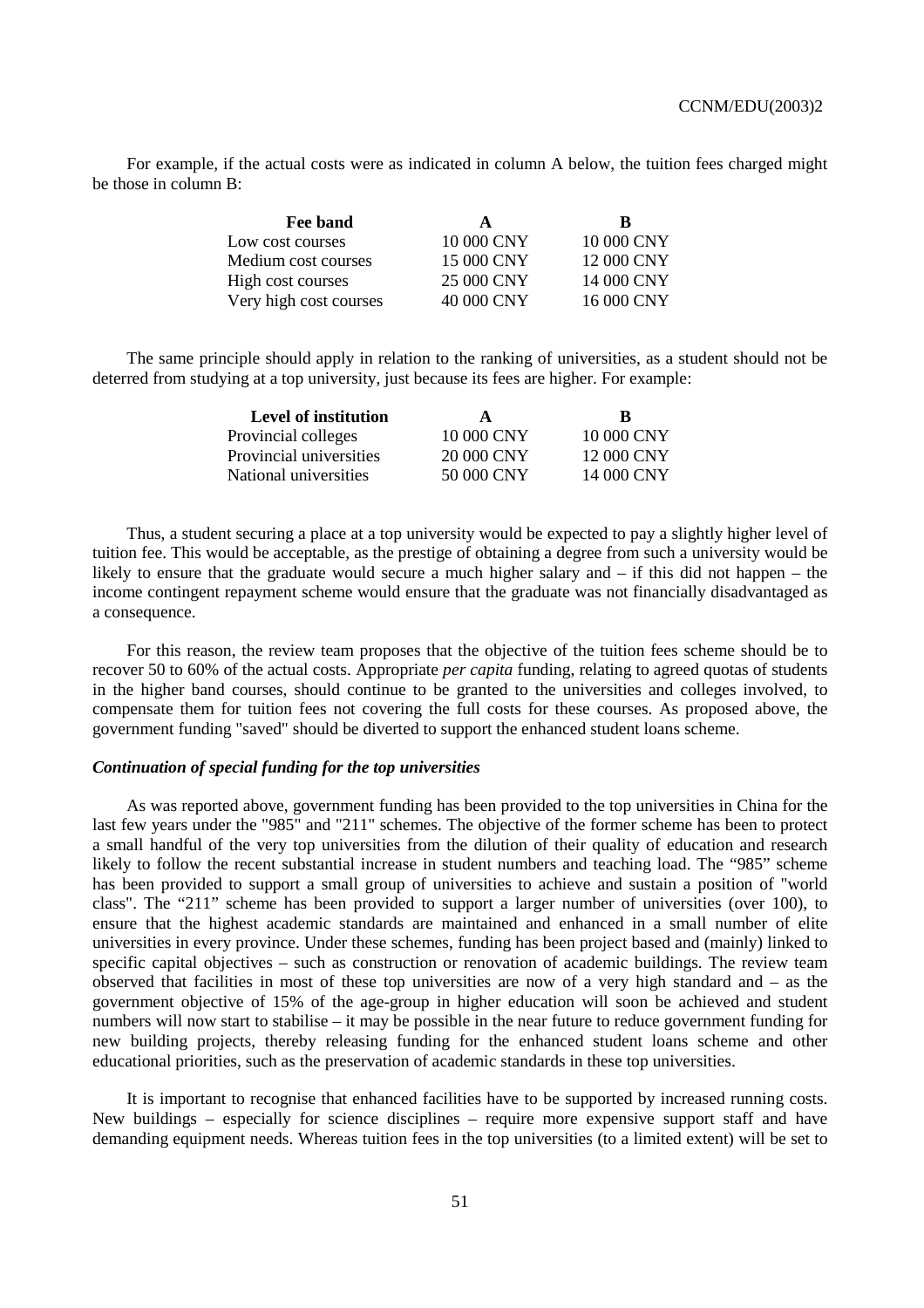For example, if the actual costs were as indicated in column A below, the tuition fees charged might be those in column B:

| Fee band               | A          | R          |
|------------------------|------------|------------|
| Low cost courses       | 10 000 CNY | 10 000 CNY |
| Medium cost courses    | 15 000 CNY | 12 000 CNY |
| High cost courses      | 25 000 CNY | 14 000 CNY |
| Very high cost courses | 40 000 CNY | 16 000 CNY |

The same principle should apply in relation to the ranking of universities, as a student should not be deterred from studying at a top university, just because its fees are higher. For example:

| A          | ĸ          |
|------------|------------|
| 10 000 CNY | 10 000 CNY |
| 20 000 CNY | 12 000 CNY |
| 50 000 CNY | 14 000 CNY |
|            |            |

Thus, a student securing a place at a top university would be expected to pay a slightly higher level of tuition fee. This would be acceptable, as the prestige of obtaining a degree from such a university would be likely to ensure that the graduate would secure a much higher salary and – if this did not happen – the income contingent repayment scheme would ensure that the graduate was not financially disadvantaged as a consequence.

For this reason, the review team proposes that the objective of the tuition fees scheme should be to recover 50 to 60% of the actual costs. Appropriate *per capita* funding, relating to agreed quotas of students in the higher band courses, should continue to be granted to the universities and colleges involved, to compensate them for tuition fees not covering the full costs for these courses. As proposed above, the government funding "saved" should be diverted to support the enhanced student loans scheme.

#### *Continuation of special funding for the top universities*

As was reported above, government funding has been provided to the top universities in China for the last few years under the "985" and "211" schemes. The objective of the former scheme has been to protect a small handful of the very top universities from the dilution of their quality of education and research likely to follow the recent substantial increase in student numbers and teaching load. The "985" scheme has been provided to support a small group of universities to achieve and sustain a position of "world class". The "211" scheme has been provided to support a larger number of universities (over 100), to ensure that the highest academic standards are maintained and enhanced in a small number of elite universities in every province. Under these schemes, funding has been project based and (mainly) linked to specific capital objectives – such as construction or renovation of academic buildings. The review team observed that facilities in most of these top universities are now of a very high standard and – as the government objective of 15% of the age-group in higher education will soon be achieved and student numbers will now start to stabilise – it may be possible in the near future to reduce government funding for new building projects, thereby releasing funding for the enhanced student loans scheme and other educational priorities, such as the preservation of academic standards in these top universities.

It is important to recognise that enhanced facilities have to be supported by increased running costs. New buildings – especially for science disciplines – require more expensive support staff and have demanding equipment needs. Whereas tuition fees in the top universities (to a limited extent) will be set to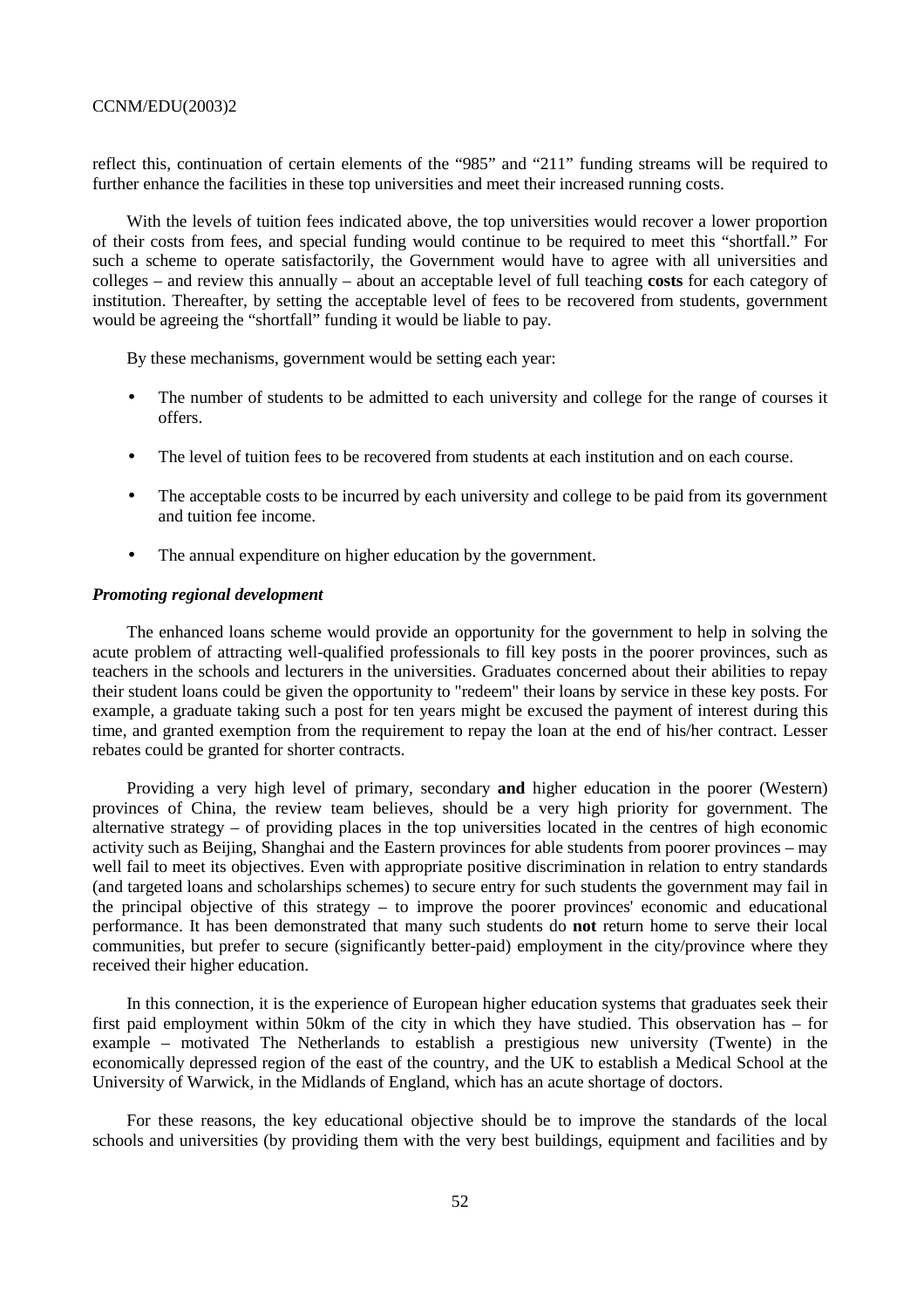reflect this, continuation of certain elements of the "985" and "211" funding streams will be required to further enhance the facilities in these top universities and meet their increased running costs.

With the levels of tuition fees indicated above, the top universities would recover a lower proportion of their costs from fees, and special funding would continue to be required to meet this "shortfall." For such a scheme to operate satisfactorily, the Government would have to agree with all universities and colleges – and review this annually – about an acceptable level of full teaching **costs** for each category of institution. Thereafter, by setting the acceptable level of fees to be recovered from students, government would be agreeing the "shortfall" funding it would be liable to pay.

By these mechanisms, government would be setting each year:

- The number of students to be admitted to each university and college for the range of courses it offers.
- The level of tuition fees to be recovered from students at each institution and on each course.
- The acceptable costs to be incurred by each university and college to be paid from its government and tuition fee income.
- The annual expenditure on higher education by the government.

#### *Promoting regional development*

The enhanced loans scheme would provide an opportunity for the government to help in solving the acute problem of attracting well-qualified professionals to fill key posts in the poorer provinces, such as teachers in the schools and lecturers in the universities. Graduates concerned about their abilities to repay their student loans could be given the opportunity to "redeem" their loans by service in these key posts. For example, a graduate taking such a post for ten years might be excused the payment of interest during this time, and granted exemption from the requirement to repay the loan at the end of his/her contract. Lesser rebates could be granted for shorter contracts.

Providing a very high level of primary, secondary **and** higher education in the poorer (Western) provinces of China, the review team believes, should be a very high priority for government. The alternative strategy – of providing places in the top universities located in the centres of high economic activity such as Beijing, Shanghai and the Eastern provinces for able students from poorer provinces – may well fail to meet its objectives. Even with appropriate positive discrimination in relation to entry standards (and targeted loans and scholarships schemes) to secure entry for such students the government may fail in the principal objective of this strategy – to improve the poorer provinces' economic and educational performance. It has been demonstrated that many such students do **not** return home to serve their local communities, but prefer to secure (significantly better-paid) employment in the city/province where they received their higher education.

In this connection, it is the experience of European higher education systems that graduates seek their first paid employment within 50km of the city in which they have studied. This observation has – for example – motivated The Netherlands to establish a prestigious new university (Twente) in the economically depressed region of the east of the country, and the UK to establish a Medical School at the University of Warwick, in the Midlands of England, which has an acute shortage of doctors.

For these reasons, the key educational objective should be to improve the standards of the local schools and universities (by providing them with the very best buildings, equipment and facilities and by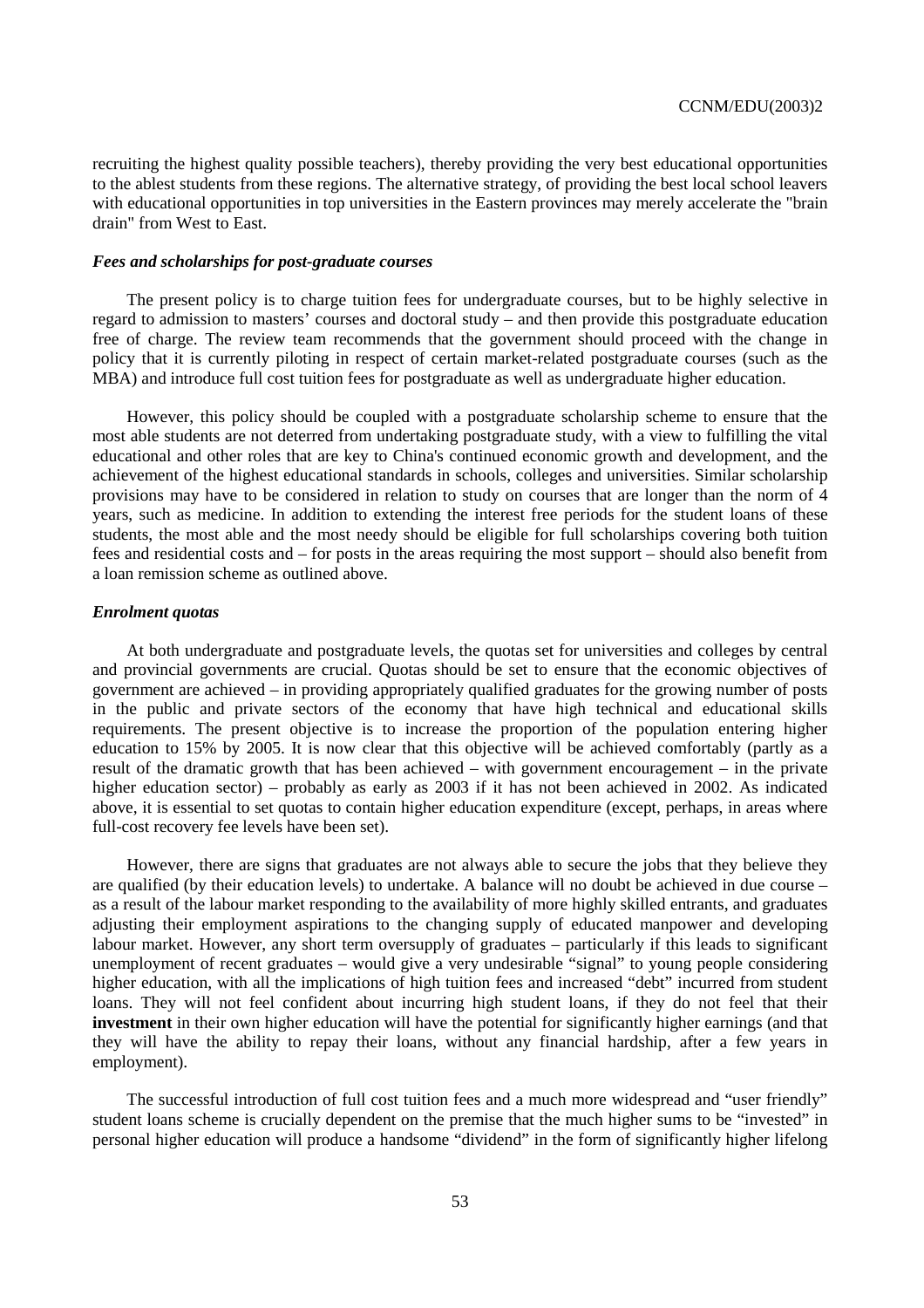recruiting the highest quality possible teachers), thereby providing the very best educational opportunities to the ablest students from these regions. The alternative strategy, of providing the best local school leavers with educational opportunities in top universities in the Eastern provinces may merely accelerate the "brain" drain" from West to East.

#### *Fees and scholarships for post-graduate courses*

The present policy is to charge tuition fees for undergraduate courses, but to be highly selective in regard to admission to masters' courses and doctoral study – and then provide this postgraduate education free of charge. The review team recommends that the government should proceed with the change in policy that it is currently piloting in respect of certain market-related postgraduate courses (such as the MBA) and introduce full cost tuition fees for postgraduate as well as undergraduate higher education.

However, this policy should be coupled with a postgraduate scholarship scheme to ensure that the most able students are not deterred from undertaking postgraduate study, with a view to fulfilling the vital educational and other roles that are key to China's continued economic growth and development, and the achievement of the highest educational standards in schools, colleges and universities. Similar scholarship provisions may have to be considered in relation to study on courses that are longer than the norm of 4 years, such as medicine. In addition to extending the interest free periods for the student loans of these students, the most able and the most needy should be eligible for full scholarships covering both tuition fees and residential costs and – for posts in the areas requiring the most support – should also benefit from a loan remission scheme as outlined above.

#### *Enrolment quotas*

At both undergraduate and postgraduate levels, the quotas set for universities and colleges by central and provincial governments are crucial. Quotas should be set to ensure that the economic objectives of government are achieved – in providing appropriately qualified graduates for the growing number of posts in the public and private sectors of the economy that have high technical and educational skills requirements. The present objective is to increase the proportion of the population entering higher education to 15% by 2005. It is now clear that this objective will be achieved comfortably (partly as a result of the dramatic growth that has been achieved – with government encouragement – in the private higher education sector) – probably as early as 2003 if it has not been achieved in 2002. As indicated above, it is essential to set quotas to contain higher education expenditure (except, perhaps, in areas where full-cost recovery fee levels have been set).

However, there are signs that graduates are not always able to secure the jobs that they believe they are qualified (by their education levels) to undertake. A balance will no doubt be achieved in due course – as a result of the labour market responding to the availability of more highly skilled entrants, and graduates adjusting their employment aspirations to the changing supply of educated manpower and developing labour market. However, any short term oversupply of graduates – particularly if this leads to significant unemployment of recent graduates – would give a very undesirable "signal" to young people considering higher education, with all the implications of high tuition fees and increased "debt" incurred from student loans. They will not feel confident about incurring high student loans, if they do not feel that their **investment** in their own higher education will have the potential for significantly higher earnings (and that they will have the ability to repay their loans, without any financial hardship, after a few years in employment).

The successful introduction of full cost tuition fees and a much more widespread and "user friendly" student loans scheme is crucially dependent on the premise that the much higher sums to be "invested" in personal higher education will produce a handsome "dividend" in the form of significantly higher lifelong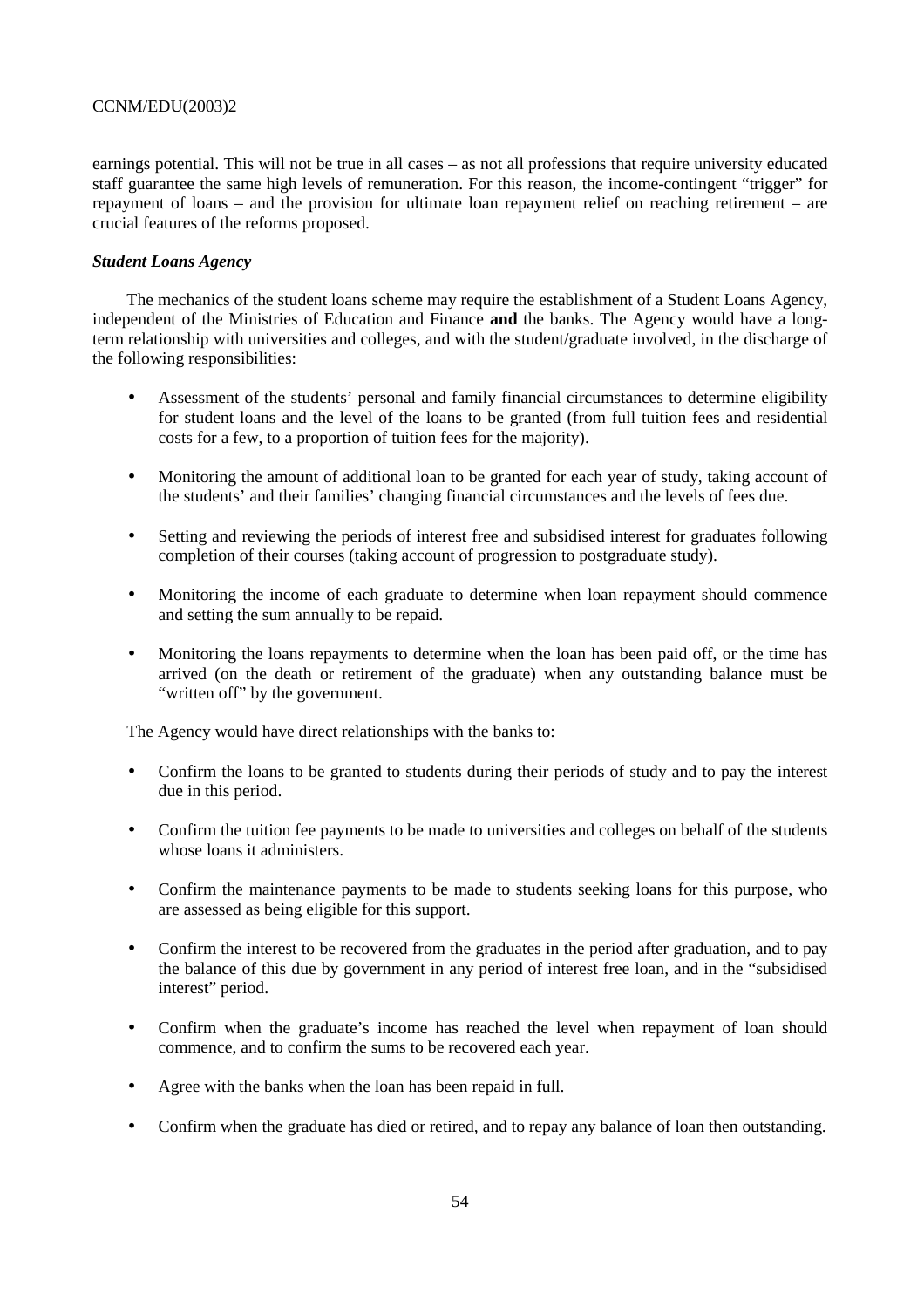earnings potential. This will not be true in all cases – as not all professions that require university educated staff guarantee the same high levels of remuneration. For this reason, the income-contingent "trigger" for repayment of loans – and the provision for ultimate loan repayment relief on reaching retirement – are crucial features of the reforms proposed.

# *Student Loans Agency*

The mechanics of the student loans scheme may require the establishment of a Student Loans Agency, independent of the Ministries of Education and Finance **and** the banks. The Agency would have a longterm relationship with universities and colleges, and with the student/graduate involved, in the discharge of the following responsibilities:

- Assessment of the students' personal and family financial circumstances to determine eligibility for student loans and the level of the loans to be granted (from full tuition fees and residential costs for a few, to a proportion of tuition fees for the majority).
- Monitoring the amount of additional loan to be granted for each year of study, taking account of the students' and their families' changing financial circumstances and the levels of fees due.
- Setting and reviewing the periods of interest free and subsidised interest for graduates following completion of their courses (taking account of progression to postgraduate study).
- Monitoring the income of each graduate to determine when loan repayment should commence and setting the sum annually to be repaid.
- Monitoring the loans repayments to determine when the loan has been paid off, or the time has arrived (on the death or retirement of the graduate) when any outstanding balance must be "written off" by the government.

The Agency would have direct relationships with the banks to:

- Confirm the loans to be granted to students during their periods of study and to pay the interest due in this period.
- Confirm the tuition fee payments to be made to universities and colleges on behalf of the students whose loans it administers.
- Confirm the maintenance payments to be made to students seeking loans for this purpose, who are assessed as being eligible for this support.
- Confirm the interest to be recovered from the graduates in the period after graduation, and to pay the balance of this due by government in any period of interest free loan, and in the "subsidised interest" period.
- Confirm when the graduate's income has reached the level when repayment of loan should commence, and to confirm the sums to be recovered each year.
- Agree with the banks when the loan has been repaid in full.
- Confirm when the graduate has died or retired, and to repay any balance of loan then outstanding.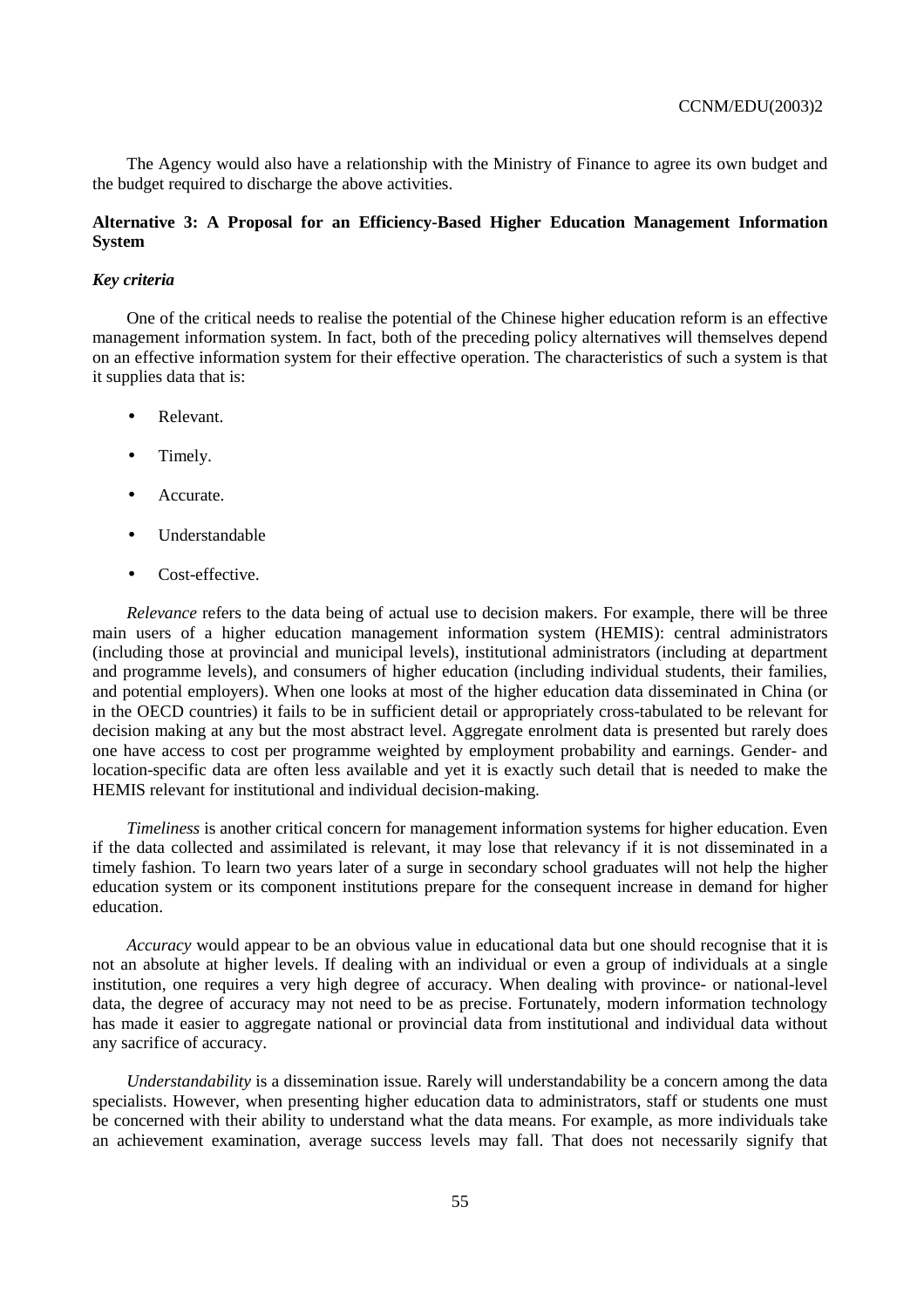The Agency would also have a relationship with the Ministry of Finance to agree its own budget and the budget required to discharge the above activities.

# **Alternative 3: A Proposal for an Efficiency-Based Higher Education Management Information System**

# *Key criteria*

One of the critical needs to realise the potential of the Chinese higher education reform is an effective management information system. In fact, both of the preceding policy alternatives will themselves depend on an effective information system for their effective operation. The characteristics of such a system is that it supplies data that is:

- Relevant.
- Timely.
- Accurate.
- Understandable
- Cost-effective.

*Relevance* refers to the data being of actual use to decision makers. For example, there will be three main users of a higher education management information system (HEMIS): central administrators (including those at provincial and municipal levels), institutional administrators (including at department and programme levels), and consumers of higher education (including individual students, their families, and potential employers). When one looks at most of the higher education data disseminated in China (or in the OECD countries) it fails to be in sufficient detail or appropriately cross-tabulated to be relevant for decision making at any but the most abstract level. Aggregate enrolment data is presented but rarely does one have access to cost per programme weighted by employment probability and earnings. Gender- and location-specific data are often less available and yet it is exactly such detail that is needed to make the HEMIS relevant for institutional and individual decision-making.

*Timeliness* is another critical concern for management information systems for higher education. Even if the data collected and assimilated is relevant, it may lose that relevancy if it is not disseminated in a timely fashion. To learn two years later of a surge in secondary school graduates will not help the higher education system or its component institutions prepare for the consequent increase in demand for higher education.

*Accuracy* would appear to be an obvious value in educational data but one should recognise that it is not an absolute at higher levels. If dealing with an individual or even a group of individuals at a single institution, one requires a very high degree of accuracy. When dealing with province- or national-level data, the degree of accuracy may not need to be as precise. Fortunately, modern information technology has made it easier to aggregate national or provincial data from institutional and individual data without any sacrifice of accuracy.

*Understandability* is a dissemination issue. Rarely will understandability be a concern among the data specialists. However, when presenting higher education data to administrators, staff or students one must be concerned with their ability to understand what the data means. For example, as more individuals take an achievement examination, average success levels may fall. That does not necessarily signify that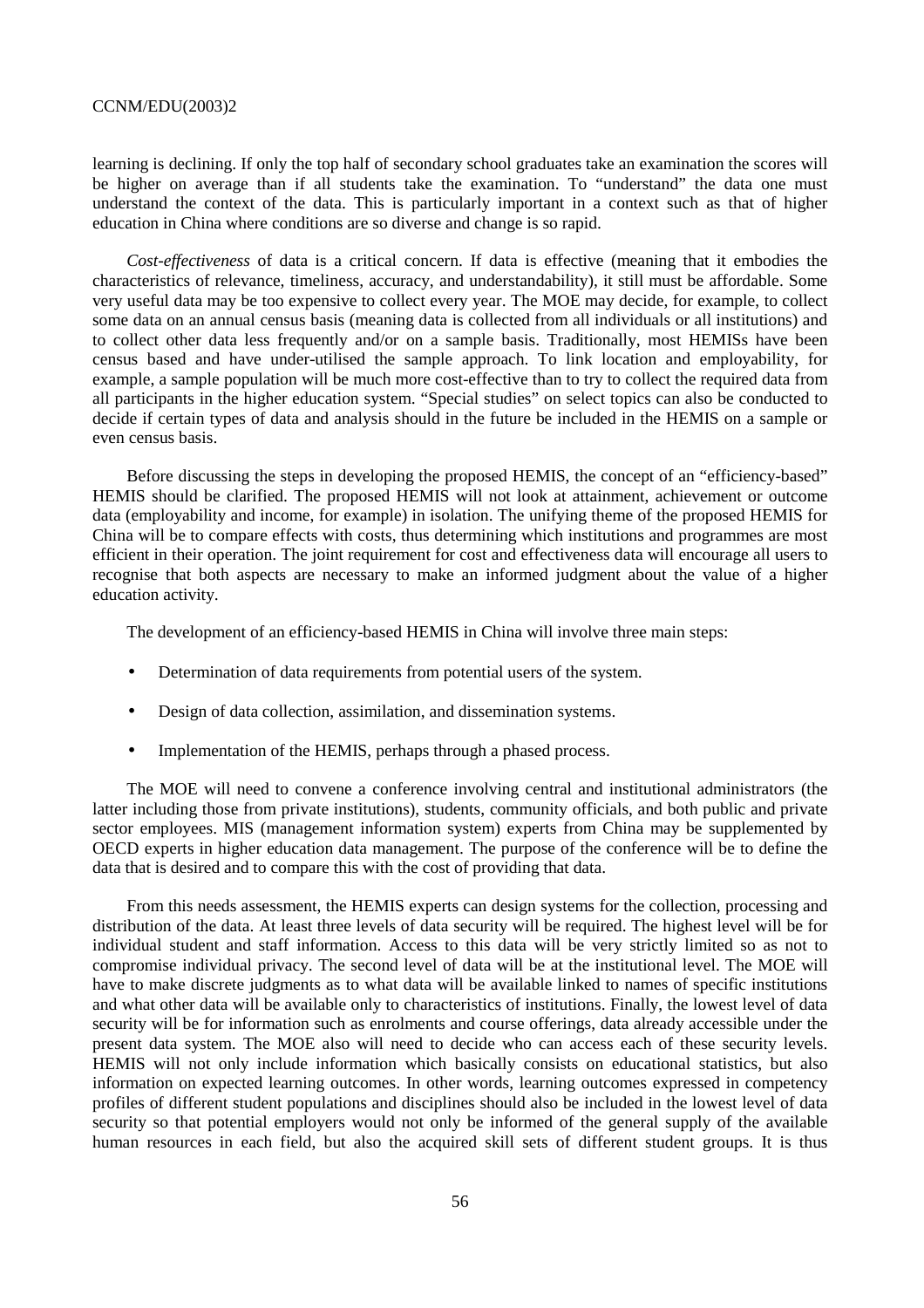learning is declining. If only the top half of secondary school graduates take an examination the scores will be higher on average than if all students take the examination. To "understand" the data one must understand the context of the data. This is particularly important in a context such as that of higher education in China where conditions are so diverse and change is so rapid.

*Cost-effectiveness* of data is a critical concern. If data is effective (meaning that it embodies the characteristics of relevance, timeliness, accuracy, and understandability), it still must be affordable. Some very useful data may be too expensive to collect every year. The MOE may decide, for example, to collect some data on an annual census basis (meaning data is collected from all individuals or all institutions) and to collect other data less frequently and/or on a sample basis. Traditionally, most HEMISs have been census based and have under-utilised the sample approach. To link location and employability, for example, a sample population will be much more cost-effective than to try to collect the required data from all participants in the higher education system. "Special studies" on select topics can also be conducted to decide if certain types of data and analysis should in the future be included in the HEMIS on a sample or even census basis.

Before discussing the steps in developing the proposed HEMIS, the concept of an "efficiency-based" HEMIS should be clarified. The proposed HEMIS will not look at attainment, achievement or outcome data (employability and income, for example) in isolation. The unifying theme of the proposed HEMIS for China will be to compare effects with costs, thus determining which institutions and programmes are most efficient in their operation. The joint requirement for cost and effectiveness data will encourage all users to recognise that both aspects are necessary to make an informed judgment about the value of a higher education activity.

The development of an efficiency-based HEMIS in China will involve three main steps:

- Determination of data requirements from potential users of the system.
- Design of data collection, assimilation, and dissemination systems.
- Implementation of the HEMIS, perhaps through a phased process.

The MOE will need to convene a conference involving central and institutional administrators (the latter including those from private institutions), students, community officials, and both public and private sector employees. MIS (management information system) experts from China may be supplemented by OECD experts in higher education data management. The purpose of the conference will be to define the data that is desired and to compare this with the cost of providing that data.

From this needs assessment, the HEMIS experts can design systems for the collection, processing and distribution of the data. At least three levels of data security will be required. The highest level will be for individual student and staff information. Access to this data will be very strictly limited so as not to compromise individual privacy. The second level of data will be at the institutional level. The MOE will have to make discrete judgments as to what data will be available linked to names of specific institutions and what other data will be available only to characteristics of institutions. Finally, the lowest level of data security will be for information such as enrolments and course offerings, data already accessible under the present data system. The MOE also will need to decide who can access each of these security levels. HEMIS will not only include information which basically consists on educational statistics, but also information on expected learning outcomes. In other words, learning outcomes expressed in competency profiles of different student populations and disciplines should also be included in the lowest level of data security so that potential employers would not only be informed of the general supply of the available human resources in each field, but also the acquired skill sets of different student groups. It is thus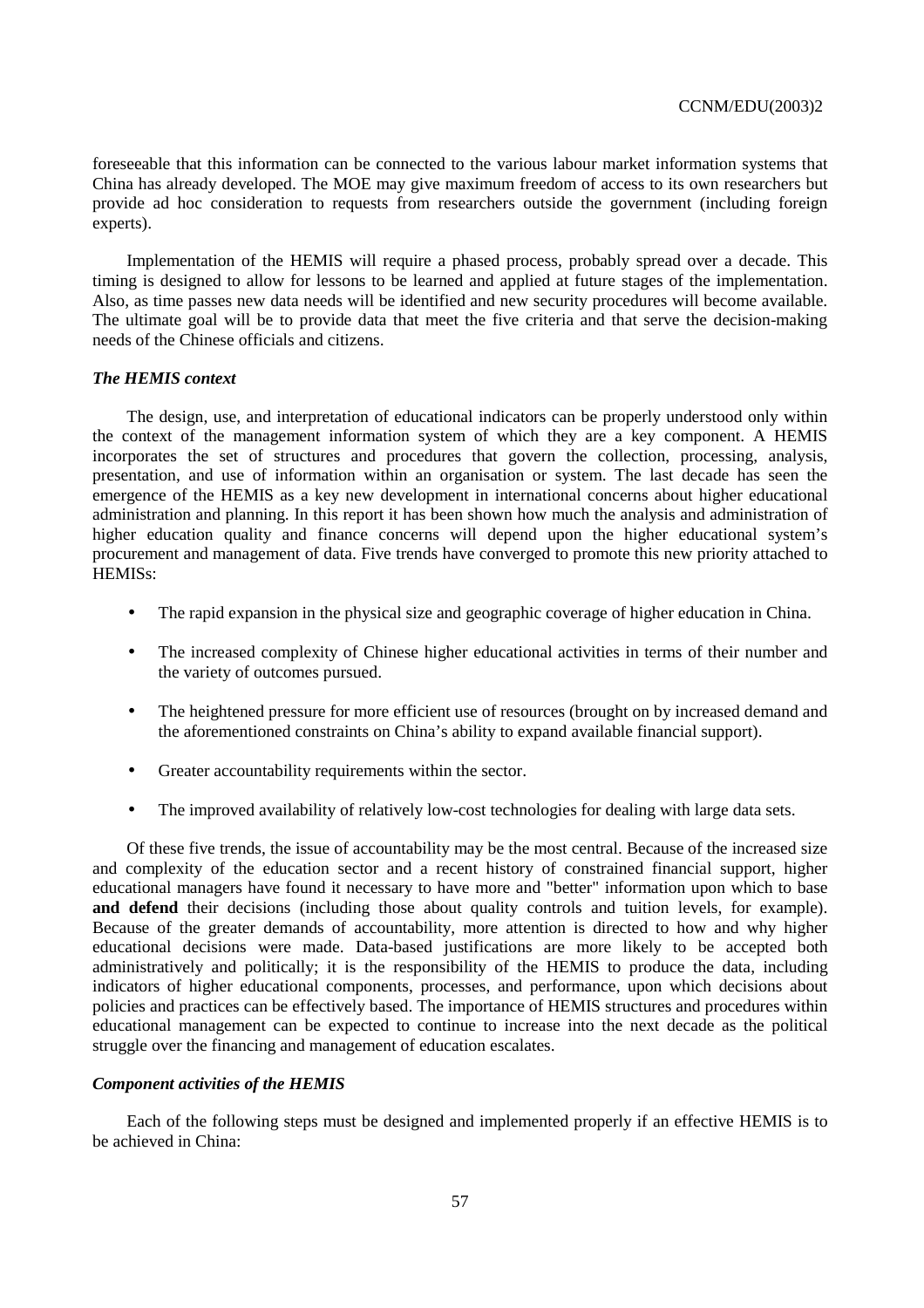foreseeable that this information can be connected to the various labour market information systems that China has already developed. The MOE may give maximum freedom of access to its own researchers but provide ad hoc consideration to requests from researchers outside the government (including foreign experts).

Implementation of the HEMIS will require a phased process, probably spread over a decade. This timing is designed to allow for lessons to be learned and applied at future stages of the implementation. Also, as time passes new data needs will be identified and new security procedures will become available. The ultimate goal will be to provide data that meet the five criteria and that serve the decision-making needs of the Chinese officials and citizens.

# *The HEMIS context*

The design, use, and interpretation of educational indicators can be properly understood only within the context of the management information system of which they are a key component. A HEMIS incorporates the set of structures and procedures that govern the collection, processing, analysis, presentation, and use of information within an organisation or system. The last decade has seen the emergence of the HEMIS as a key new development in international concerns about higher educational administration and planning. In this report it has been shown how much the analysis and administration of higher education quality and finance concerns will depend upon the higher educational system's procurement and management of data. Five trends have converged to promote this new priority attached to HEMISs:

- The rapid expansion in the physical size and geographic coverage of higher education in China.
- The increased complexity of Chinese higher educational activities in terms of their number and the variety of outcomes pursued.
- The heightened pressure for more efficient use of resources (brought on by increased demand and the aforementioned constraints on China's ability to expand available financial support).
- Greater accountability requirements within the sector.
- The improved availability of relatively low-cost technologies for dealing with large data sets.

Of these five trends, the issue of accountability may be the most central. Because of the increased size and complexity of the education sector and a recent history of constrained financial support, higher educational managers have found it necessary to have more and "better" information upon which to base **and defend** their decisions (including those about quality controls and tuition levels, for example). Because of the greater demands of accountability, more attention is directed to how and why higher educational decisions were made. Data-based justifications are more likely to be accepted both administratively and politically; it is the responsibility of the HEMIS to produce the data, including indicators of higher educational components, processes, and performance, upon which decisions about policies and practices can be effectively based. The importance of HEMIS structures and procedures within educational management can be expected to continue to increase into the next decade as the political struggle over the financing and management of education escalates.

#### *Component activities of the HEMIS*

Each of the following steps must be designed and implemented properly if an effective HEMIS is to be achieved in China: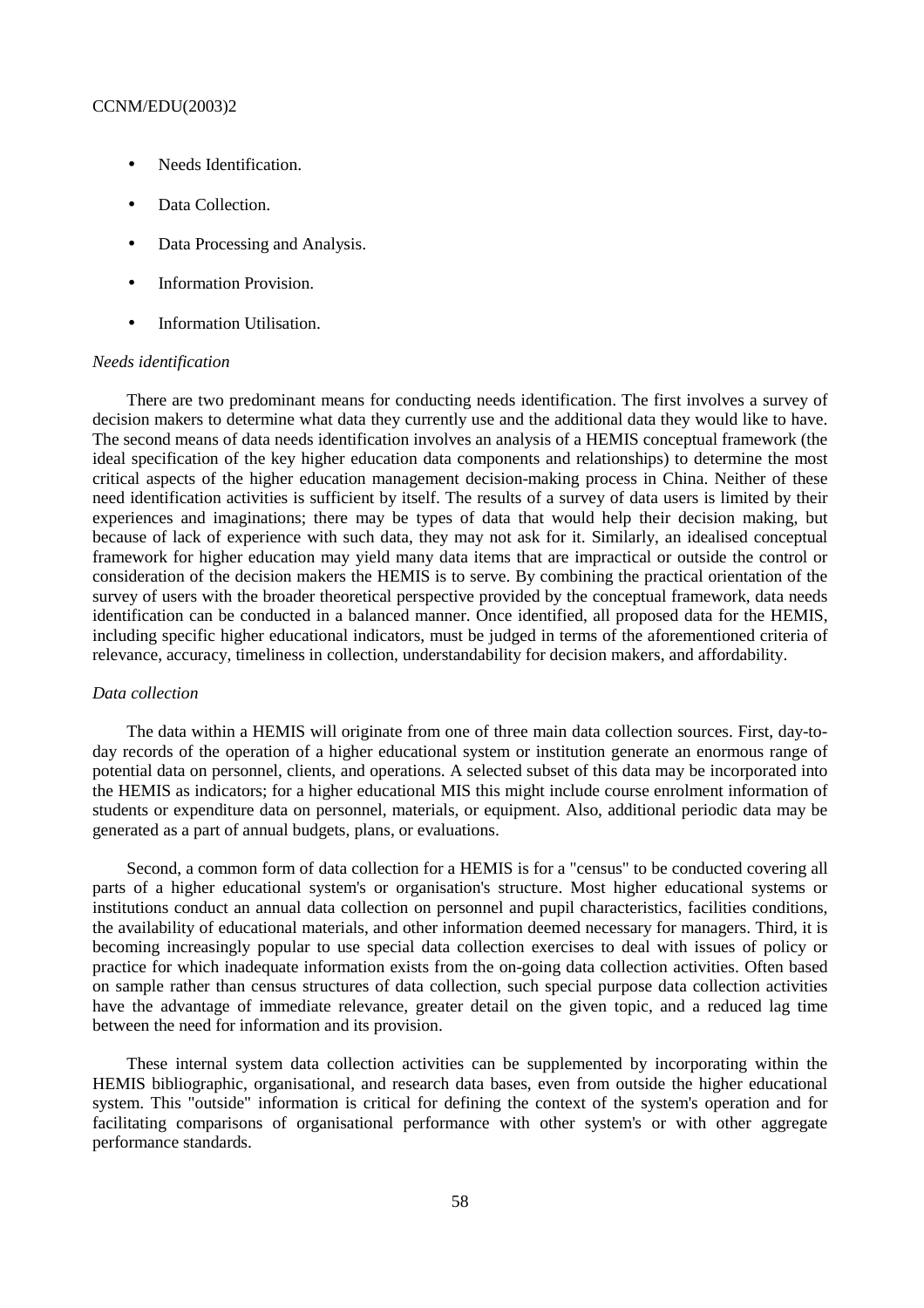- Needs Identification.
- Data Collection.
- Data Processing and Analysis.
- Information Provision.
- Information Utilisation.

#### *Needs identification*

There are two predominant means for conducting needs identification. The first involves a survey of decision makers to determine what data they currently use and the additional data they would like to have. The second means of data needs identification involves an analysis of a HEMIS conceptual framework (the ideal specification of the key higher education data components and relationships) to determine the most critical aspects of the higher education management decision-making process in China. Neither of these need identification activities is sufficient by itself. The results of a survey of data users is limited by their experiences and imaginations; there may be types of data that would help their decision making, but because of lack of experience with such data, they may not ask for it. Similarly, an idealised conceptual framework for higher education may yield many data items that are impractical or outside the control or consideration of the decision makers the HEMIS is to serve. By combining the practical orientation of the survey of users with the broader theoretical perspective provided by the conceptual framework, data needs identification can be conducted in a balanced manner. Once identified, all proposed data for the HEMIS, including specific higher educational indicators, must be judged in terms of the aforementioned criteria of relevance, accuracy, timeliness in collection, understandability for decision makers, and affordability.

#### *Data collection*

The data within a HEMIS will originate from one of three main data collection sources. First, day-today records of the operation of a higher educational system or institution generate an enormous range of potential data on personnel, clients, and operations. A selected subset of this data may be incorporated into the HEMIS as indicators; for a higher educational MIS this might include course enrolment information of students or expenditure data on personnel, materials, or equipment. Also, additional periodic data may be generated as a part of annual budgets, plans, or evaluations.

Second, a common form of data collection for a HEMIS is for a "census" to be conducted covering all parts of a higher educational system's or organisation's structure. Most higher educational systems or institutions conduct an annual data collection on personnel and pupil characteristics, facilities conditions, the availability of educational materials, and other information deemed necessary for managers. Third, it is becoming increasingly popular to use special data collection exercises to deal with issues of policy or practice for which inadequate information exists from the on-going data collection activities. Often based on sample rather than census structures of data collection, such special purpose data collection activities have the advantage of immediate relevance, greater detail on the given topic, and a reduced lag time between the need for information and its provision.

These internal system data collection activities can be supplemented by incorporating within the HEMIS bibliographic, organisational, and research data bases, even from outside the higher educational system. This "outside" information is critical for defining the context of the system's operation and for facilitating comparisons of organisational performance with other system's or with other aggregate performance standards.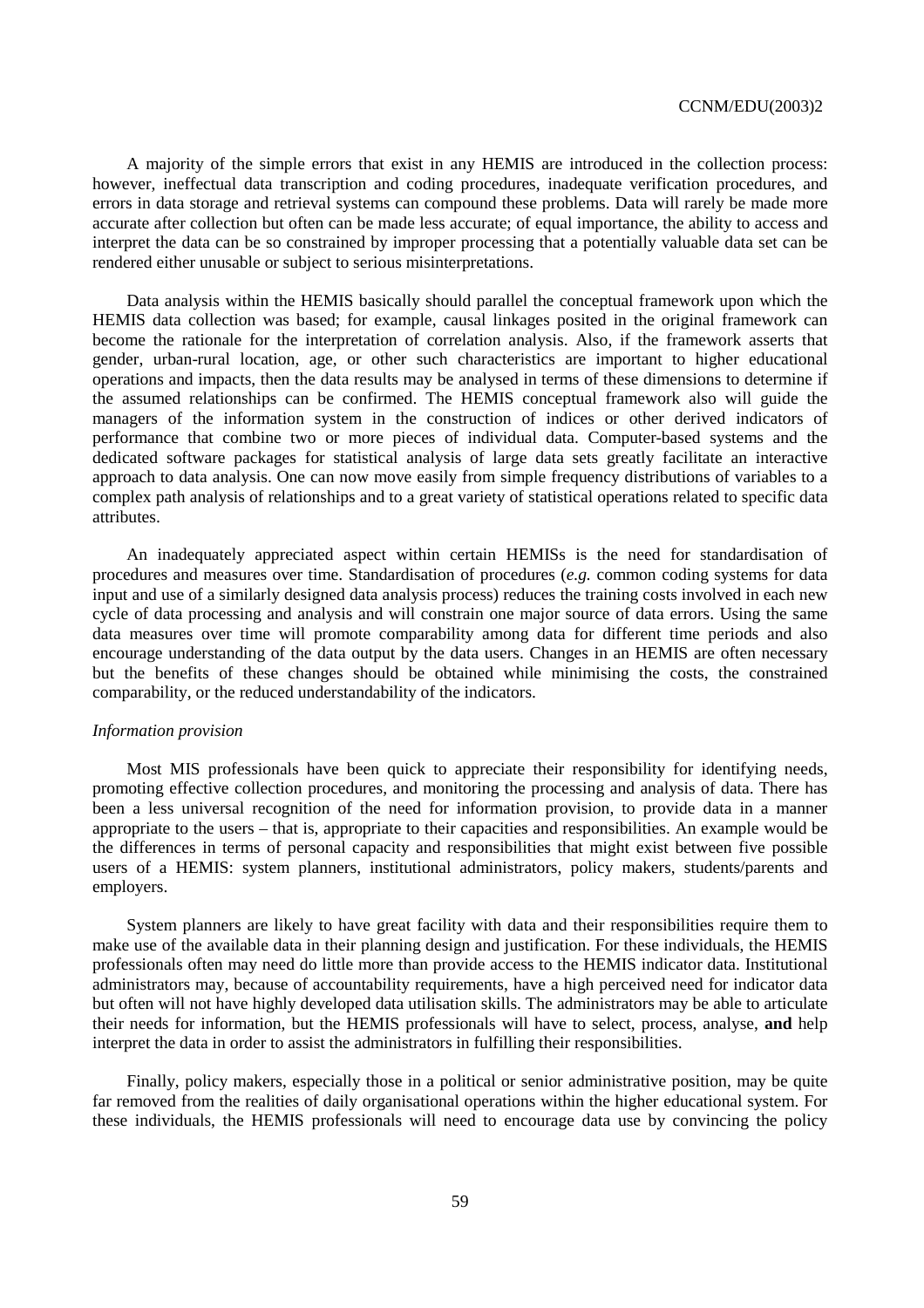A majority of the simple errors that exist in any HEMIS are introduced in the collection process: however, ineffectual data transcription and coding procedures, inadequate verification procedures, and errors in data storage and retrieval systems can compound these problems. Data will rarely be made more accurate after collection but often can be made less accurate; of equal importance, the ability to access and interpret the data can be so constrained by improper processing that a potentially valuable data set can be rendered either unusable or subject to serious misinterpretations.

Data analysis within the HEMIS basically should parallel the conceptual framework upon which the HEMIS data collection was based; for example, causal linkages posited in the original framework can become the rationale for the interpretation of correlation analysis. Also, if the framework asserts that gender, urban-rural location, age, or other such characteristics are important to higher educational operations and impacts, then the data results may be analysed in terms of these dimensions to determine if the assumed relationships can be confirmed. The HEMIS conceptual framework also will guide the managers of the information system in the construction of indices or other derived indicators of performance that combine two or more pieces of individual data. Computer-based systems and the dedicated software packages for statistical analysis of large data sets greatly facilitate an interactive approach to data analysis. One can now move easily from simple frequency distributions of variables to a complex path analysis of relationships and to a great variety of statistical operations related to specific data attributes.

An inadequately appreciated aspect within certain HEMISs is the need for standardisation of procedures and measures over time. Standardisation of procedures (*e.g.* common coding systems for data input and use of a similarly designed data analysis process) reduces the training costs involved in each new cycle of data processing and analysis and will constrain one major source of data errors. Using the same data measures over time will promote comparability among data for different time periods and also encourage understanding of the data output by the data users. Changes in an HEMIS are often necessary but the benefits of these changes should be obtained while minimising the costs, the constrained comparability, or the reduced understandability of the indicators.

#### *Information provision*

Most MIS professionals have been quick to appreciate their responsibility for identifying needs, promoting effective collection procedures, and monitoring the processing and analysis of data. There has been a less universal recognition of the need for information provision, to provide data in a manner appropriate to the users – that is, appropriate to their capacities and responsibilities. An example would be the differences in terms of personal capacity and responsibilities that might exist between five possible users of a HEMIS: system planners, institutional administrators, policy makers, students/parents and employers.

System planners are likely to have great facility with data and their responsibilities require them to make use of the available data in their planning design and justification. For these individuals, the HEMIS professionals often may need do little more than provide access to the HEMIS indicator data. Institutional administrators may, because of accountability requirements, have a high perceived need for indicator data but often will not have highly developed data utilisation skills. The administrators may be able to articulate their needs for information, but the HEMIS professionals will have to select, process, analyse, **and** help interpret the data in order to assist the administrators in fulfilling their responsibilities.

Finally, policy makers, especially those in a political or senior administrative position, may be quite far removed from the realities of daily organisational operations within the higher educational system. For these individuals, the HEMIS professionals will need to encourage data use by convincing the policy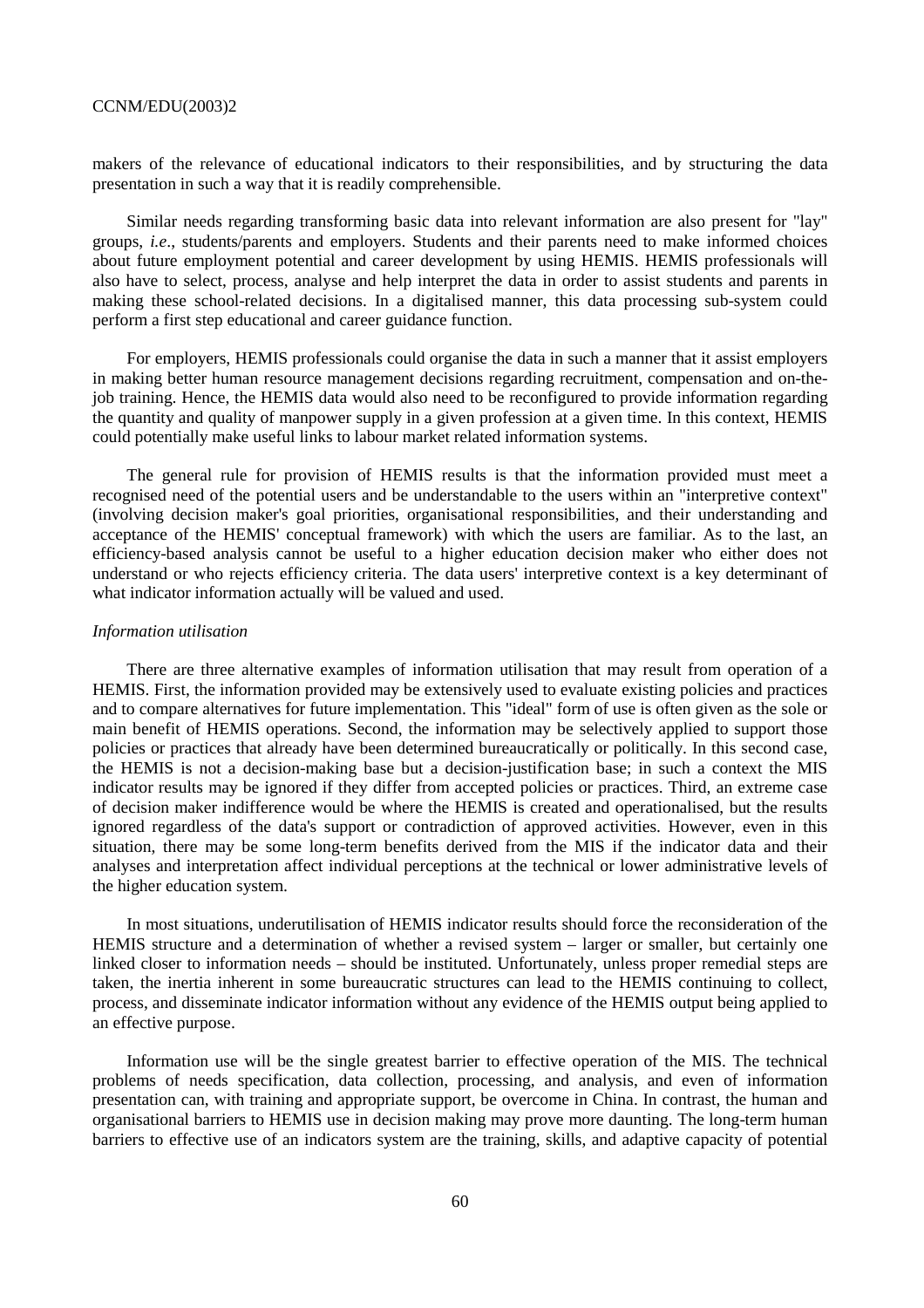makers of the relevance of educational indicators to their responsibilities, and by structuring the data presentation in such a way that it is readily comprehensible.

Similar needs regarding transforming basic data into relevant information are also present for "lay" groups, *i.e*., students/parents and employers. Students and their parents need to make informed choices about future employment potential and career development by using HEMIS. HEMIS professionals will also have to select, process, analyse and help interpret the data in order to assist students and parents in making these school-related decisions. In a digitalised manner, this data processing sub-system could perform a first step educational and career guidance function.

For employers, HEMIS professionals could organise the data in such a manner that it assist employers in making better human resource management decisions regarding recruitment, compensation and on-thejob training. Hence, the HEMIS data would also need to be reconfigured to provide information regarding the quantity and quality of manpower supply in a given profession at a given time. In this context, HEMIS could potentially make useful links to labour market related information systems.

The general rule for provision of HEMIS results is that the information provided must meet a recognised need of the potential users and be understandable to the users within an "interpretive context" (involving decision maker's goal priorities, organisational responsibilities, and their understanding and acceptance of the HEMIS' conceptual framework) with which the users are familiar. As to the last, an efficiency-based analysis cannot be useful to a higher education decision maker who either does not understand or who rejects efficiency criteria. The data users' interpretive context is a key determinant of what indicator information actually will be valued and used.

#### *Information utilisation*

There are three alternative examples of information utilisation that may result from operation of a HEMIS. First, the information provided may be extensively used to evaluate existing policies and practices and to compare alternatives for future implementation. This "ideal" form of use is often given as the sole or main benefit of HEMIS operations. Second, the information may be selectively applied to support those policies or practices that already have been determined bureaucratically or politically. In this second case, the HEMIS is not a decision-making base but a decision-justification base; in such a context the MIS indicator results may be ignored if they differ from accepted policies or practices. Third, an extreme case of decision maker indifference would be where the HEMIS is created and operationalised, but the results ignored regardless of the data's support or contradiction of approved activities. However, even in this situation, there may be some long-term benefits derived from the MIS if the indicator data and their analyses and interpretation affect individual perceptions at the technical or lower administrative levels of the higher education system.

In most situations, underutilisation of HEMIS indicator results should force the reconsideration of the HEMIS structure and a determination of whether a revised system – larger or smaller, but certainly one linked closer to information needs – should be instituted. Unfortunately, unless proper remedial steps are taken, the inertia inherent in some bureaucratic structures can lead to the HEMIS continuing to collect, process, and disseminate indicator information without any evidence of the HEMIS output being applied to an effective purpose.

Information use will be the single greatest barrier to effective operation of the MIS. The technical problems of needs specification, data collection, processing, and analysis, and even of information presentation can, with training and appropriate support, be overcome in China. In contrast, the human and organisational barriers to HEMIS use in decision making may prove more daunting. The long-term human barriers to effective use of an indicators system are the training, skills, and adaptive capacity of potential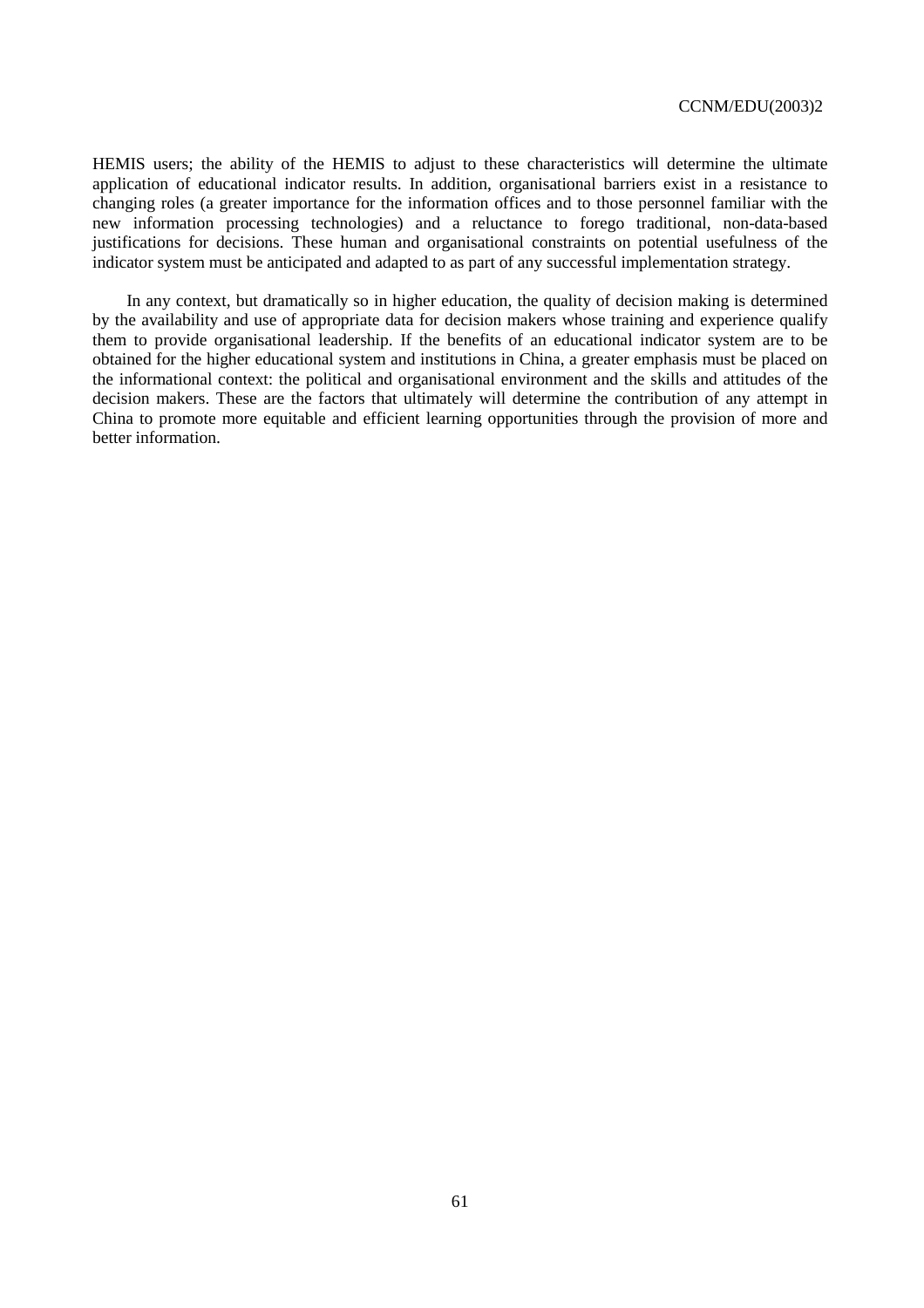HEMIS users; the ability of the HEMIS to adjust to these characteristics will determine the ultimate application of educational indicator results. In addition, organisational barriers exist in a resistance to changing roles (a greater importance for the information offices and to those personnel familiar with the new information processing technologies) and a reluctance to forego traditional, non-data-based justifications for decisions. These human and organisational constraints on potential usefulness of the indicator system must be anticipated and adapted to as part of any successful implementation strategy.

In any context, but dramatically so in higher education, the quality of decision making is determined by the availability and use of appropriate data for decision makers whose training and experience qualify them to provide organisational leadership. If the benefits of an educational indicator system are to be obtained for the higher educational system and institutions in China, a greater emphasis must be placed on the informational context: the political and organisational environment and the skills and attitudes of the decision makers. These are the factors that ultimately will determine the contribution of any attempt in China to promote more equitable and efficient learning opportunities through the provision of more and better information.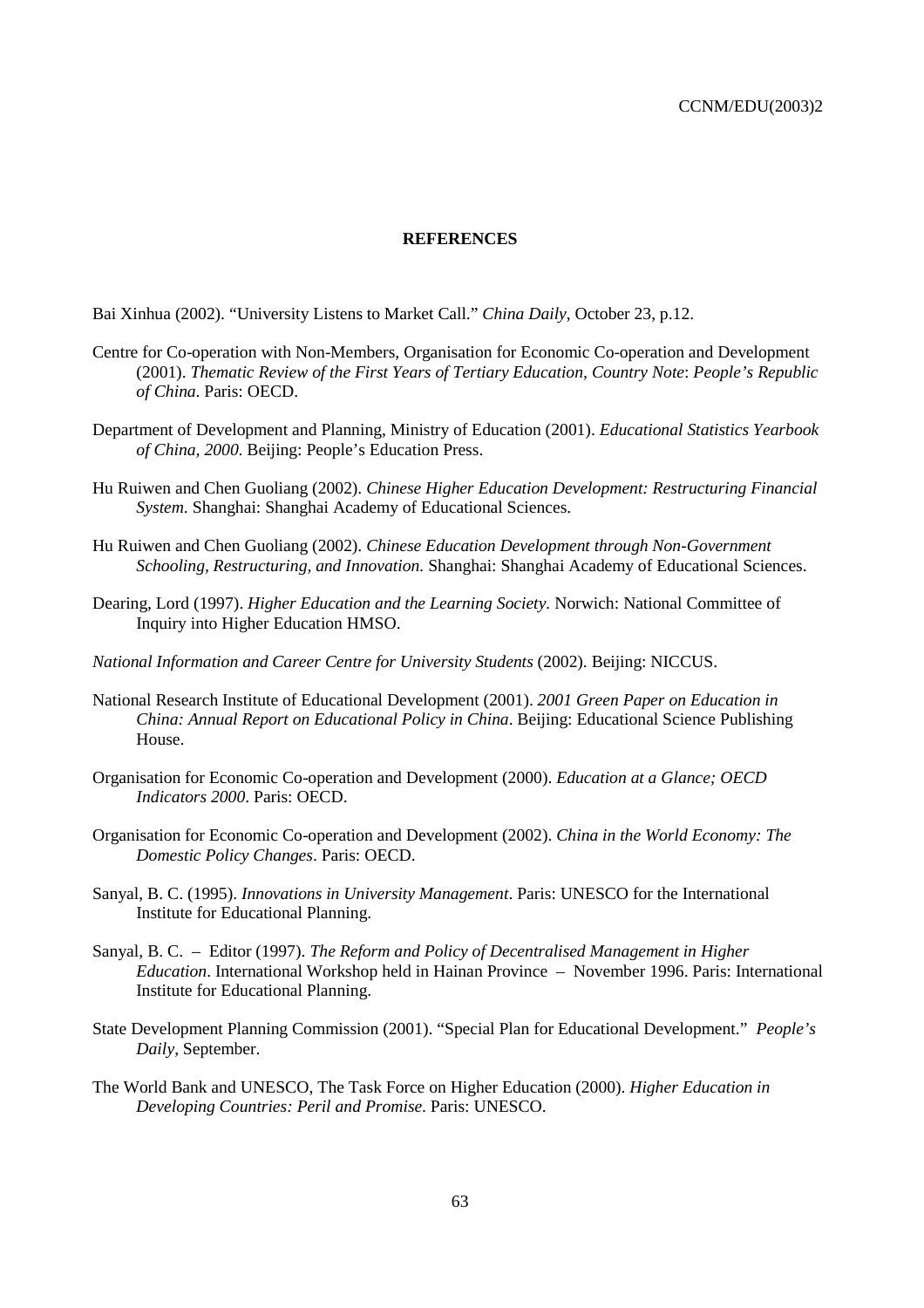#### **REFERENCES**

Bai Xinhua (2002). "University Listens to Market Call." *China Daily*, October 23, p.12.

- Centre for Co-operation with Non-Members, Organisation for Economic Co-operation and Development (2001). *Thematic Review of the First Years of Tertiary Education, Country Note*: *People's Republic of China*. Paris: OECD.
- Department of Development and Planning, Ministry of Education (2001). *Educational Statistics Yearbook of China, 2000*. Beijing: People's Education Press.
- Hu Ruiwen and Chen Guoliang (2002). *Chinese Higher Education Development: Restructuring Financial System*. Shanghai: Shanghai Academy of Educational Sciences.
- Hu Ruiwen and Chen Guoliang (2002). *Chinese Education Development through Non-Government Schooling, Restructuring, and Innovation.* Shanghai: Shanghai Academy of Educational Sciences.
- Dearing, Lord (1997). *Higher Education and the Learning Society.* Norwich: National Committee of Inquiry into Higher Education HMSO.
- *National Information and Career Centre for University Students* (2002). Beijing: NICCUS.
- National Research Institute of Educational Development (2001). *2001 Green Paper on Education in China: Annual Report on Educational Policy in China*. Beijing: Educational Science Publishing House.
- Organisation for Economic Co-operation and Development (2000). *Education at a Glance; OECD Indicators 2000*. Paris: OECD.
- Organisation for Economic Co-operation and Development (2002). *China in the World Economy: The Domestic Policy Changes*. Paris: OECD.
- Sanyal, B. C. (1995). *Innovations in University Management*. Paris: UNESCO for the International Institute for Educational Planning.
- Sanyal, B. C. Editor (1997). *The Reform and Policy of Decentralised Management in Higher Education*. International Workshop held in Hainan Province – November 1996. Paris: International Institute for Educational Planning.
- State Development Planning Commission (2001). "Special Plan for Educational Development." *People's Daily*, September.
- The World Bank and UNESCO, The Task Force on Higher Education (2000). *Higher Education in Developing Countries: Peril and Promise*. Paris: UNESCO.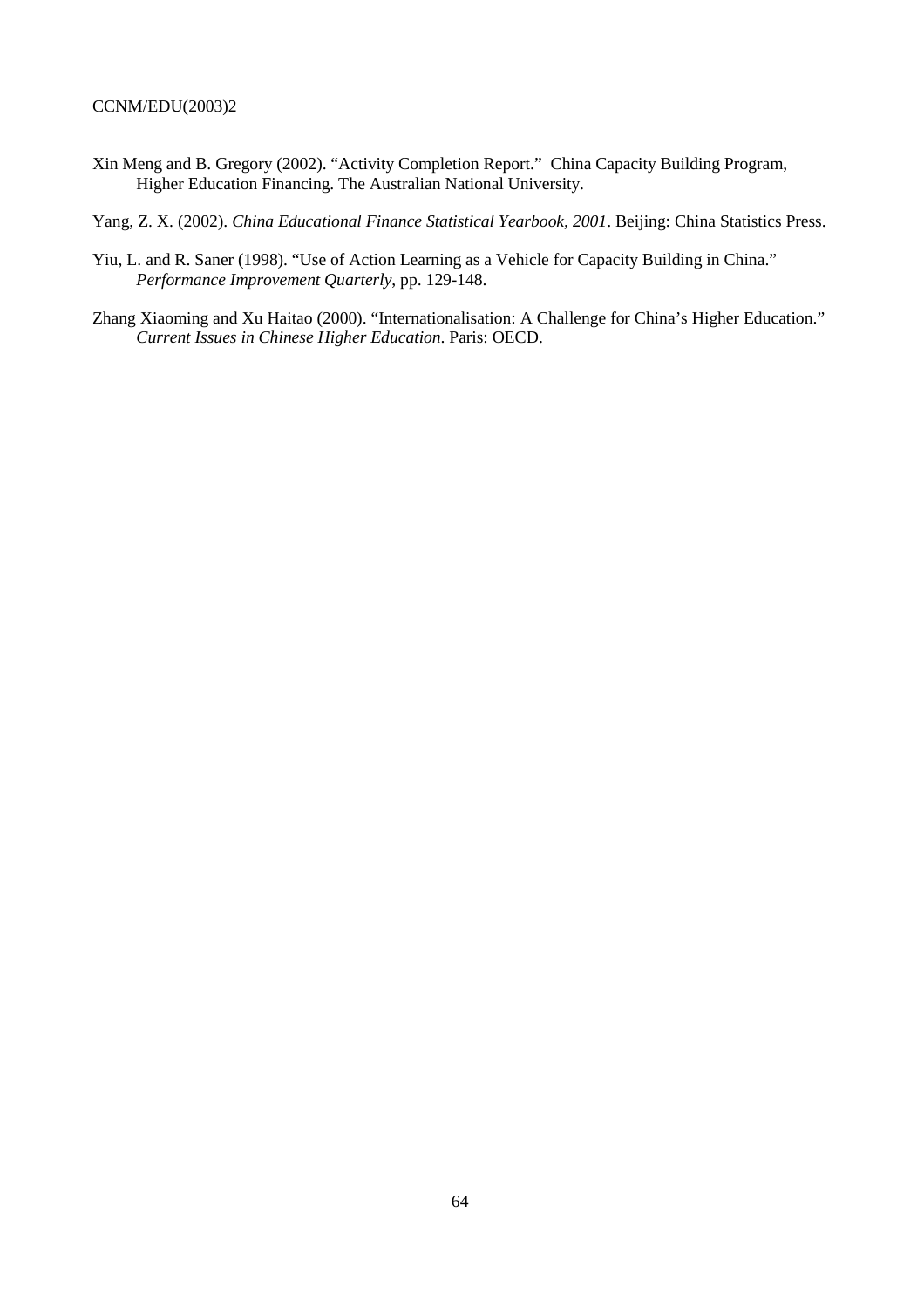Xin Meng and B. Gregory (2002). "Activity Completion Report." China Capacity Building Program, Higher Education Financing. The Australian National University.

Yang, Z. X. (2002). *China Educational Finance Statistical Yearbook, 2001*. Beijing: China Statistics Press.

- Yiu, L. and R. Saner (1998). "Use of Action Learning as a Vehicle for Capacity Building in China." *Performance Improvement Quarterly*, pp. 129-148.
- Zhang Xiaoming and Xu Haitao (2000). "Internationalisation: A Challenge for China's Higher Education." *Current Issues in Chinese Higher Education*. Paris: OECD.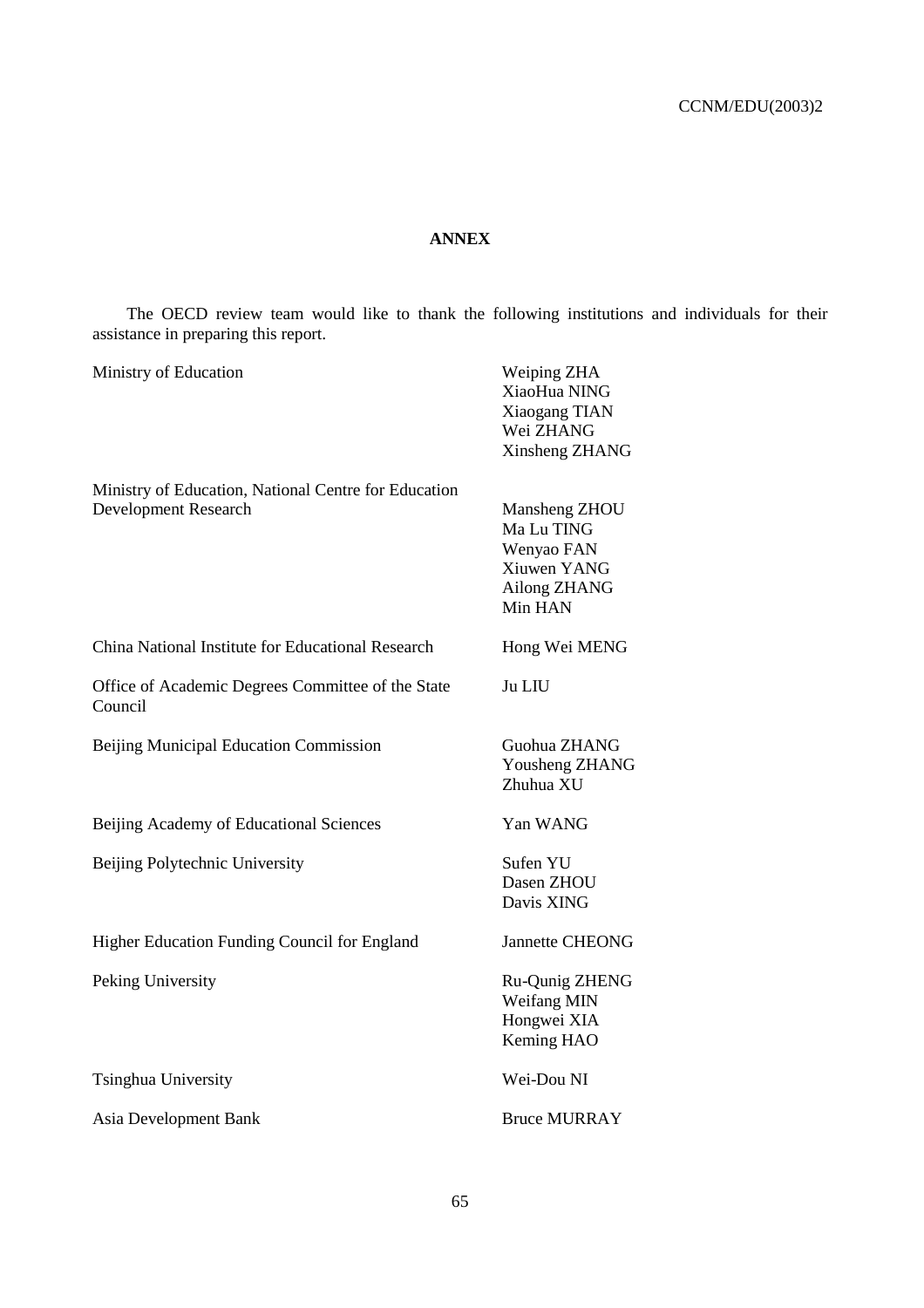# **ANNEX**

The OECD review team would like to thank the following institutions and individuals for their assistance in preparing this report.

| Ministry of Education                                                               | Weiping ZHA<br>XiaoHua NING<br>Xiaogang TIAN<br>Wei ZHANG<br>Xinsheng ZHANG         |
|-------------------------------------------------------------------------------------|-------------------------------------------------------------------------------------|
| Ministry of Education, National Centre for Education<br><b>Development Research</b> | Mansheng ZHOU<br>Ma Lu TING<br>Wenyao FAN<br>Xiuwen YANG<br>Ailong ZHANG<br>Min HAN |
| China National Institute for Educational Research                                   | Hong Wei MENG                                                                       |
| Office of Academic Degrees Committee of the State<br>Council                        | Ju LIU                                                                              |
| <b>Beijing Municipal Education Commission</b>                                       | Guohua ZHANG<br>Yousheng ZHANG<br>Zhuhua XU                                         |
| Beijing Academy of Educational Sciences                                             | Yan WANG                                                                            |
| Beijing Polytechnic University                                                      | Sufen YU<br>Dasen ZHOU<br>Davis XING                                                |
| Higher Education Funding Council for England                                        | <b>Jannette CHEONG</b>                                                              |
| Peking University                                                                   | Ru-Qunig ZHENG<br>Weifang MIN<br>Hongwei XIA<br>Keming HAO                          |
| Tsinghua University                                                                 | Wei-Dou NI                                                                          |
| Asia Development Bank                                                               | <b>Bruce MURRAY</b>                                                                 |